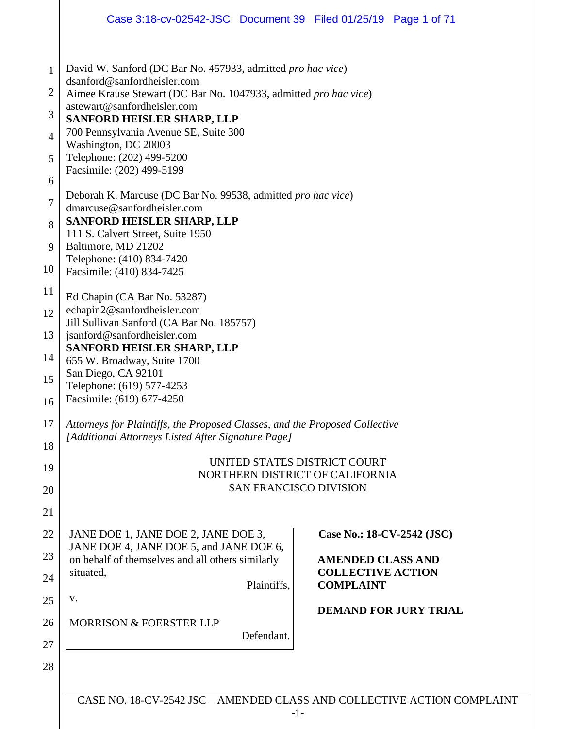|                                                                        | Case 3:18-cv-02542-JSC Document 39 Filed 01/25/19 Page 1 of 71                                                                                                                                                                                                                                                                                                                                                                                                                                                                                                                             |                                              |  |  |  |
|------------------------------------------------------------------------|--------------------------------------------------------------------------------------------------------------------------------------------------------------------------------------------------------------------------------------------------------------------------------------------------------------------------------------------------------------------------------------------------------------------------------------------------------------------------------------------------------------------------------------------------------------------------------------------|----------------------------------------------|--|--|--|
| $\mathbf{1}$<br>2<br>3<br>$\overline{4}$<br>5<br>6<br>$\tau$<br>8<br>9 | David W. Sanford (DC Bar No. 457933, admitted pro hac vice)<br>dsanford@sanfordheisler.com<br>Aimee Krause Stewart (DC Bar No. 1047933, admitted pro hac vice)<br>astewart@sanfordheisler.com<br><b>SANFORD HEISLER SHARP, LLP</b><br>700 Pennsylvania Avenue SE, Suite 300<br>Washington, DC 20003<br>Telephone: (202) 499-5200<br>Facsimile: (202) 499-5199<br>Deborah K. Marcuse (DC Bar No. 99538, admitted pro hac vice)<br>dmarcuse@sanfordheisler.com<br><b>SANFORD HEISLER SHARP, LLP</b><br>111 S. Calvert Street, Suite 1950<br>Baltimore, MD 21202<br>Telephone: (410) 834-7420 |                                              |  |  |  |
| 10                                                                     | Facsimile: (410) 834-7425                                                                                                                                                                                                                                                                                                                                                                                                                                                                                                                                                                  |                                              |  |  |  |
| 11                                                                     | Ed Chapin (CA Bar No. 53287)                                                                                                                                                                                                                                                                                                                                                                                                                                                                                                                                                               |                                              |  |  |  |
| 12                                                                     | echapin2@sanfordheisler.com<br>Jill Sullivan Sanford (CA Bar No. 185757)                                                                                                                                                                                                                                                                                                                                                                                                                                                                                                                   |                                              |  |  |  |
| 13                                                                     | jsanford@sanfordheisler.com<br><b>SANFORD HEISLER SHARP, LLP</b>                                                                                                                                                                                                                                                                                                                                                                                                                                                                                                                           |                                              |  |  |  |
| 14                                                                     | 655 W. Broadway, Suite 1700<br>San Diego, CA 92101                                                                                                                                                                                                                                                                                                                                                                                                                                                                                                                                         |                                              |  |  |  |
| 15<br>16                                                               | Telephone: (619) 577-4253<br>Facsimile: (619) 677-4250                                                                                                                                                                                                                                                                                                                                                                                                                                                                                                                                     |                                              |  |  |  |
| 17                                                                     | Attorneys for Plaintiffs, the Proposed Classes, and the Proposed Collective<br>[Additional Attorneys Listed After Signature Page]                                                                                                                                                                                                                                                                                                                                                                                                                                                          |                                              |  |  |  |
| 18                                                                     |                                                                                                                                                                                                                                                                                                                                                                                                                                                                                                                                                                                            | UNITED STATES DISTRICT COURT                 |  |  |  |
| 19                                                                     |                                                                                                                                                                                                                                                                                                                                                                                                                                                                                                                                                                                            | NORTHERN DISTRICT OF CALIFORNIA              |  |  |  |
| 20                                                                     |                                                                                                                                                                                                                                                                                                                                                                                                                                                                                                                                                                                            | <b>SAN FRANCISCO DIVISION</b>                |  |  |  |
| 21                                                                     |                                                                                                                                                                                                                                                                                                                                                                                                                                                                                                                                                                                            |                                              |  |  |  |
| 22                                                                     | JANE DOE 1, JANE DOE 2, JANE DOE 3,<br>JANE DOE 4, JANE DOE 5, and JANE DOE 6,                                                                                                                                                                                                                                                                                                                                                                                                                                                                                                             | Case No.: 18-CV-2542 (JSC)                   |  |  |  |
| 23                                                                     | on behalf of themselves and all others similarly                                                                                                                                                                                                                                                                                                                                                                                                                                                                                                                                           | <b>AMENDED CLASS AND</b>                     |  |  |  |
| 24                                                                     | situated,<br>Plaintiffs,                                                                                                                                                                                                                                                                                                                                                                                                                                                                                                                                                                   | <b>COLLECTIVE ACTION</b><br><b>COMPLAINT</b> |  |  |  |
| 25                                                                     | V.                                                                                                                                                                                                                                                                                                                                                                                                                                                                                                                                                                                         | <b>DEMAND FOR JURY TRIAL</b>                 |  |  |  |
| 26                                                                     | <b>MORRISON &amp; FOERSTER LLP</b><br>Defendant.                                                                                                                                                                                                                                                                                                                                                                                                                                                                                                                                           |                                              |  |  |  |
| 27                                                                     |                                                                                                                                                                                                                                                                                                                                                                                                                                                                                                                                                                                            |                                              |  |  |  |
| 28                                                                     |                                                                                                                                                                                                                                                                                                                                                                                                                                                                                                                                                                                            |                                              |  |  |  |
|                                                                        |                                                                                                                                                                                                                                                                                                                                                                                                                                                                                                                                                                                            |                                              |  |  |  |

CASE NO. 18-CV-2542 JSC – AMENDED CLASS AND COLLECTIVE ACTION COMPLAINT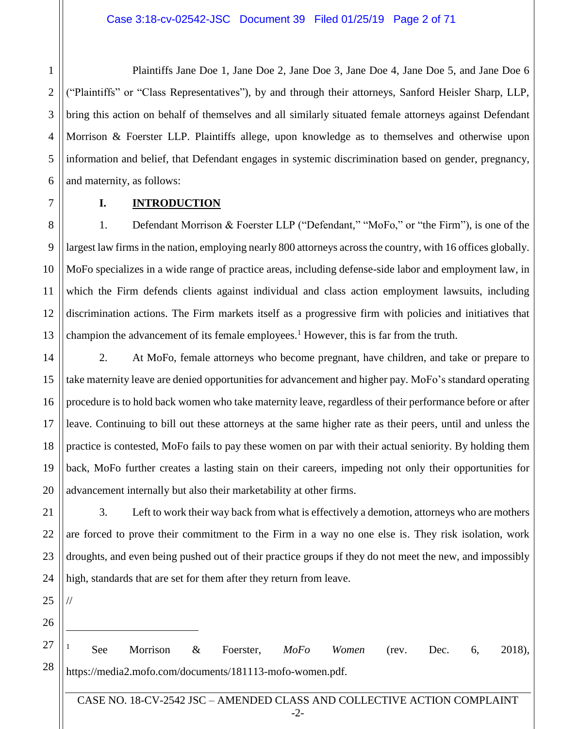Plaintiffs Jane Doe 1, Jane Doe 2, Jane Doe 3, Jane Doe 4, Jane Doe 5, and Jane Doe 6 ("Plaintiffs" or "Class Representatives"), by and through their attorneys, Sanford Heisler Sharp, LLP, bring this action on behalf of themselves and all similarly situated female attorneys against Defendant Morrison & Foerster LLP. Plaintiffs allege, upon knowledge as to themselves and otherwise upon information and belief, that Defendant engages in systemic discrimination based on gender, pregnancy, and maternity, as follows:

7 8

9

10

11

1

2

3

4

5

6

## **I. INTRODUCTION**

12 13 1. Defendant Morrison & Foerster LLP ("Defendant," "MoFo," or "the Firm"), is one of the largest law firms in the nation, employing nearly 800 attorneys across the country, with 16 offices globally. MoFo specializes in a wide range of practice areas, including defense-side labor and employment law, in which the Firm defends clients against individual and class action employment lawsuits, including discrimination actions. The Firm markets itself as a progressive firm with policies and initiatives that champion the advancement of its female employees.<sup>1</sup> However, this is far from the truth.

14 15 16 17 18 19 20 2. At MoFo, female attorneys who become pregnant, have children, and take or prepare to take maternity leave are denied opportunities for advancement and higher pay. MoFo's standard operating procedure is to hold back women who take maternity leave, regardless of their performance before or after leave. Continuing to bill out these attorneys at the same higher rate as their peers, until and unless the practice is contested, MoFo fails to pay these women on par with their actual seniority. By holding them back, MoFo further creates a lasting stain on their careers, impeding not only their opportunities for advancement internally but also their marketability at other firms.

21 22 23 24 3. Left to work their way back from what is effectively a demotion, attorneys who are mothers are forced to prove their commitment to the Firm in a way no one else is. They risk isolation, work droughts, and even being pushed out of their practice groups if they do not meet the new, and impossibly high, standards that are set for them after they return from leave.

25

//

 $\overline{a}$ 

27

28

26

<sup>1</sup> See Morrison & Foerster, *MoFo Women* (rev. Dec. 6, 2018), https://media2.mofo.com/documents/181113-mofo-women.pdf.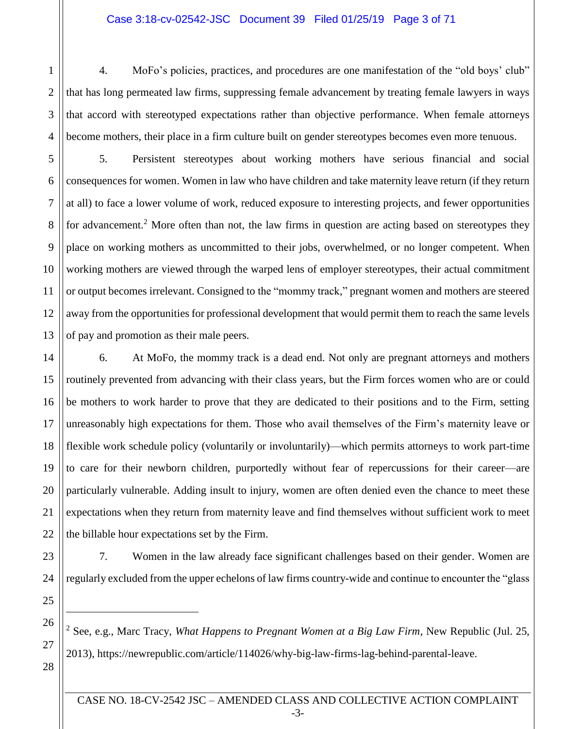## Case 3:18-cv-02542-JSC Document 39 Filed 01/25/19 Page 3 of 71

4. MoFo's policies, practices, and procedures are one manifestation of the "old boys' club" that has long permeated law firms, suppressing female advancement by treating female lawyers in ways that accord with stereotyped expectations rather than objective performance. When female attorneys become mothers, their place in a firm culture built on gender stereotypes becomes even more tenuous.

5. Persistent stereotypes about working mothers have serious financial and social consequences for women. Women in law who have children and take maternity leave return (if they return at all) to face a lower volume of work, reduced exposure to interesting projects, and fewer opportunities for advancement.<sup>2</sup> More often than not, the law firms in question are acting based on stereotypes they place on working mothers as uncommitted to their jobs, overwhelmed, or no longer competent. When working mothers are viewed through the warped lens of employer stereotypes, their actual commitment or output becomes irrelevant. Consigned to the "mommy track," pregnant women and mothers are steered away from the opportunities for professional development that would permit them to reach the same levels of pay and promotion as their male peers.

6. At MoFo, the mommy track is a dead end. Not only are pregnant attorneys and mothers routinely prevented from advancing with their class years, but the Firm forces women who are or could be mothers to work harder to prove that they are dedicated to their positions and to the Firm, setting unreasonably high expectations for them. Those who avail themselves of the Firm's maternity leave or flexible work schedule policy (voluntarily or involuntarily)—which permits attorneys to work part-time to care for their newborn children, purportedly without fear of repercussions for their career—are particularly vulnerable. Adding insult to injury, women are often denied even the chance to meet these expectations when they return from maternity leave and find themselves without sufficient work to meet the billable hour expectations set by the Firm.

7. Women in the law already face significant challenges based on their gender. Women are regularly excluded from the upper echelons of law firms country-wide and continue to encounter the "glass

<sup>2</sup> See, e.g., Marc Tracy, *What Happens to Pregnant Women at a Big Law Firm*, New Republic (Jul. 25, 2013), https://newrepublic.com/article/114026/why-big-law-firms-lag-behind-parental-leave.

 $\overline{a}$ 

1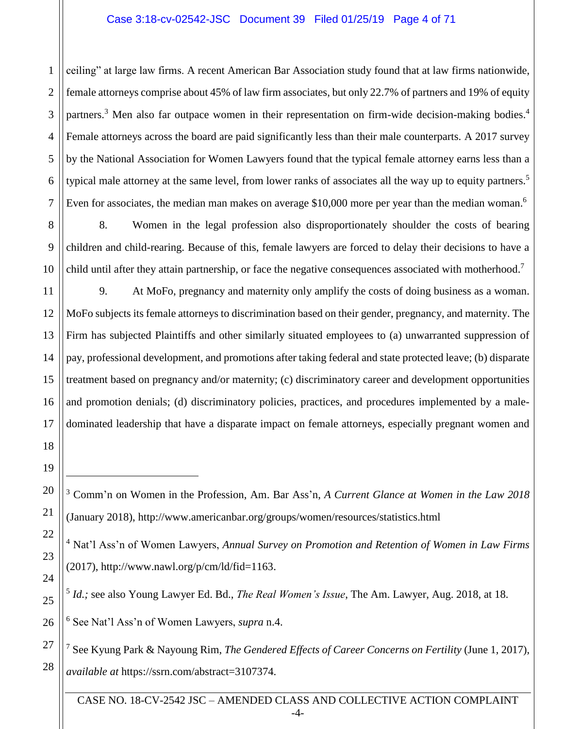## Case 3:18-cv-02542-JSC Document 39 Filed 01/25/19 Page 4 of 71

ceiling" at large law firms. A recent American Bar Association study found that at law firms nationwide, female attorneys comprise about 45% of law firm associates, but only 22.7% of partners and 19% of equity partners.<sup>3</sup> Men also far outpace women in their representation on firm-wide decision-making bodies.<sup>4</sup> Female attorneys across the board are paid significantly less than their male counterparts. A 2017 survey by the National Association for Women Lawyers found that the typical female attorney earns less than a typical male attorney at the same level, from lower ranks of associates all the way up to equity partners.<sup>5</sup> Even for associates, the median man makes on average \$10,000 more per year than the median woman.<sup>6</sup>

8 10 8. Women in the legal profession also disproportionately shoulder the costs of bearing children and child-rearing. Because of this, female lawyers are forced to delay their decisions to have a child until after they attain partnership, or face the negative consequences associated with motherhood.<sup>7</sup>

9. At MoFo, pregnancy and maternity only amplify the costs of doing business as a woman. MoFo subjects its female attorneys to discrimination based on their gender, pregnancy, and maternity. The Firm has subjected Plaintiffs and other similarly situated employees to (a) unwarranted suppression of pay, professional development, and promotions after taking federal and state protected leave; (b) disparate treatment based on pregnancy and/or maternity; (c) discriminatory career and development opportunities and promotion denials; (d) discriminatory policies, practices, and procedures implemented by a maledominated leadership that have a disparate impact on female attorneys, especially pregnant women and

 $\overline{a}$ 

1

2

3

4

5

6

7

9

11

12

13

<sup>6</sup> See Nat'l Ass'n of Women Lawyers, *supra* n.4.

<sup>3</sup> Comm'n on Women in the Profession, Am. Bar Ass'n, *A Current Glance at Women in the Law 2018* (January 2018), http://www.americanbar.org/groups/women/resources/statistics.html

<sup>4</sup> Nat'l Ass'n of Women Lawyers, *Annual Survey on Promotion and Retention of Women in Law Firms* (2017), http://www.nawl.org/p/cm/ld/fid=1163.

<sup>5</sup> *Id.;* see also Young Lawyer Ed. Bd., *The Real Women's Issue*, The Am. Lawyer, Aug. 2018, at 18.

<sup>7</sup> See Kyung Park & Nayoung Rim, *The Gendered Effects of Career Concerns on Fertility* (June 1, 2017), *available at* https://ssrn.com/abstract=3107374.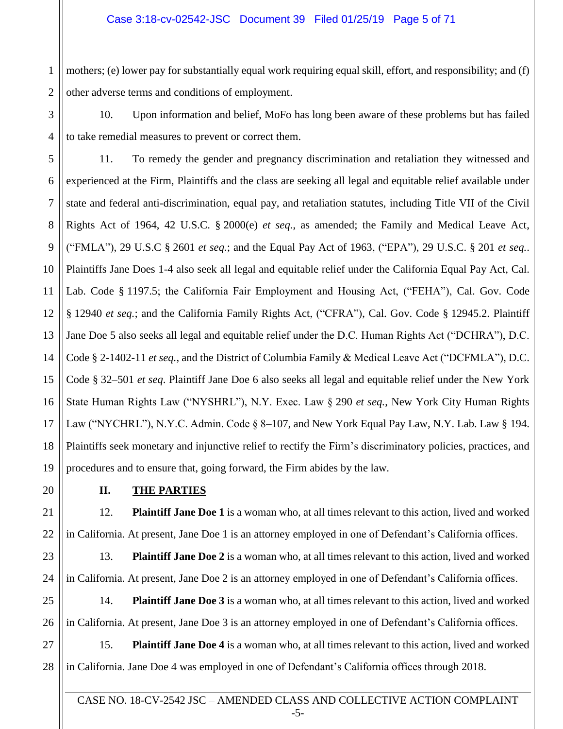1 2 mothers; (e) lower pay for substantially equal work requiring equal skill, effort, and responsibility; and (f) other adverse terms and conditions of employment.

10. Upon information and belief, MoFo has long been aware of these problems but has failed to take remedial measures to prevent or correct them.

5 6 7 8 9 10 11 12 13 14 15 16 17 18 11. To remedy the gender and pregnancy discrimination and retaliation they witnessed and experienced at the Firm, Plaintiffs and the class are seeking all legal and equitable relief available under state and federal anti-discrimination, equal pay, and retaliation statutes, including Title VII of the Civil Rights Act of 1964, 42 U.S.C. § 2000(e) *et seq.*, as amended; the Family and Medical Leave Act, ("FMLA"), 29 U.S.C § 2601 *et seq.*; and the Equal Pay Act of 1963, ("EPA"), 29 U.S.C. § 201 *et seq.*. Plaintiffs Jane Does 1-4 also seek all legal and equitable relief under the California Equal Pay Act, Cal. Lab. Code § 1197.5; the California Fair Employment and Housing Act, ("FEHA"), Cal. Gov. Code § 12940 *et seq.*; and the California Family Rights Act, ("CFRA"), Cal. Gov. Code § 12945.2. Plaintiff Jane Doe 5 also seeks all legal and equitable relief under the D.C. Human Rights Act ("DCHRA"), D.C. Code § 2-1402-11 *et seq.*, and the District of Columbia Family & Medical Leave Act ("DCFMLA"), D.C. Code § 32–501 *et seq*. Plaintiff Jane Doe 6 also seeks all legal and equitable relief under the New York State Human Rights Law ("NYSHRL"), N.Y. Exec. Law § 290 *et seq.*, New York City Human Rights Law ("NYCHRL"), N.Y.C. Admin. Code § 8–107, and New York Equal Pay Law, N.Y. Lab. Law § 194. Plaintiffs seek monetary and injunctive relief to rectify the Firm's discriminatory policies, practices, and procedures and to ensure that, going forward, the Firm abides by the law.

3

4

## **II. THE PARTIES**

12. **Plaintiff Jane Doe 1** is a woman who, at all times relevant to this action, lived and worked in California. At present, Jane Doe 1 is an attorney employed in one of Defendant's California offices.

23 24 13. **Plaintiff Jane Doe 2** is a woman who, at all times relevant to this action, lived and worked in California. At present, Jane Doe 2 is an attorney employed in one of Defendant's California offices.

25 26 14. **Plaintiff Jane Doe 3** is a woman who, at all times relevant to this action, lived and worked in California. At present, Jane Doe 3 is an attorney employed in one of Defendant's California offices.

27 28 15. **Plaintiff Jane Doe 4** is a woman who, at all times relevant to this action, lived and worked in California. Jane Doe 4 was employed in one of Defendant's California offices through 2018.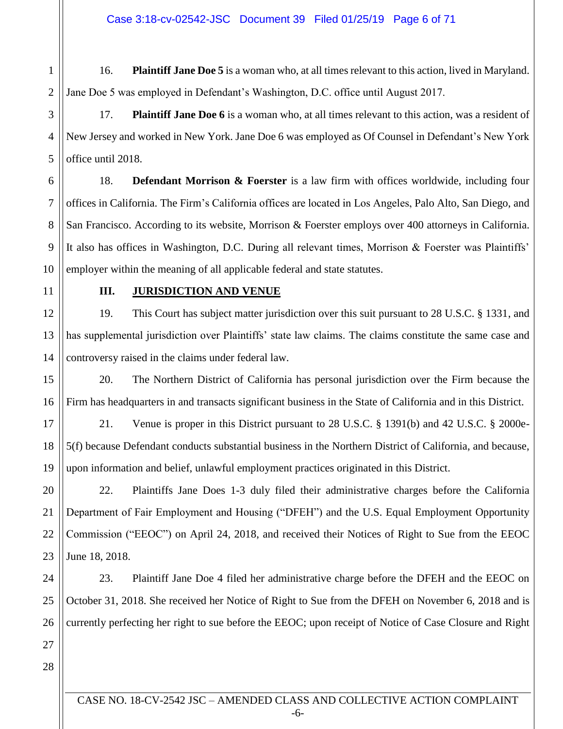Case 3:18-cv-02542-JSC Document 39 Filed 01/25/19 Page 6 of 71

1 2 16. **Plaintiff Jane Doe 5** is a woman who, at all times relevant to this action, lived in Maryland. Jane Doe 5 was employed in Defendant's Washington, D.C. office until August 2017.

17. **Plaintiff Jane Doe 6** is a woman who, at all times relevant to this action, was a resident of New Jersey and worked in New York. Jane Doe 6 was employed as Of Counsel in Defendant's New York office until 2018.

6 7 8 9 10 18. **Defendant Morrison & Foerster** is a law firm with offices worldwide, including four offices in California. The Firm's California offices are located in Los Angeles, Palo Alto, San Diego, and San Francisco. According to its website, Morrison & Foerster employs over 400 attorneys in California. It also has offices in Washington, D.C. During all relevant times, Morrison & Foerster was Plaintiffs' employer within the meaning of all applicable federal and state statutes.

11

3

4

5

## **III. JURISDICTION AND VENUE**

12 13 14 19. This Court has subject matter jurisdiction over this suit pursuant to 28 U.S.C. § 1331, and has supplemental jurisdiction over Plaintiffs' state law claims. The claims constitute the same case and controversy raised in the claims under federal law.

15 16 20. The Northern District of California has personal jurisdiction over the Firm because the Firm has headquarters in and transacts significant business in the State of California and in this District.

17 18 19 21. Venue is proper in this District pursuant to 28 U.S.C. § 1391(b) and 42 U.S.C. § 2000e-5(f) because Defendant conducts substantial business in the Northern District of California, and because, upon information and belief, unlawful employment practices originated in this District.

20 21 22 23 22. Plaintiffs Jane Does 1-3 duly filed their administrative charges before the California Department of Fair Employment and Housing ("DFEH") and the U.S. Equal Employment Opportunity Commission ("EEOC") on April 24, 2018, and received their Notices of Right to Sue from the EEOC June 18, 2018.

24 25 26 23. Plaintiff Jane Doe 4 filed her administrative charge before the DFEH and the EEOC on October 31, 2018. She received her Notice of Right to Sue from the DFEH on November 6, 2018 and is currently perfecting her right to sue before the EEOC; upon receipt of Notice of Case Closure and Right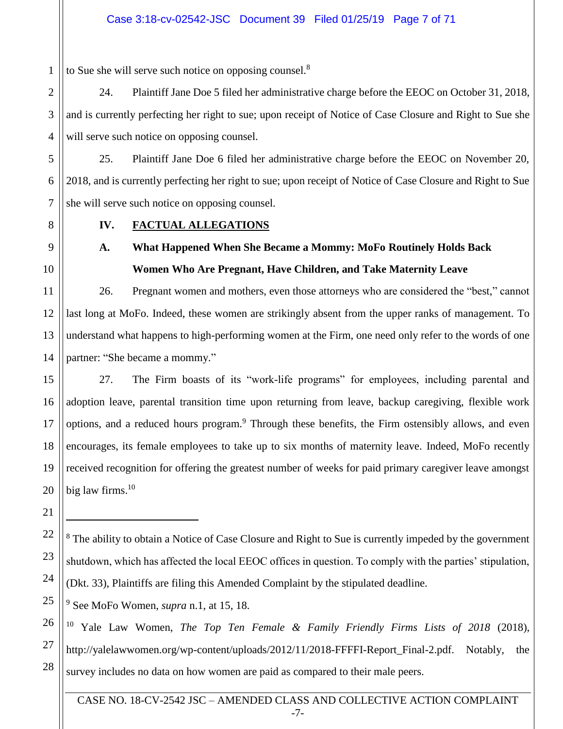to Sue she will serve such notice on opposing counsel.<sup>8</sup>

24. Plaintiff Jane Doe 5 filed her administrative charge before the EEOC on October 31, 2018, and is currently perfecting her right to sue; upon receipt of Notice of Case Closure and Right to Sue she will serve such notice on opposing counsel.

5 25. Plaintiff Jane Doe 6 filed her administrative charge before the EEOC on November 20, 2018, and is currently perfecting her right to sue; upon receipt of Notice of Case Closure and Right to Sue she will serve such notice on opposing counsel.

1

2

3

4

6

7

## **IV. FACTUAL ALLEGATIONS**

**A. What Happened When She Became a Mommy: MoFo Routinely Holds Back Women Who Are Pregnant, Have Children, and Take Maternity Leave**

26. Pregnant women and mothers, even those attorneys who are considered the "best," cannot last long at MoFo. Indeed, these women are strikingly absent from the upper ranks of management. To understand what happens to high-performing women at the Firm, one need only refer to the words of one partner: "She became a mommy."

27. The Firm boasts of its "work-life programs" for employees, including parental and adoption leave, parental transition time upon returning from leave, backup caregiving, flexible work options, and a reduced hours program.<sup>9</sup> Through these benefits, the Firm ostensibly allows, and even encourages, its female employees to take up to six months of maternity leave. Indeed, MoFo recently received recognition for offering the greatest number of weeks for paid primary caregiver leave amongst big law firms. $10$ 

<sup>8</sup> The ability to obtain a Notice of Case Closure and Right to Sue is currently impeded by the government shutdown, which has affected the local EEOC offices in question. To comply with the parties' stipulation, (Dkt. 33), Plaintiffs are filing this Amended Complaint by the stipulated deadline.

<sup>9</sup> See MoFo Women, *supra* n.1, at 15, 18.

<sup>10</sup> Yale Law Women, *The Top Ten Female & Family Friendly Firms Lists of 2018* (2018), http://yalelawwomen.org/wp-content/uploads/2012/11/2018-FFFFI-Report\_Final-2.pdf. Notably, the survey includes no data on how women are paid as compared to their male peers.

CASE NO. 18-CV-2542 JSC – AMENDED CLASS AND COLLECTIVE ACTION COMPLAINT -7-

 $\overline{a}$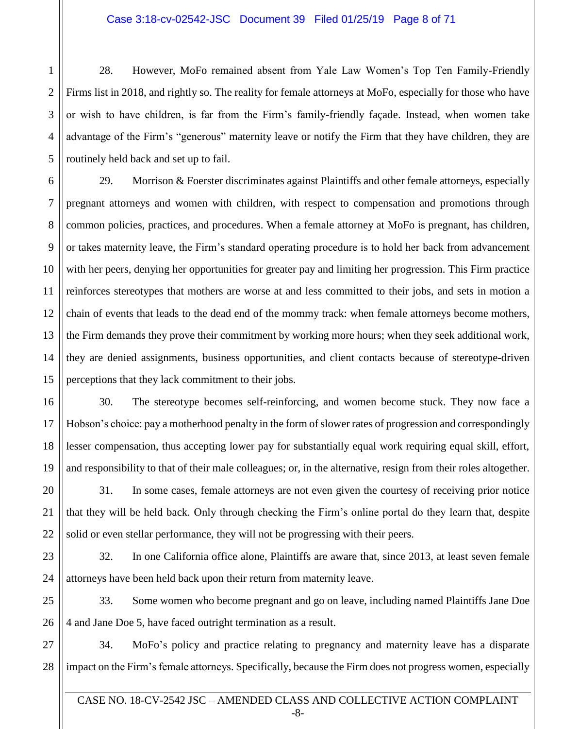#### Case 3:18-cv-02542-JSC Document 39 Filed 01/25/19 Page 8 of 71

2 3 28. However, MoFo remained absent from Yale Law Women's Top Ten Family-Friendly Firms list in 2018, and rightly so. The reality for female attorneys at MoFo, especially for those who have or wish to have children, is far from the Firm's family-friendly façade. Instead, when women take advantage of the Firm's "generous" maternity leave or notify the Firm that they have children, they are routinely held back and set up to fail.

29. Morrison & Foerster discriminates against Plaintiffs and other female attorneys, especially pregnant attorneys and women with children, with respect to compensation and promotions through common policies, practices, and procedures. When a female attorney at MoFo is pregnant, has children, or takes maternity leave, the Firm's standard operating procedure is to hold her back from advancement with her peers, denying her opportunities for greater pay and limiting her progression. This Firm practice reinforces stereotypes that mothers are worse at and less committed to their jobs, and sets in motion a chain of events that leads to the dead end of the mommy track: when female attorneys become mothers, the Firm demands they prove their commitment by working more hours; when they seek additional work, they are denied assignments, business opportunities, and client contacts because of stereotype-driven perceptions that they lack commitment to their jobs.

30. The stereotype becomes self-reinforcing, and women become stuck. They now face a Hobson's choice: pay a motherhood penalty in the form of slower rates of progression and correspondingly lesser compensation, thus accepting lower pay for substantially equal work requiring equal skill, effort, and responsibility to that of their male colleagues; or, in the alternative, resign from their roles altogether.

31. In some cases, female attorneys are not even given the courtesy of receiving prior notice that they will be held back. Only through checking the Firm's online portal do they learn that, despite solid or even stellar performance, they will not be progressing with their peers.

32. In one California office alone, Plaintiffs are aware that, since 2013, at least seven female attorneys have been held back upon their return from maternity leave.

33. Some women who become pregnant and go on leave, including named Plaintiffs Jane Doe 4 and Jane Doe 5, have faced outright termination as a result.

34. MoFo's policy and practice relating to pregnancy and maternity leave has a disparate impact on the Firm's female attorneys. Specifically, because the Firm does not progress women, especially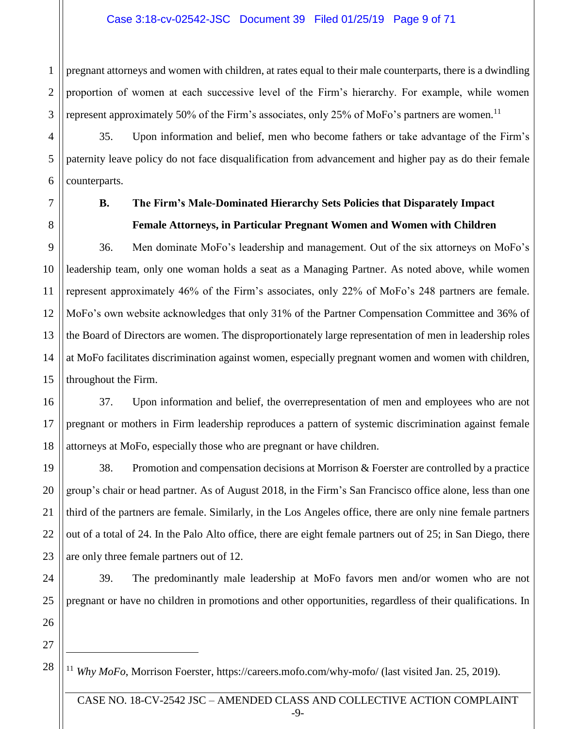## Case 3:18-cv-02542-JSC Document 39 Filed 01/25/19 Page 9 of 71

1 2 3 pregnant attorneys and women with children, at rates equal to their male counterparts, there is a dwindling proportion of women at each successive level of the Firm's hierarchy. For example, while women represent approximately 50% of the Firm's associates, only 25% of MoFo's partners are women.<sup>11</sup>

35. Upon information and belief, men who become fathers or take advantage of the Firm's paternity leave policy do not face disqualification from advancement and higher pay as do their female counterparts.

4

5

6

7

8

9

10

11

12

13

14

15

17

19

20

21

22

23

# **B. The Firm's Male-Dominated Hierarchy Sets Policies that Disparately Impact Female Attorneys, in Particular Pregnant Women and Women with Children**

36. Men dominate MoFo's leadership and management. Out of the six attorneys on MoFo's leadership team, only one woman holds a seat as a Managing Partner. As noted above, while women represent approximately 46% of the Firm's associates, only 22% of MoFo's 248 partners are female. MoFo's own website acknowledges that only 31% of the Partner Compensation Committee and 36% of the Board of Directors are women. The disproportionately large representation of men in leadership roles at MoFo facilitates discrimination against women, especially pregnant women and women with children, throughout the Firm.

16 18 37. Upon information and belief, the overrepresentation of men and employees who are not pregnant or mothers in Firm leadership reproduces a pattern of systemic discrimination against female attorneys at MoFo, especially those who are pregnant or have children.

38. Promotion and compensation decisions at Morrison & Foerster are controlled by a practice group's chair or head partner. As of August 2018, in the Firm's San Francisco office alone, less than one third of the partners are female. Similarly, in the Los Angeles office, there are only nine female partners out of a total of 24. In the Palo Alto office, there are eight female partners out of 25; in San Diego, there are only three female partners out of 12.

24 25 39. The predominantly male leadership at MoFo favors men and/or women who are not pregnant or have no children in promotions and other opportunities, regardless of their qualifications. In

26 27

28

 $\overline{a}$ 

<sup>11</sup> *Why MoFo*, Morrison Foerster, https://careers.mofo.com/why-mofo/ (last visited Jan. 25, 2019).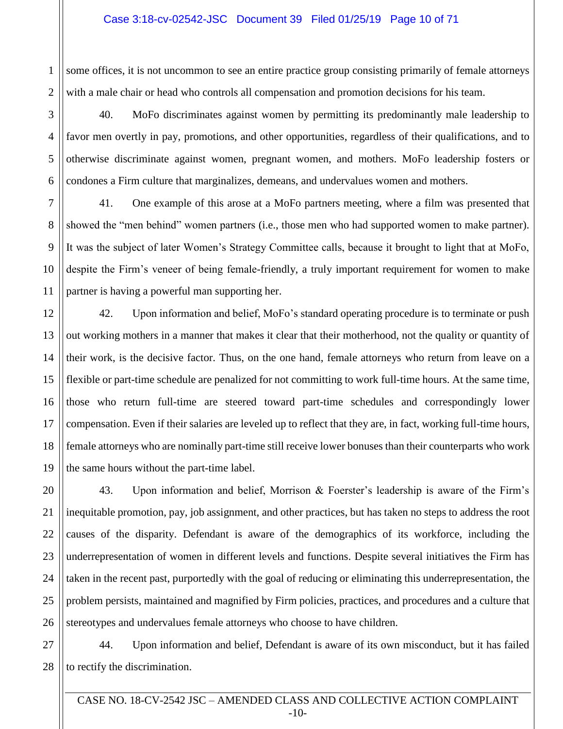#### Case 3:18-cv-02542-JSC Document 39 Filed 01/25/19 Page 10 of 71

1 2 some offices, it is not uncommon to see an entire practice group consisting primarily of female attorneys with a male chair or head who controls all compensation and promotion decisions for his team.

40. MoFo discriminates against women by permitting its predominantly male leadership to favor men overtly in pay, promotions, and other opportunities, regardless of their qualifications, and to otherwise discriminate against women, pregnant women, and mothers. MoFo leadership fosters or condones a Firm culture that marginalizes, demeans, and undervalues women and mothers.

41. One example of this arose at a MoFo partners meeting, where a film was presented that showed the "men behind" women partners (i.e., those men who had supported women to make partner). It was the subject of later Women's Strategy Committee calls, because it brought to light that at MoFo, despite the Firm's veneer of being female-friendly, a truly important requirement for women to make partner is having a powerful man supporting her.

42. Upon information and belief, MoFo's standard operating procedure is to terminate or push out working mothers in a manner that makes it clear that their motherhood, not the quality or quantity of their work, is the decisive factor. Thus, on the one hand, female attorneys who return from leave on a flexible or part-time schedule are penalized for not committing to work full-time hours. At the same time, those who return full-time are steered toward part-time schedules and correspondingly lower compensation. Even if their salaries are leveled up to reflect that they are, in fact, working full-time hours, female attorneys who are nominally part-time still receive lower bonuses than their counterparts who work the same hours without the part-time label.

43. Upon information and belief, Morrison & Foerster's leadership is aware of the Firm's inequitable promotion, pay, job assignment, and other practices, but has taken no steps to address the root causes of the disparity. Defendant is aware of the demographics of its workforce, including the underrepresentation of women in different levels and functions. Despite several initiatives the Firm has taken in the recent past, purportedly with the goal of reducing or eliminating this underrepresentation, the problem persists, maintained and magnified by Firm policies, practices, and procedures and a culture that stereotypes and undervalues female attorneys who choose to have children.

44. Upon information and belief, Defendant is aware of its own misconduct, but it has failed to rectify the discrimination.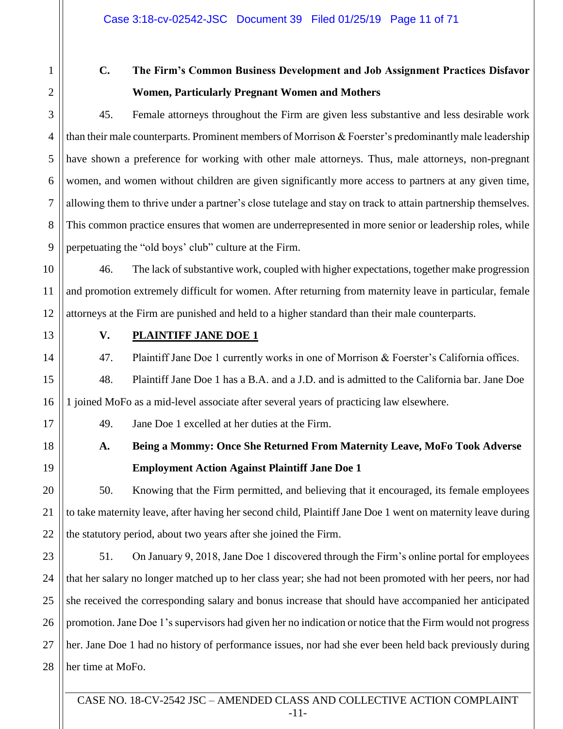2

3

4

5

6

7

8

9

1

# **C. The Firm's Common Business Development and Job Assignment Practices Disfavor Women, Particularly Pregnant Women and Mothers**

45. Female attorneys throughout the Firm are given less substantive and less desirable work than their male counterparts. Prominent members of Morrison & Foerster's predominantly male leadership have shown a preference for working with other male attorneys. Thus, male attorneys, non-pregnant women, and women without children are given significantly more access to partners at any given time, allowing them to thrive under a partner's close tutelage and stay on track to attain partnership themselves. This common practice ensures that women are underrepresented in more senior or leadership roles, while perpetuating the "old boys' club" culture at the Firm.

10 11 12 46. The lack of substantive work, coupled with higher expectations, together make progression and promotion extremely difficult for women. After returning from maternity leave in particular, female attorneys at the Firm are punished and held to a higher standard than their male counterparts.

13 14

15

16

17

18

19

20

21

22

## **V. PLAINTIFF JANE DOE 1**

47. Plaintiff Jane Doe 1 currently works in one of Morrison & Foerster's California offices.

48. Plaintiff Jane Doe 1 has a B.A. and a J.D. and is admitted to the California bar. Jane Doe 1 joined MoFo as a mid-level associate after several years of practicing law elsewhere.

49. Jane Doe 1 excelled at her duties at the Firm.

**A. Being a Mommy: Once She Returned From Maternity Leave, MoFo Took Adverse Employment Action Against Plaintiff Jane Doe 1** 

50. Knowing that the Firm permitted, and believing that it encouraged, its female employees to take maternity leave, after having her second child, Plaintiff Jane Doe 1 went on maternity leave during the statutory period, about two years after she joined the Firm.

23 24 25 26 27 28 51. On January 9, 2018, Jane Doe 1 discovered through the Firm's online portal for employees that her salary no longer matched up to her class year; she had not been promoted with her peers, nor had she received the corresponding salary and bonus increase that should have accompanied her anticipated promotion.Jane Doe 1's supervisors had given her no indication or notice that the Firm would not progress her. Jane Doe 1 had no history of performance issues, nor had she ever been held back previously during her time at MoFo.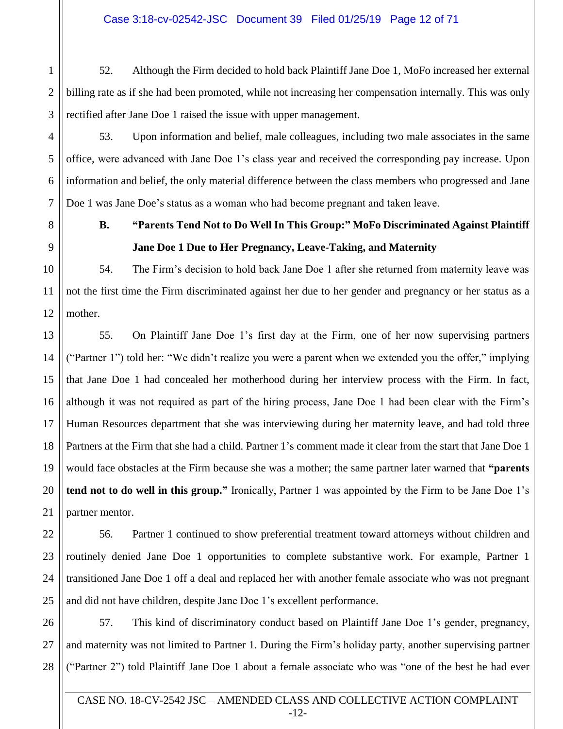2 52. Although the Firm decided to hold back Plaintiff Jane Doe 1, MoFo increased her external billing rate as if she had been promoted, while not increasing her compensation internally. This was only rectified after Jane Doe 1 raised the issue with upper management.

53. Upon information and belief, male colleagues, including two male associates in the same office, were advanced with Jane Doe 1's class year and received the corresponding pay increase. Upon information and belief, the only material difference between the class members who progressed and Jane Doe 1 was Jane Doe's status as a woman who had become pregnant and taken leave.

# **B. "Parents Tend Not to Do Well In This Group:" MoFo Discriminated Against Plaintiff Jane Doe 1 Due to Her Pregnancy, Leave-Taking, and Maternity**

54. The Firm's decision to hold back Jane Doe 1 after she returned from maternity leave was not the first time the Firm discriminated against her due to her gender and pregnancy or her status as a mother.

55. On Plaintiff Jane Doe 1's first day at the Firm, one of her now supervising partners ("Partner 1") told her: "We didn't realize you were a parent when we extended you the offer," implying that Jane Doe 1 had concealed her motherhood during her interview process with the Firm. In fact, although it was not required as part of the hiring process, Jane Doe 1 had been clear with the Firm's Human Resources department that she was interviewing during her maternity leave, and had told three Partners at the Firm that she had a child. Partner 1's comment made it clear from the start that Jane Doe 1 would face obstacles at the Firm because she was a mother; the same partner later warned that **"parents tend not to do well in this group."** Ironically, Partner 1 was appointed by the Firm to be Jane Doe 1's partner mentor.

56. Partner 1 continued to show preferential treatment toward attorneys without children and routinely denied Jane Doe 1 opportunities to complete substantive work. For example, Partner 1 transitioned Jane Doe 1 off a deal and replaced her with another female associate who was not pregnant and did not have children, despite Jane Doe 1's excellent performance.

57. This kind of discriminatory conduct based on Plaintiff Jane Doe 1's gender, pregnancy, and maternity was not limited to Partner 1. During the Firm's holiday party, another supervising partner ("Partner 2") told Plaintiff Jane Doe 1 about a female associate who was "one of the best he had ever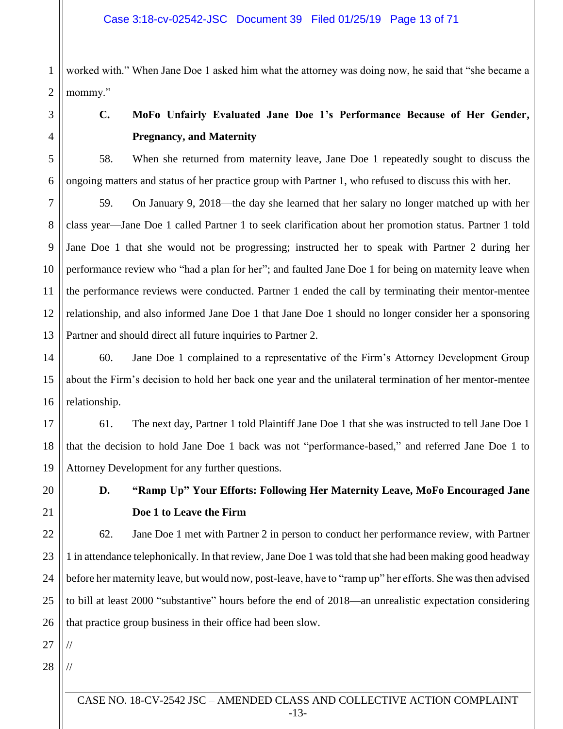1 2 worked with." When Jane Doe 1 asked him what the attorney was doing now, he said that "she became a mommy."

3

4

5

6

7

8

9

10

11

12

13

20

21

22

23

24

25

26

# **C. MoFo Unfairly Evaluated Jane Doe 1's Performance Because of Her Gender, Pregnancy, and Maternity**

58. When she returned from maternity leave, Jane Doe 1 repeatedly sought to discuss the ongoing matters and status of her practice group with Partner 1, who refused to discuss this with her.

59. On January 9, 2018—the day she learned that her salary no longer matched up with her class year—Jane Doe 1 called Partner 1 to seek clarification about her promotion status. Partner 1 told Jane Doe 1 that she would not be progressing; instructed her to speak with Partner 2 during her performance review who "had a plan for her"; and faulted Jane Doe 1 for being on maternity leave when the performance reviews were conducted. Partner 1 ended the call by terminating their mentor-mentee relationship, and also informed Jane Doe 1 that Jane Doe 1 should no longer consider her a sponsoring Partner and should direct all future inquiries to Partner 2.

14 15 16 60. Jane Doe 1 complained to a representative of the Firm's Attorney Development Group about the Firm's decision to hold her back one year and the unilateral termination of her mentor-mentee relationship.

17 18 19 61. The next day, Partner 1 told Plaintiff Jane Doe 1 that she was instructed to tell Jane Doe 1 that the decision to hold Jane Doe 1 back was not "performance-based," and referred Jane Doe 1 to Attorney Development for any further questions.

> **D. "Ramp Up" Your Efforts: Following Her Maternity Leave, MoFo Encouraged Jane Doe 1 to Leave the Firm**

62. Jane Doe 1 met with Partner 2 in person to conduct her performance review, with Partner 1 in attendance telephonically. In that review, Jane Doe 1 was told that she had been making good headway before her maternity leave, but would now, post-leave, have to "ramp up" her efforts. She was then advised to bill at least 2000 "substantive" hours before the end of 2018—an unrealistic expectation considering that practice group business in their office had been slow.

27

//

//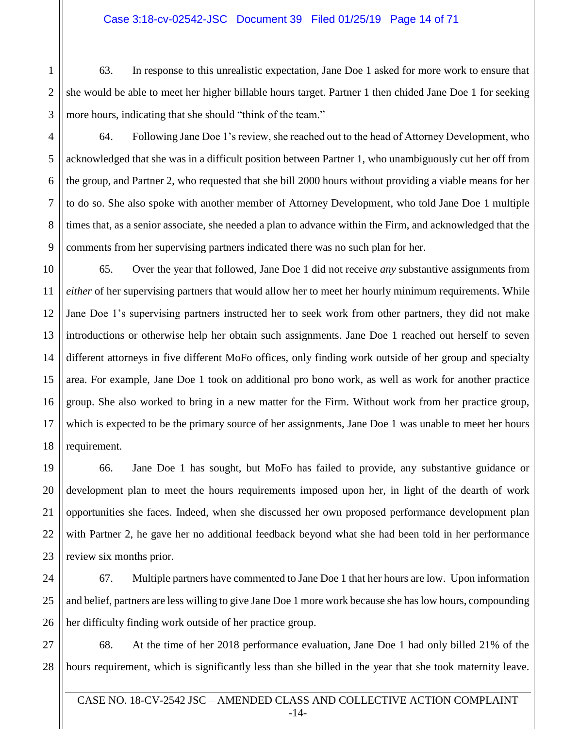## Case 3:18-cv-02542-JSC Document 39 Filed 01/25/19 Page 14 of 71

1 2 63. In response to this unrealistic expectation, Jane Doe 1 asked for more work to ensure that she would be able to meet her higher billable hours target. Partner 1 then chided Jane Doe 1 for seeking more hours, indicating that she should "think of the team."

64. Following Jane Doe 1's review, she reached out to the head of Attorney Development, who acknowledged that she was in a difficult position between Partner 1, who unambiguously cut her off from the group, and Partner 2, who requested that she bill 2000 hours without providing a viable means for her to do so. She also spoke with another member of Attorney Development, who told Jane Doe 1 multiple times that, as a senior associate, she needed a plan to advance within the Firm, and acknowledged that the comments from her supervising partners indicated there was no such plan for her.

65. Over the year that followed, Jane Doe 1 did not receive *any* substantive assignments from *either* of her supervising partners that would allow her to meet her hourly minimum requirements. While Jane Doe 1's supervising partners instructed her to seek work from other partners, they did not make introductions or otherwise help her obtain such assignments. Jane Doe 1 reached out herself to seven different attorneys in five different MoFo offices, only finding work outside of her group and specialty area. For example, Jane Doe 1 took on additional pro bono work, as well as work for another practice group. She also worked to bring in a new matter for the Firm. Without work from her practice group, which is expected to be the primary source of her assignments, Jane Doe 1 was unable to meet her hours requirement.

66. Jane Doe 1 has sought, but MoFo has failed to provide, any substantive guidance or development plan to meet the hours requirements imposed upon her, in light of the dearth of work opportunities she faces. Indeed, when she discussed her own proposed performance development plan with Partner 2, he gave her no additional feedback beyond what she had been told in her performance review six months prior.

67. Multiple partners have commented to Jane Doe 1 that her hours are low. Upon information and belief, partners are less willing to give Jane Doe 1 more work because she has low hours, compounding her difficulty finding work outside of her practice group.

68. At the time of her 2018 performance evaluation, Jane Doe 1 had only billed 21% of the hours requirement, which is significantly less than she billed in the year that she took maternity leave.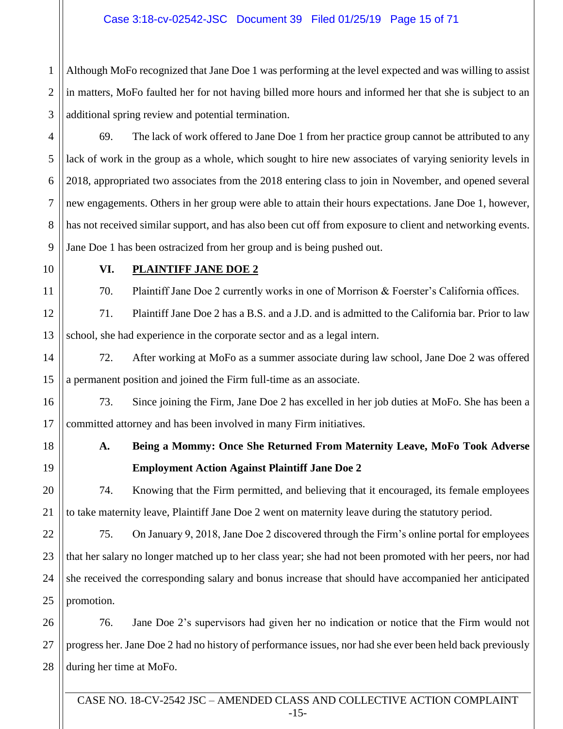1 2 3 Although MoFo recognized that Jane Doe 1 was performing at the level expected and was willing to assist in matters, MoFo faulted her for not having billed more hours and informed her that she is subject to an additional spring review and potential termination.

4 5 6 7 8 9 69. The lack of work offered to Jane Doe 1 from her practice group cannot be attributed to any lack of work in the group as a whole, which sought to hire new associates of varying seniority levels in 2018, appropriated two associates from the 2018 entering class to join in November, and opened several new engagements. Others in her group were able to attain their hours expectations. Jane Doe 1, however, has not received similar support, and has also been cut off from exposure to client and networking events. Jane Doe 1 has been ostracized from her group and is being pushed out.

10

11

## **VI. PLAINTIFF JANE DOE 2**

70. Plaintiff Jane Doe 2 currently works in one of Morrison & Foerster's California offices.

12 13 71. Plaintiff Jane Doe 2 has a B.S. and a J.D. and is admitted to the California bar. Prior to law school, she had experience in the corporate sector and as a legal intern.

14 15 72. After working at MoFo as a summer associate during law school, Jane Doe 2 was offered a permanent position and joined the Firm full-time as an associate.

73. Since joining the Firm, Jane Doe 2 has excelled in her job duties at MoFo. She has been a committed attorney and has been involved in many Firm initiatives.

16

17

18

19

20

21

# **A. Being a Mommy: Once She Returned From Maternity Leave, MoFo Took Adverse Employment Action Against Plaintiff Jane Doe 2**

74. Knowing that the Firm permitted, and believing that it encouraged, its female employees to take maternity leave, Plaintiff Jane Doe 2 went on maternity leave during the statutory period.

22 23 24 25 75. On January 9, 2018, Jane Doe 2 discovered through the Firm's online portal for employees that her salary no longer matched up to her class year; she had not been promoted with her peers, nor had she received the corresponding salary and bonus increase that should have accompanied her anticipated promotion.

26 27 28 76. Jane Doe 2's supervisors had given her no indication or notice that the Firm would not progress her. Jane Doe 2 had no history of performance issues, nor had she ever been held back previously during her time at MoFo.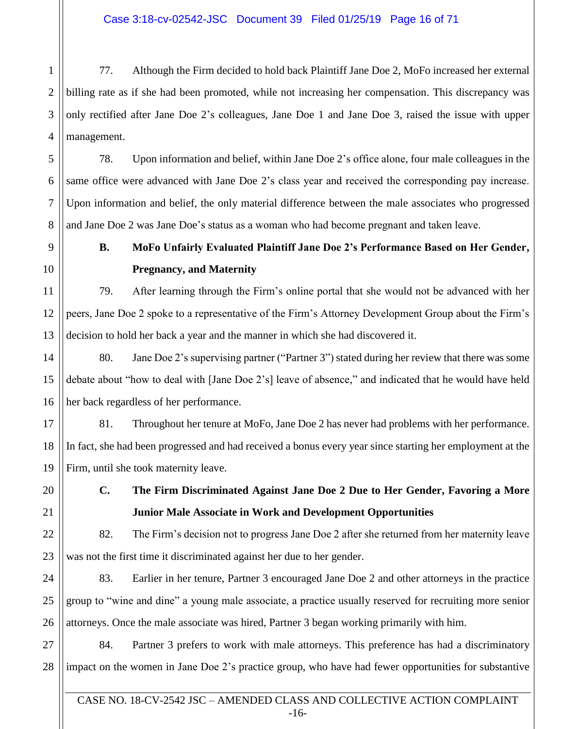1 2 3 4 77. Although the Firm decided to hold back Plaintiff Jane Doe 2, MoFo increased her external billing rate as if she had been promoted, while not increasing her compensation. This discrepancy was only rectified after Jane Doe 2's colleagues, Jane Doe 1 and Jane Doe 3, raised the issue with upper management.

78. Upon information and belief, within Jane Doe 2's office alone, four male colleagues in the same office were advanced with Jane Doe 2's class year and received the corresponding pay increase. Upon information and belief, the only material difference between the male associates who progressed and Jane Doe 2 was Jane Doe's status as a woman who had become pregnant and taken leave.

**B. MoFo Unfairly Evaluated Plaintiff Jane Doe 2's Performance Based on Her Gender, Pregnancy, and Maternity**

79. After learning through the Firm's online portal that she would not be advanced with her peers, Jane Doe 2 spoke to a representative of the Firm's Attorney Development Group about the Firm's decision to hold her back a year and the manner in which she had discovered it.

80. Jane Doe 2's supervising partner ("Partner 3") stated during her review that there was some debate about "how to deal with [Jane Doe 2's] leave of absence," and indicated that he would have held her back regardless of her performance.

17 18 19 81. Throughout her tenure at MoFo, Jane Doe 2 has never had problems with her performance. In fact, she had been progressed and had received a bonus every year since starting her employment at the Firm, until she took maternity leave.

20 21

22

23

5

6

7

8

9

10

11

12

13

14

15

16

# **C. The Firm Discriminated Against Jane Doe 2 Due to Her Gender, Favoring a More Junior Male Associate in Work and Development Opportunities**

82. The Firm's decision not to progress Jane Doe 2 after she returned from her maternity leave was not the first time it discriminated against her due to her gender.

24 25 26 83. Earlier in her tenure, Partner 3 encouraged Jane Doe 2 and other attorneys in the practice group to "wine and dine" a young male associate, a practice usually reserved for recruiting more senior attorneys. Once the male associate was hired, Partner 3 began working primarily with him.

27 28 84. Partner 3 prefers to work with male attorneys. This preference has had a discriminatory impact on the women in Jane Doe 2's practice group, who have had fewer opportunities for substantive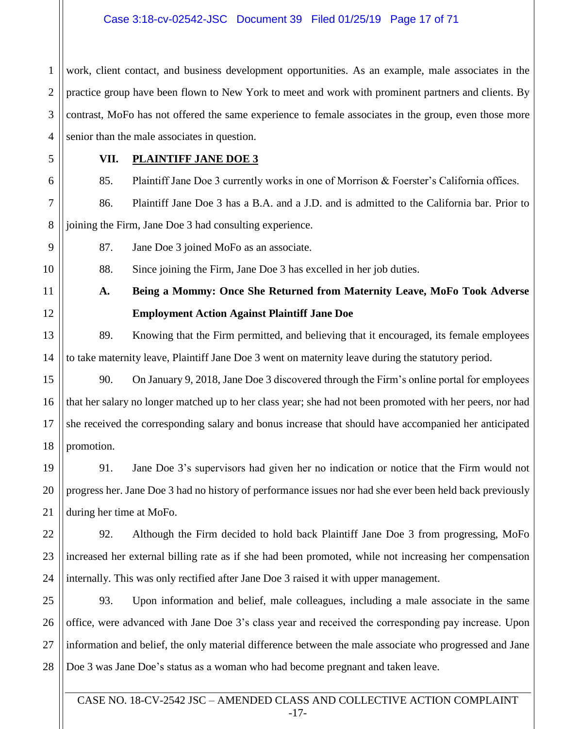## Case 3:18-cv-02542-JSC Document 39 Filed 01/25/19 Page 17 of 71

1 2 3 4 work, client contact, and business development opportunities. As an example, male associates in the practice group have been flown to New York to meet and work with prominent partners and clients. By contrast, MoFo has not offered the same experience to female associates in the group, even those more senior than the male associates in question.

5

6

9

10

11

12

19

20

21

## **VII. PLAINTIFF JANE DOE 3**

85. Plaintiff Jane Doe 3 currently works in one of Morrison & Foerster's California offices.

7 8 86. Plaintiff Jane Doe 3 has a B.A. and a J.D. and is admitted to the California bar. Prior to joining the Firm, Jane Doe 3 had consulting experience.

87. Jane Doe 3 joined MoFo as an associate.

88. Since joining the Firm, Jane Doe 3 has excelled in her job duties.

**A. Being a Mommy: Once She Returned from Maternity Leave, MoFo Took Adverse Employment Action Against Plaintiff Jane Doe**

13 14 89. Knowing that the Firm permitted, and believing that it encouraged, its female employees to take maternity leave, Plaintiff Jane Doe 3 went on maternity leave during the statutory period.

15 16 17 18 90. On January 9, 2018, Jane Doe 3 discovered through the Firm's online portal for employees that her salary no longer matched up to her class year; she had not been promoted with her peers, nor had she received the corresponding salary and bonus increase that should have accompanied her anticipated promotion.

91. Jane Doe 3's supervisors had given her no indication or notice that the Firm would not progress her. Jane Doe 3 had no history of performance issues nor had she ever been held back previously during her time at MoFo.

22 23 24 92. Although the Firm decided to hold back Plaintiff Jane Doe 3 from progressing, MoFo increased her external billing rate as if she had been promoted, while not increasing her compensation internally. This was only rectified after Jane Doe 3 raised it with upper management.

25 26 27 28 93. Upon information and belief, male colleagues, including a male associate in the same office, were advanced with Jane Doe 3's class year and received the corresponding pay increase. Upon information and belief, the only material difference between the male associate who progressed and Jane Doe 3 was Jane Doe's status as a woman who had become pregnant and taken leave.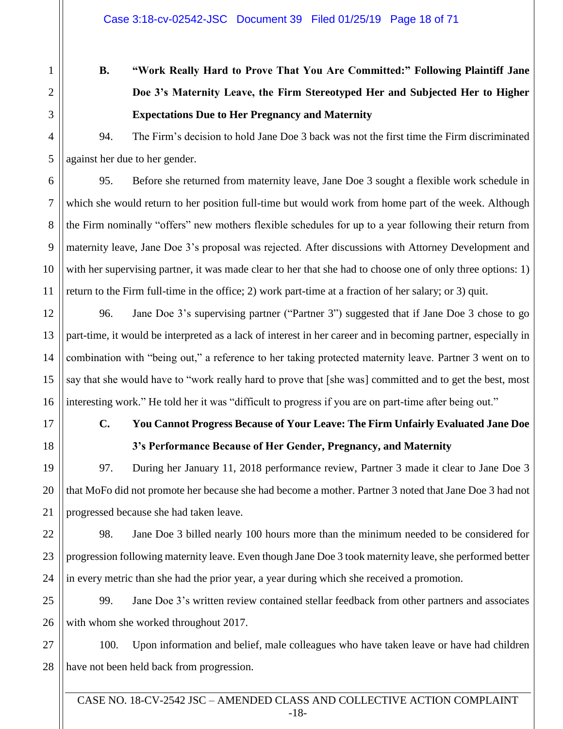# **B. "Work Really Hard to Prove That You Are Committed:" Following Plaintiff Jane Doe 3's Maternity Leave, the Firm Stereotyped Her and Subjected Her to Higher Expectations Due to Her Pregnancy and Maternity**

94. The Firm's decision to hold Jane Doe 3 back was not the first time the Firm discriminated against her due to her gender.

95. Before she returned from maternity leave, Jane Doe 3 sought a flexible work schedule in which she would return to her position full-time but would work from home part of the week. Although the Firm nominally "offers" new mothers flexible schedules for up to a year following their return from maternity leave, Jane Doe 3's proposal was rejected. After discussions with Attorney Development and with her supervising partner, it was made clear to her that she had to choose one of only three options: 1) return to the Firm full-time in the office; 2) work part-time at a fraction of her salary; or 3) quit.

96. Jane Doe 3's supervising partner ("Partner 3") suggested that if Jane Doe 3 chose to go part-time, it would be interpreted as a lack of interest in her career and in becoming partner, especially in combination with "being out," a reference to her taking protected maternity leave. Partner 3 went on to say that she would have to "work really hard to prove that [she was] committed and to get the best, most interesting work." He told her it was "difficult to progress if you are on part-time after being out."

# **C. You Cannot Progress Because of Your Leave: The Firm Unfairly Evaluated Jane Doe 3's Performance Because of Her Gender, Pregnancy, and Maternity**

97. During her January 11, 2018 performance review, Partner 3 made it clear to Jane Doe 3 that MoFo did not promote her because she had become a mother. Partner 3 noted that Jane Doe 3 had not progressed because she had taken leave.

98. Jane Doe 3 billed nearly 100 hours more than the minimum needed to be considered for progression following maternity leave. Even though Jane Doe 3 took maternity leave, she performed better in every metric than she had the prior year, a year during which she received a promotion.

26 99. Jane Doe 3's written review contained stellar feedback from other partners and associates with whom she worked throughout 2017.

27 28 100. Upon information and belief, male colleagues who have taken leave or have had children have not been held back from progression.

CASE NO. 18-CV-2542 JSC – AMENDED CLASS AND COLLECTIVE ACTION COMPLAINT -18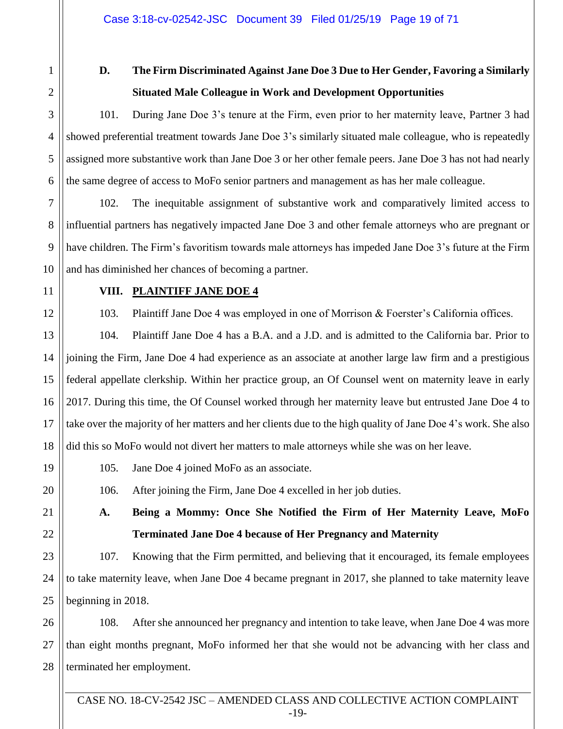2 3

4

5

6

7

8

9

10

11

12

17

19

20

1

# **D. The Firm Discriminated Against Jane Doe 3 Due to Her Gender, Favoring a Similarly Situated Male Colleague in Work and Development Opportunities**

101. During Jane Doe 3's tenure at the Firm, even prior to her maternity leave, Partner 3 had showed preferential treatment towards Jane Doe 3's similarly situated male colleague, who is repeatedly assigned more substantive work than Jane Doe 3 or her other female peers. Jane Doe 3 has not had nearly the same degree of access to MoFo senior partners and management as has her male colleague.

102. The inequitable assignment of substantive work and comparatively limited access to influential partners has negatively impacted Jane Doe 3 and other female attorneys who are pregnant or have children. The Firm's favoritism towards male attorneys has impeded Jane Doe 3's future at the Firm and has diminished her chances of becoming a partner.

## **VIII. PLAINTIFF JANE DOE 4**

103. Plaintiff Jane Doe 4 was employed in one of Morrison & Foerster's California offices.

13 14 15 16 18 104. Plaintiff Jane Doe 4 has a B.A. and a J.D. and is admitted to the California bar. Prior to joining the Firm, Jane Doe 4 had experience as an associate at another large law firm and a prestigious federal appellate clerkship. Within her practice group, an Of Counsel went on maternity leave in early 2017. During this time, the Of Counsel worked through her maternity leave but entrusted Jane Doe 4 to take over the majority of her matters and her clients due to the high quality of Jane Doe 4's work. She also did this so MoFo would not divert her matters to male attorneys while she was on her leave.

105. Jane Doe 4 joined MoFo as an associate.

106. After joining the Firm, Jane Doe 4 excelled in her job duties.

21 22 **A. Being a Mommy: Once She Notified the Firm of Her Maternity Leave, MoFo Terminated Jane Doe 4 because of Her Pregnancy and Maternity**

23 24 25 107. Knowing that the Firm permitted, and believing that it encouraged, its female employees to take maternity leave, when Jane Doe 4 became pregnant in 2017, she planned to take maternity leave beginning in 2018.

26 27 28 108. After she announced her pregnancy and intention to take leave, when Jane Doe 4 was more than eight months pregnant, MoFo informed her that she would not be advancing with her class and terminated her employment.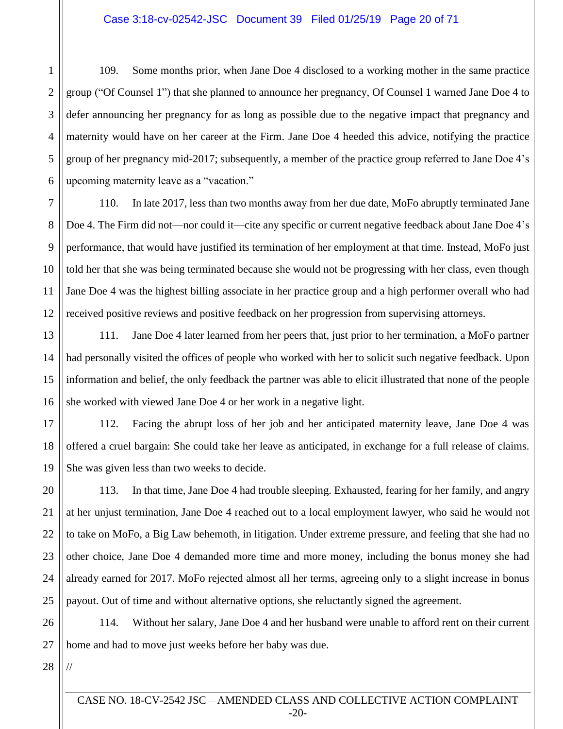1 109. Some months prior, when Jane Doe 4 disclosed to a working mother in the same practice group ("Of Counsel 1") that she planned to announce her pregnancy, Of Counsel 1 warned Jane Doe 4 to defer announcing her pregnancy for as long as possible due to the negative impact that pregnancy and maternity would have on her career at the Firm. Jane Doe 4 heeded this advice, notifying the practice group of her pregnancy mid-2017; subsequently, a member of the practice group referred to Jane Doe 4's upcoming maternity leave as a "vacation."

110. In late 2017, less than two months away from her due date, MoFo abruptly terminated Jane Doe 4. The Firm did not—nor could it—cite any specific or current negative feedback about Jane Doe 4's performance, that would have justified its termination of her employment at that time. Instead, MoFo just told her that she was being terminated because she would not be progressing with her class, even though Jane Doe 4 was the highest billing associate in her practice group and a high performer overall who had received positive reviews and positive feedback on her progression from supervising attorneys.

111. Jane Doe 4 later learned from her peers that, just prior to her termination, a MoFo partner had personally visited the offices of people who worked with her to solicit such negative feedback. Upon information and belief, the only feedback the partner was able to elicit illustrated that none of the people she worked with viewed Jane Doe 4 or her work in a negative light.

112. Facing the abrupt loss of her job and her anticipated maternity leave, Jane Doe 4 was offered a cruel bargain: She could take her leave as anticipated, in exchange for a full release of claims. She was given less than two weeks to decide.

113. In that time, Jane Doe 4 had trouble sleeping. Exhausted, fearing for her family, and angry at her unjust termination, Jane Doe 4 reached out to a local employment lawyer, who said he would not to take on MoFo, a Big Law behemoth, in litigation. Under extreme pressure, and feeling that she had no other choice, Jane Doe 4 demanded more time and more money, including the bonus money she had already earned for 2017. MoFo rejected almost all her terms, agreeing only to a slight increase in bonus payout. Out of time and without alternative options, she reluctantly signed the agreement.

114. Without her salary, Jane Doe 4 and her husband were unable to afford rent on their current home and had to move just weeks before her baby was due.

//

CASE NO. 18-CV-2542 JSC – AMENDED CLASS AND COLLECTIVE ACTION COMPLAINT -20-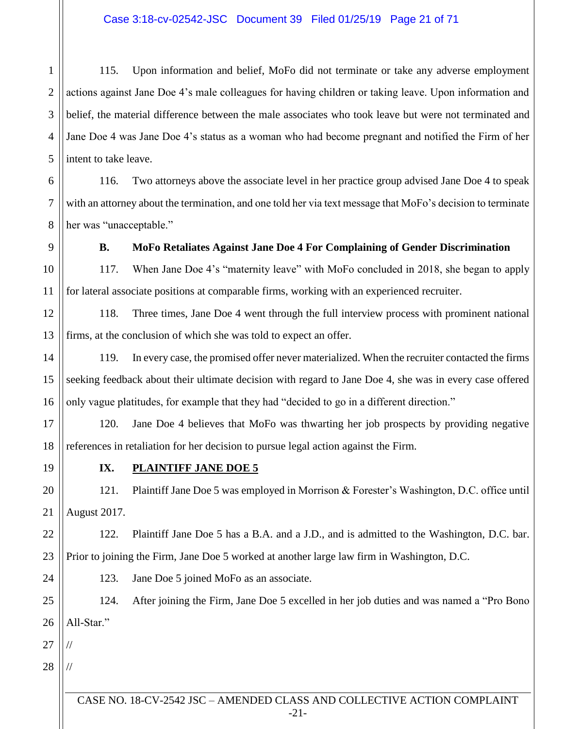1 2 3 4 5 115. Upon information and belief, MoFo did not terminate or take any adverse employment actions against Jane Doe 4's male colleagues for having children or taking leave. Upon information and belief, the material difference between the male associates who took leave but were not terminated and Jane Doe 4 was Jane Doe 4's status as a woman who had become pregnant and notified the Firm of her intent to take leave.

6 7 8 116. Two attorneys above the associate level in her practice group advised Jane Doe 4 to speak with an attorney about the termination, and one told her via text message that MoFo's decision to terminate her was "unacceptable."

9

10

11

#### **B. MoFo Retaliates Against Jane Doe 4 For Complaining of Gender Discrimination**

117. When Jane Doe 4's "maternity leave" with MoFo concluded in 2018, she began to apply for lateral associate positions at comparable firms, working with an experienced recruiter.

12 13 118. Three times, Jane Doe 4 went through the full interview process with prominent national firms, at the conclusion of which she was told to expect an offer.

14 15 16 119. In every case, the promised offer never materialized. When the recruiter contacted the firms seeking feedback about their ultimate decision with regard to Jane Doe 4, she was in every case offered only vague platitudes, for example that they had "decided to go in a different direction."

17 18 120. Jane Doe 4 believes that MoFo was thwarting her job prospects by providing negative references in retaliation for her decision to pursue legal action against the Firm.

19

### **IX. PLAINTIFF JANE DOE 5**

20 21 121. Plaintiff Jane Doe 5 was employed in Morrison & Forester's Washington, D.C. office until August 2017.

22 23 122. Plaintiff Jane Doe 5 has a B.A. and a J.D., and is admitted to the Washington, D.C. bar. Prior to joining the Firm, Jane Doe 5 worked at another large law firm in Washington, D.C.

123. Jane Doe 5 joined MoFo as an associate.

25 26 124. After joining the Firm, Jane Doe 5 excelled in her job duties and was named a "Pro Bono All-Star."

27

//

//

24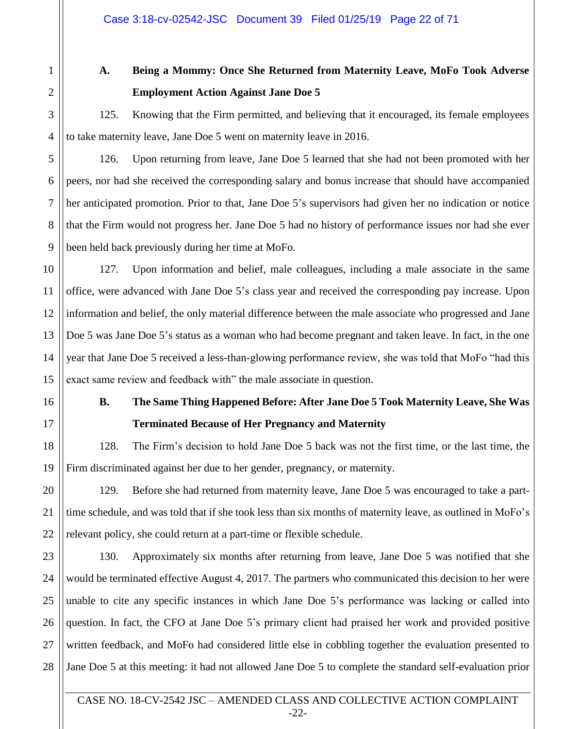1

2

3

4

5

6

7

8

9

10

11

12

13

14

15

16

17

18

19

20

21

22

# **A. Being a Mommy: Once She Returned from Maternity Leave, MoFo Took Adverse Employment Action Against Jane Doe 5**

125. Knowing that the Firm permitted, and believing that it encouraged, its female employees to take maternity leave, Jane Doe 5 went on maternity leave in 2016.

126. Upon returning from leave, Jane Doe 5 learned that she had not been promoted with her peers, nor had she received the corresponding salary and bonus increase that should have accompanied her anticipated promotion. Prior to that, Jane Doe 5's supervisors had given her no indication or notice that the Firm would not progress her. Jane Doe 5 had no history of performance issues nor had she ever been held back previously during her time at MoFo.

127. Upon information and belief, male colleagues, including a male associate in the same office, were advanced with Jane Doe 5's class year and received the corresponding pay increase. Upon information and belief, the only material difference between the male associate who progressed and Jane Doe 5 was Jane Doe 5's status as a woman who had become pregnant and taken leave. In fact, in the one year that Jane Doe 5 received a less-than-glowing performance review, she was told that MoFo "had this exact same review and feedback with" the male associate in question.

# **B. The Same Thing Happened Before: After Jane Doe 5 Took Maternity Leave, She Was Terminated Because of Her Pregnancy and Maternity**

128. The Firm's decision to hold Jane Doe 5 back was not the first time, or the last time, the Firm discriminated against her due to her gender, pregnancy, or maternity.

129. Before she had returned from maternity leave, Jane Doe 5 was encouraged to take a parttime schedule, and was told that if she took less than six months of maternity leave, as outlined in MoFo's relevant policy, she could return at a part-time or flexible schedule.

23 24 25 26 27 28 130. Approximately six months after returning from leave, Jane Doe 5 was notified that she would be terminated effective August 4, 2017. The partners who communicated this decision to her were unable to cite any specific instances in which Jane Doe 5's performance was lacking or called into question. In fact, the CFO at Jane Doe 5's primary client had praised her work and provided positive written feedback, and MoFo had considered little else in cobbling together the evaluation presented to Jane Doe 5 at this meeting: it had not allowed Jane Doe 5 to complete the standard self-evaluation prior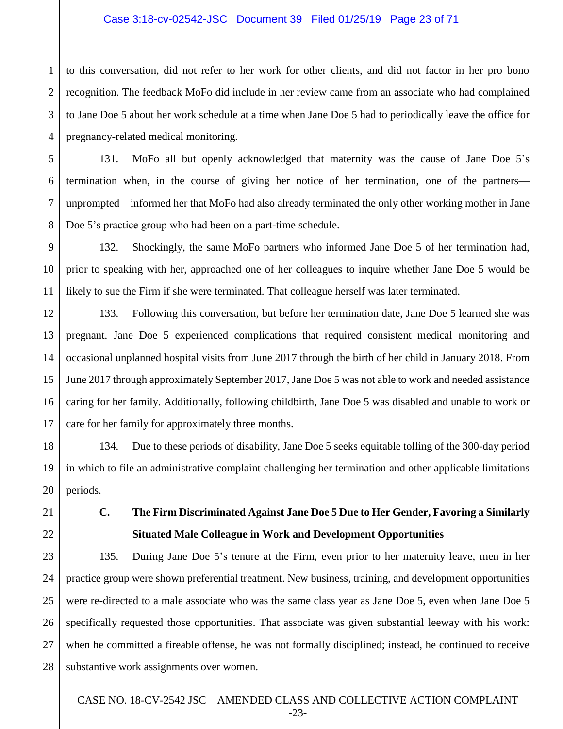## Case 3:18-cv-02542-JSC Document 39 Filed 01/25/19 Page 23 of 71

to this conversation, did not refer to her work for other clients, and did not factor in her pro bono recognition. The feedback MoFo did include in her review came from an associate who had complained to Jane Doe 5 about her work schedule at a time when Jane Doe 5 had to periodically leave the office for pregnancy-related medical monitoring.

131. MoFo all but openly acknowledged that maternity was the cause of Jane Doe 5's termination when, in the course of giving her notice of her termination, one of the partners unprompted—informed her that MoFo had also already terminated the only other working mother in Jane Doe 5's practice group who had been on a part-time schedule.

132. Shockingly, the same MoFo partners who informed Jane Doe 5 of her termination had, prior to speaking with her, approached one of her colleagues to inquire whether Jane Doe 5 would be likely to sue the Firm if she were terminated. That colleague herself was later terminated.

133. Following this conversation, but before her termination date, Jane Doe 5 learned she was pregnant. Jane Doe 5 experienced complications that required consistent medical monitoring and occasional unplanned hospital visits from June 2017 through the birth of her child in January 2018. From June 2017 through approximately September 2017, Jane Doe 5 was not able to work and needed assistance caring for her family. Additionally, following childbirth, Jane Doe 5 was disabled and unable to work or care for her family for approximately three months.

134. Due to these periods of disability, Jane Doe 5 seeks equitable tolling of the 300-day period in which to file an administrative complaint challenging her termination and other applicable limitations periods.

**C. The Firm Discriminated Against Jane Doe 5 Due to Her Gender, Favoring a Similarly Situated Male Colleague in Work and Development Opportunities**

135. During Jane Doe 5's tenure at the Firm, even prior to her maternity leave, men in her practice group were shown preferential treatment. New business, training, and development opportunities were re-directed to a male associate who was the same class year as Jane Doe 5, even when Jane Doe 5 specifically requested those opportunities. That associate was given substantial leeway with his work: when he committed a fireable offense, he was not formally disciplined; instead, he continued to receive substantive work assignments over women.

CASE NO. 18-CV-2542 JSC – AMENDED CLASS AND COLLECTIVE ACTION COMPLAINT -23-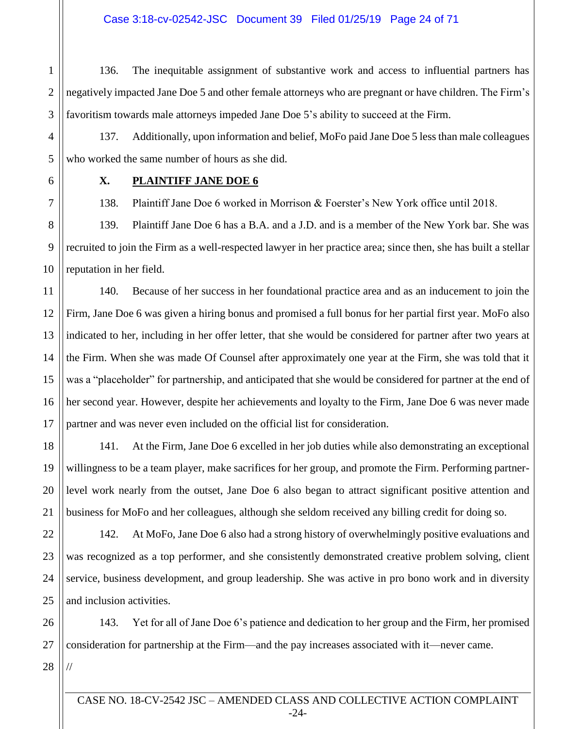## Case 3:18-cv-02542-JSC Document 39 Filed 01/25/19 Page 24 of 71

2 3 136. The inequitable assignment of substantive work and access to influential partners has negatively impacted Jane Doe 5 and other female attorneys who are pregnant or have children. The Firm's favoritism towards male attorneys impeded Jane Doe 5's ability to succeed at the Firm.

137. Additionally, upon information and belief, MoFo paid Jane Doe 5 less than male colleagues who worked the same number of hours as she did.

1

## **X. PLAINTIFF JANE DOE 6**

138. Plaintiff Jane Doe 6 worked in Morrison & Foerster's New York office until 2018.

139. Plaintiff Jane Doe 6 has a B.A. and a J.D. and is a member of the New York bar. She was recruited to join the Firm as a well-respected lawyer in her practice area; since then, she has built a stellar reputation in her field.

140. Because of her success in her foundational practice area and as an inducement to join the Firm, Jane Doe 6 was given a hiring bonus and promised a full bonus for her partial first year. MoFo also indicated to her, including in her offer letter, that she would be considered for partner after two years at the Firm. When she was made Of Counsel after approximately one year at the Firm, she was told that it was a "placeholder" for partnership, and anticipated that she would be considered for partner at the end of her second year. However, despite her achievements and loyalty to the Firm, Jane Doe 6 was never made partner and was never even included on the official list for consideration.

141. At the Firm, Jane Doe 6 excelled in her job duties while also demonstrating an exceptional willingness to be a team player, make sacrifices for her group, and promote the Firm. Performing partnerlevel work nearly from the outset, Jane Doe 6 also began to attract significant positive attention and business for MoFo and her colleagues, although she seldom received any billing credit for doing so.

142. At MoFo, Jane Doe 6 also had a strong history of overwhelmingly positive evaluations and was recognized as a top performer, and she consistently demonstrated creative problem solving, client service, business development, and group leadership. She was active in pro bono work and in diversity and inclusion activities.

143. Yet for all of Jane Doe 6's patience and dedication to her group and the Firm, her promised consideration for partnership at the Firm—and the pay increases associated with it—never came.

//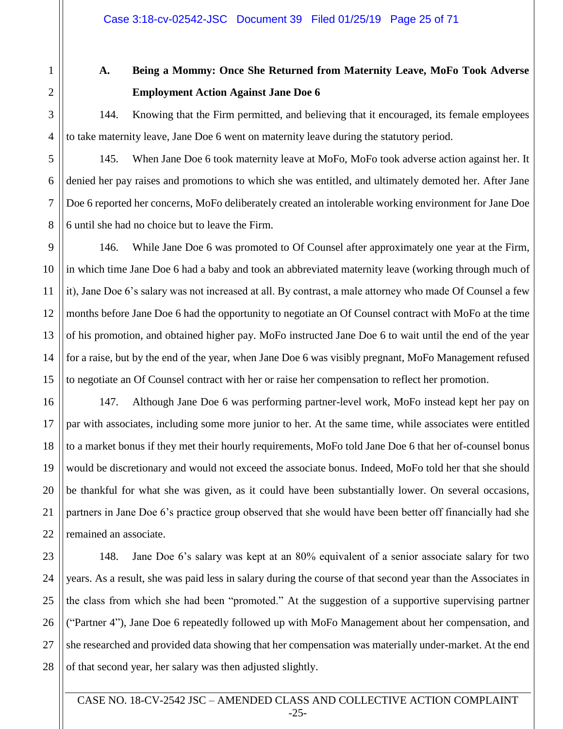1

# **A. Being a Mommy: Once She Returned from Maternity Leave, MoFo Took Adverse Employment Action Against Jane Doe 6**

144. Knowing that the Firm permitted, and believing that it encouraged, its female employees to take maternity leave, Jane Doe 6 went on maternity leave during the statutory period.

145. When Jane Doe 6 took maternity leave at MoFo, MoFo took adverse action against her. It denied her pay raises and promotions to which she was entitled, and ultimately demoted her. After Jane Doe 6 reported her concerns, MoFo deliberately created an intolerable working environment for Jane Doe 6 until she had no choice but to leave the Firm.

146. While Jane Doe 6 was promoted to Of Counsel after approximately one year at the Firm, in which time Jane Doe 6 had a baby and took an abbreviated maternity leave (working through much of it), Jane Doe 6's salary was not increased at all. By contrast, a male attorney who made Of Counsel a few months before Jane Doe 6 had the opportunity to negotiate an Of Counsel contract with MoFo at the time of his promotion, and obtained higher pay. MoFo instructed Jane Doe 6 to wait until the end of the year for a raise, but by the end of the year, when Jane Doe 6 was visibly pregnant, MoFo Management refused to negotiate an Of Counsel contract with her or raise her compensation to reflect her promotion.

147. Although Jane Doe 6 was performing partner-level work, MoFo instead kept her pay on par with associates, including some more junior to her. At the same time, while associates were entitled to a market bonus if they met their hourly requirements, MoFo told Jane Doe 6 that her of-counsel bonus would be discretionary and would not exceed the associate bonus. Indeed, MoFo told her that she should be thankful for what she was given, as it could have been substantially lower. On several occasions, partners in Jane Doe 6's practice group observed that she would have been better off financially had she remained an associate.

148. Jane Doe 6's salary was kept at an 80% equivalent of a senior associate salary for two years. As a result, she was paid less in salary during the course of that second year than the Associates in the class from which she had been "promoted." At the suggestion of a supportive supervising partner ("Partner 4"), Jane Doe 6 repeatedly followed up with MoFo Management about her compensation, and she researched and provided data showing that her compensation was materially under-market. At the end of that second year, her salary was then adjusted slightly.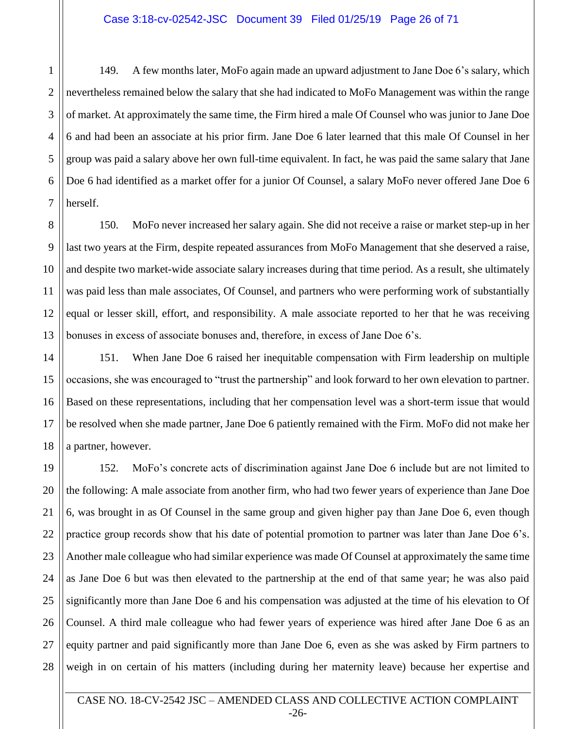1 2 149. A few months later, MoFo again made an upward adjustment to Jane Doe 6's salary, which nevertheless remained below the salary that she had indicated to MoFo Management was within the range of market. At approximately the same time, the Firm hired a male Of Counsel who was junior to Jane Doe 6 and had been an associate at his prior firm. Jane Doe 6 later learned that this male Of Counsel in her group was paid a salary above her own full-time equivalent. In fact, he was paid the same salary that Jane Doe 6 had identified as a market offer for a junior Of Counsel, a salary MoFo never offered Jane Doe 6 herself.

150. MoFo never increased her salary again. She did not receive a raise or market step-up in her last two years at the Firm, despite repeated assurances from MoFo Management that she deserved a raise, and despite two market-wide associate salary increases during that time period. As a result, she ultimately was paid less than male associates, Of Counsel, and partners who were performing work of substantially equal or lesser skill, effort, and responsibility. A male associate reported to her that he was receiving bonuses in excess of associate bonuses and, therefore, in excess of Jane Doe 6's.

151. When Jane Doe 6 raised her inequitable compensation with Firm leadership on multiple occasions, she was encouraged to "trust the partnership" and look forward to her own elevation to partner. Based on these representations, including that her compensation level was a short-term issue that would be resolved when she made partner, Jane Doe 6 patiently remained with the Firm. MoFo did not make her a partner, however.

152. MoFo's concrete acts of discrimination against Jane Doe 6 include but are not limited to the following: A male associate from another firm, who had two fewer years of experience than Jane Doe 6, was brought in as Of Counsel in the same group and given higher pay than Jane Doe 6, even though practice group records show that his date of potential promotion to partner was later than Jane Doe 6's. Another male colleague who had similar experience was made Of Counsel at approximately the same time as Jane Doe 6 but was then elevated to the partnership at the end of that same year; he was also paid significantly more than Jane Doe 6 and his compensation was adjusted at the time of his elevation to Of Counsel. A third male colleague who had fewer years of experience was hired after Jane Doe 6 as an equity partner and paid significantly more than Jane Doe 6, even as she was asked by Firm partners to weigh in on certain of his matters (including during her maternity leave) because her expertise and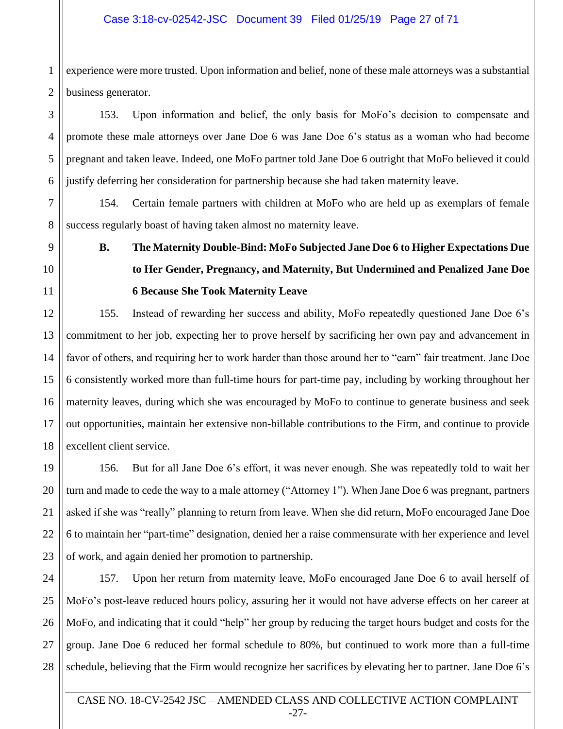1 experience were more trusted. Upon information and belief, none of these male attorneys was a substantial business generator.

153. Upon information and belief, the only basis for MoFo's decision to compensate and promote these male attorneys over Jane Doe 6 was Jane Doe 6's status as a woman who had become pregnant and taken leave. Indeed, one MoFo partner told Jane Doe 6 outright that MoFo believed it could justify deferring her consideration for partnership because she had taken maternity leave.

154. Certain female partners with children at MoFo who are held up as exemplars of female success regularly boast of having taken almost no maternity leave.

**B. The Maternity Double-Bind: MoFo Subjected Jane Doe 6 to Higher Expectations Due to Her Gender, Pregnancy, and Maternity, But Undermined and Penalized Jane Doe 6 Because She Took Maternity Leave**

155. Instead of rewarding her success and ability, MoFo repeatedly questioned Jane Doe 6's commitment to her job, expecting her to prove herself by sacrificing her own pay and advancement in favor of others, and requiring her to work harder than those around her to "earn" fair treatment. Jane Doe 6 consistently worked more than full-time hours for part-time pay, including by working throughout her maternity leaves, during which she was encouraged by MoFo to continue to generate business and seek out opportunities, maintain her extensive non-billable contributions to the Firm, and continue to provide excellent client service.

156. But for all Jane Doe 6's effort, it was never enough. She was repeatedly told to wait her turn and made to cede the way to a male attorney ("Attorney 1"). When Jane Doe 6 was pregnant, partners asked if she was "really" planning to return from leave. When she did return, MoFo encouraged Jane Doe 6 to maintain her "part-time" designation, denied her a raise commensurate with her experience and level of work, and again denied her promotion to partnership.

157. Upon her return from maternity leave, MoFo encouraged Jane Doe 6 to avail herself of MoFo's post-leave reduced hours policy, assuring her it would not have adverse effects on her career at MoFo, and indicating that it could "help" her group by reducing the target hours budget and costs for the group. Jane Doe 6 reduced her formal schedule to 80%, but continued to work more than a full-time schedule, believing that the Firm would recognize her sacrifices by elevating her to partner. Jane Doe 6's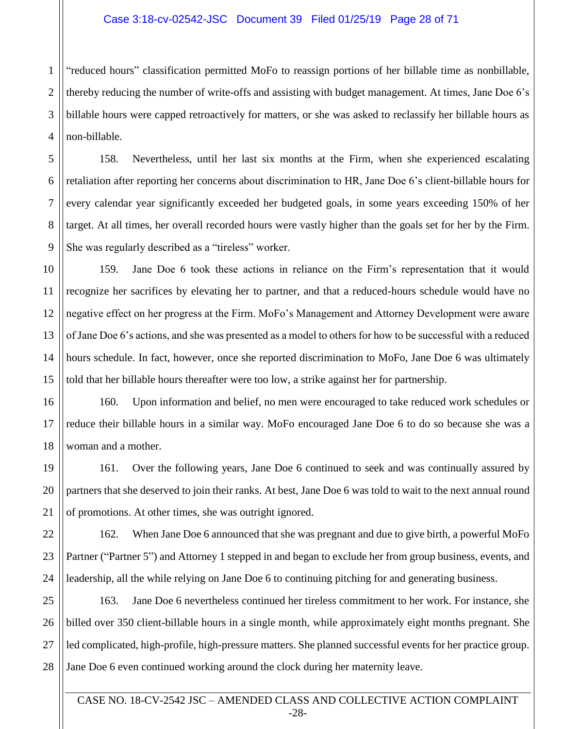#### Case 3:18-cv-02542-JSC Document 39 Filed 01/25/19 Page 28 of 71

1 2 "reduced hours" classification permitted MoFo to reassign portions of her billable time as nonbillable, thereby reducing the number of write-offs and assisting with budget management. At times, Jane Doe 6's billable hours were capped retroactively for matters, or she was asked to reclassify her billable hours as non-billable.

158. Nevertheless, until her last six months at the Firm, when she experienced escalating retaliation after reporting her concerns about discrimination to HR, Jane Doe 6's client-billable hours for every calendar year significantly exceeded her budgeted goals, in some years exceeding 150% of her target. At all times, her overall recorded hours were vastly higher than the goals set for her by the Firm. She was regularly described as a "tireless" worker.

159. Jane Doe 6 took these actions in reliance on the Firm's representation that it would recognize her sacrifices by elevating her to partner, and that a reduced-hours schedule would have no negative effect on her progress at the Firm. MoFo's Management and Attorney Development were aware of Jane Doe 6's actions, and she was presented as a model to others for how to be successful with a reduced hours schedule. In fact, however, once she reported discrimination to MoFo, Jane Doe 6 was ultimately told that her billable hours thereafter were too low, a strike against her for partnership.

160. Upon information and belief, no men were encouraged to take reduced work schedules or reduce their billable hours in a similar way. MoFo encouraged Jane Doe 6 to do so because she was a woman and a mother.

161. Over the following years, Jane Doe 6 continued to seek and was continually assured by partners that she deserved to join their ranks. At best, Jane Doe 6 was told to wait to the next annual round of promotions. At other times, she was outright ignored.

162. When Jane Doe 6 announced that she was pregnant and due to give birth, a powerful MoFo Partner ("Partner 5") and Attorney 1 stepped in and began to exclude her from group business, events, and leadership, all the while relying on Jane Doe 6 to continuing pitching for and generating business.

163. Jane Doe 6 nevertheless continued her tireless commitment to her work. For instance, she billed over 350 client-billable hours in a single month, while approximately eight months pregnant. She led complicated, high-profile, high-pressure matters. She planned successful events for her practice group. Jane Doe 6 even continued working around the clock during her maternity leave.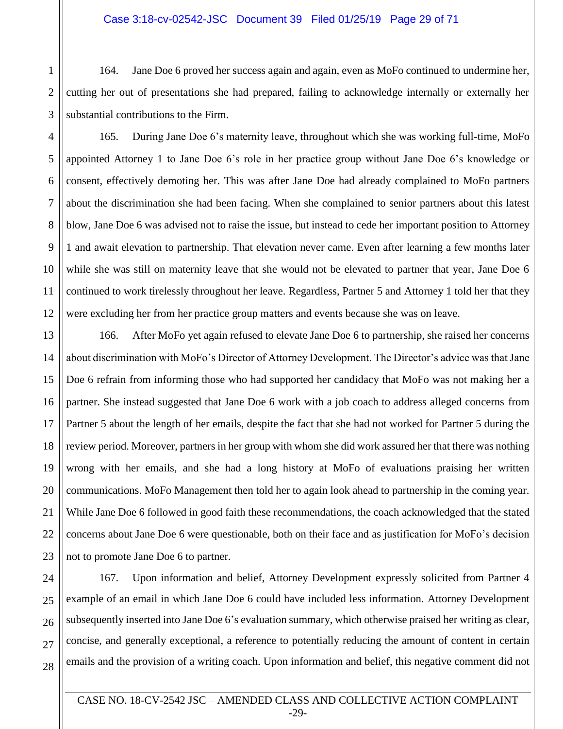## Case 3:18-cv-02542-JSC Document 39 Filed 01/25/19 Page 29 of 71

1 2 164. Jane Doe 6 proved her success again and again, even as MoFo continued to undermine her, cutting her out of presentations she had prepared, failing to acknowledge internally or externally her substantial contributions to the Firm.

165. During Jane Doe 6's maternity leave, throughout which she was working full-time, MoFo appointed Attorney 1 to Jane Doe 6's role in her practice group without Jane Doe 6's knowledge or consent, effectively demoting her. This was after Jane Doe had already complained to MoFo partners about the discrimination she had been facing. When she complained to senior partners about this latest blow, Jane Doe 6 was advised not to raise the issue, but instead to cede her important position to Attorney 1 and await elevation to partnership. That elevation never came. Even after learning a few months later while she was still on maternity leave that she would not be elevated to partner that year, Jane Doe 6 continued to work tirelessly throughout her leave. Regardless, Partner 5 and Attorney 1 told her that they were excluding her from her practice group matters and events because she was on leave.

166. After MoFo yet again refused to elevate Jane Doe 6 to partnership, she raised her concerns about discrimination with MoFo's Director of Attorney Development. The Director's advice was that Jane Doe 6 refrain from informing those who had supported her candidacy that MoFo was not making her a partner. She instead suggested that Jane Doe 6 work with a job coach to address alleged concerns from Partner 5 about the length of her emails, despite the fact that she had not worked for Partner 5 during the review period. Moreover, partners in her group with whom she did work assured her that there was nothing wrong with her emails, and she had a long history at MoFo of evaluations praising her written communications. MoFo Management then told her to again look ahead to partnership in the coming year. While Jane Doe 6 followed in good faith these recommendations, the coach acknowledged that the stated concerns about Jane Doe 6 were questionable, both on their face and as justification for MoFo's decision not to promote Jane Doe 6 to partner.

167. Upon information and belief, Attorney Development expressly solicited from Partner 4 example of an email in which Jane Doe 6 could have included less information. Attorney Development subsequently inserted into Jane Doe 6's evaluation summary, which otherwise praised her writing as clear, concise, and generally exceptional, a reference to potentially reducing the amount of content in certain emails and the provision of a writing coach. Upon information and belief, this negative comment did not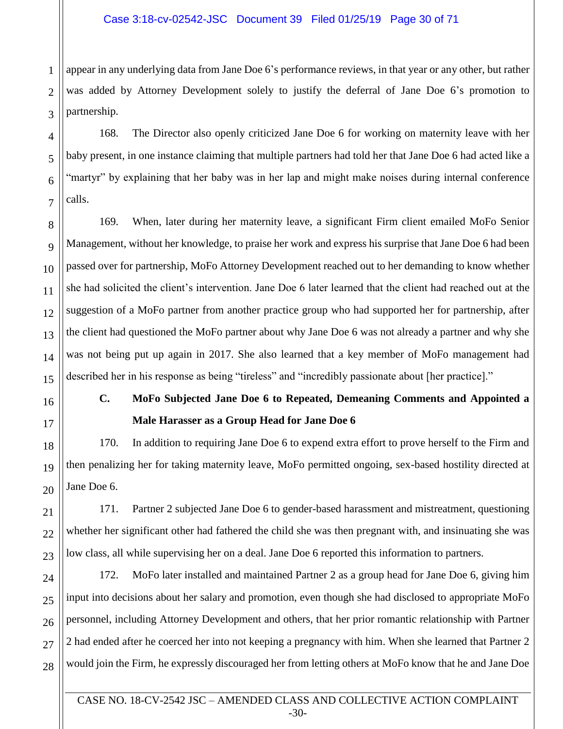## Case 3:18-cv-02542-JSC Document 39 Filed 01/25/19 Page 30 of 71

1 appear in any underlying data from Jane Doe 6's performance reviews, in that year or any other, but rather was added by Attorney Development solely to justify the deferral of Jane Doe 6's promotion to partnership.

168. The Director also openly criticized Jane Doe 6 for working on maternity leave with her baby present, in one instance claiming that multiple partners had told her that Jane Doe 6 had acted like a "martyr" by explaining that her baby was in her lap and might make noises during internal conference calls.

169. When, later during her maternity leave, a significant Firm client emailed MoFo Senior Management, without her knowledge, to praise her work and express his surprise that Jane Doe 6 had been passed over for partnership, MoFo Attorney Development reached out to her demanding to know whether she had solicited the client's intervention. Jane Doe 6 later learned that the client had reached out at the suggestion of a MoFo partner from another practice group who had supported her for partnership, after the client had questioned the MoFo partner about why Jane Doe 6 was not already a partner and why she was not being put up again in 2017. She also learned that a key member of MoFo management had described her in his response as being "tireless" and "incredibly passionate about [her practice]."

# **C. MoFo Subjected Jane Doe 6 to Repeated, Demeaning Comments and Appointed a Male Harasser as a Group Head for Jane Doe 6**

170. In addition to requiring Jane Doe 6 to expend extra effort to prove herself to the Firm and then penalizing her for taking maternity leave, MoFo permitted ongoing, sex-based hostility directed at Jane Doe 6.

171. Partner 2 subjected Jane Doe 6 to gender-based harassment and mistreatment, questioning whether her significant other had fathered the child she was then pregnant with, and insinuating she was low class, all while supervising her on a deal. Jane Doe 6 reported this information to partners.

172. MoFo later installed and maintained Partner 2 as a group head for Jane Doe 6, giving him input into decisions about her salary and promotion, even though she had disclosed to appropriate MoFo personnel, including Attorney Development and others, that her prior romantic relationship with Partner 2 had ended after he coerced her into not keeping a pregnancy with him. When she learned that Partner 2 would join the Firm, he expressly discouraged her from letting others at MoFo know that he and Jane Doe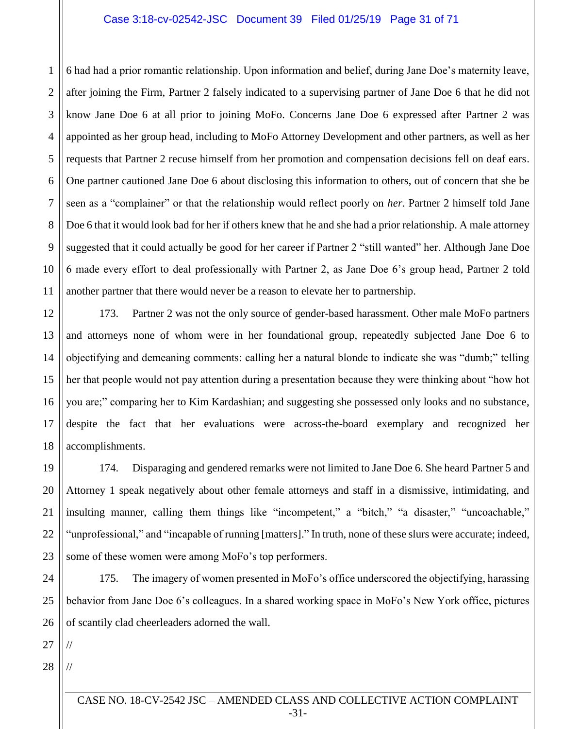#### Case 3:18-cv-02542-JSC Document 39 Filed 01/25/19 Page 31 of 71

7 9 10 6 had had a prior romantic relationship. Upon information and belief, during Jane Doe's maternity leave, after joining the Firm, Partner 2 falsely indicated to a supervising partner of Jane Doe 6 that he did not know Jane Doe 6 at all prior to joining MoFo. Concerns Jane Doe 6 expressed after Partner 2 was appointed as her group head, including to MoFo Attorney Development and other partners, as well as her requests that Partner 2 recuse himself from her promotion and compensation decisions fell on deaf ears. One partner cautioned Jane Doe 6 about disclosing this information to others, out of concern that she be seen as a "complainer" or that the relationship would reflect poorly on *her*. Partner 2 himself told Jane Doe 6 that it would look bad for her if others knew that he and she had a prior relationship. A male attorney suggested that it could actually be good for her career if Partner 2 "still wanted" her. Although Jane Doe 6 made every effort to deal professionally with Partner 2, as Jane Doe 6's group head, Partner 2 told another partner that there would never be a reason to elevate her to partnership.

173. Partner 2 was not the only source of gender-based harassment. Other male MoFo partners and attorneys none of whom were in her foundational group, repeatedly subjected Jane Doe 6 to objectifying and demeaning comments: calling her a natural blonde to indicate she was "dumb;" telling her that people would not pay attention during a presentation because they were thinking about "how hot you are;" comparing her to Kim Kardashian; and suggesting she possessed only looks and no substance, despite the fact that her evaluations were across-the-board exemplary and recognized her accomplishments.

174. Disparaging and gendered remarks were not limited to Jane Doe 6. She heard Partner 5 and Attorney 1 speak negatively about other female attorneys and staff in a dismissive, intimidating, and insulting manner, calling them things like "incompetent," a "bitch," "a disaster," "uncoachable," "unprofessional," and "incapable of running [matters]." In truth, none of these slurs were accurate; indeed, some of these women were among MoFo's top performers.

24 25 26 175. The imagery of women presented in MoFo's office underscored the objectifying, harassing behavior from Jane Doe 6's colleagues. In a shared working space in MoFo's New York office, pictures of scantily clad cheerleaders adorned the wall.

27

//

//

1

2

3

4

5

6

8

11

12

13

14

15

16

17

18

19

20

21

22

23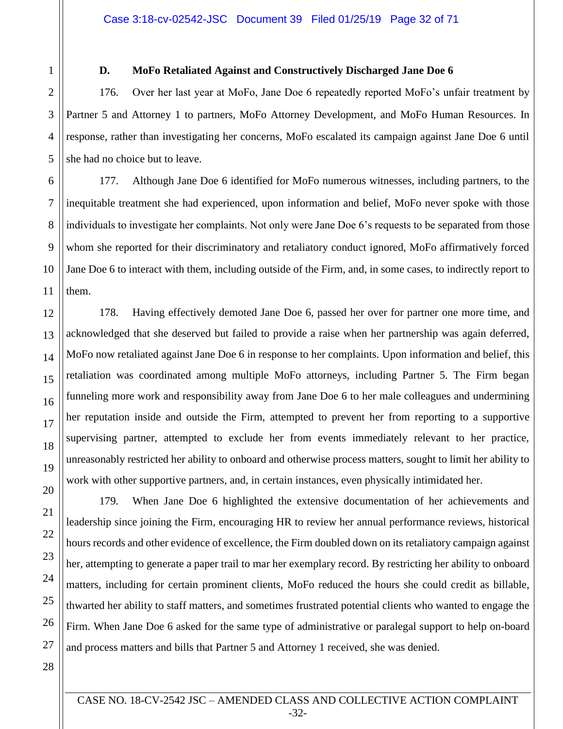1

2

3

4

5

12

13

14

15

16

17

18

19

20

21

22

23

24

25

26

27

## **D. MoFo Retaliated Against and Constructively Discharged Jane Doe 6**

176. Over her last year at MoFo, Jane Doe 6 repeatedly reported MoFo's unfair treatment by Partner 5 and Attorney 1 to partners, MoFo Attorney Development, and MoFo Human Resources. In response, rather than investigating her concerns, MoFo escalated its campaign against Jane Doe 6 until she had no choice but to leave.

6 7 8 9 10 11 177. Although Jane Doe 6 identified for MoFo numerous witnesses, including partners, to the inequitable treatment she had experienced, upon information and belief, MoFo never spoke with those individuals to investigate her complaints. Not only were Jane Doe 6's requests to be separated from those whom she reported for their discriminatory and retaliatory conduct ignored, MoFo affirmatively forced Jane Doe 6 to interact with them, including outside of the Firm, and, in some cases, to indirectly report to them.

178. Having effectively demoted Jane Doe 6, passed her over for partner one more time, and acknowledged that she deserved but failed to provide a raise when her partnership was again deferred, MoFo now retaliated against Jane Doe 6 in response to her complaints. Upon information and belief, this retaliation was coordinated among multiple MoFo attorneys, including Partner 5. The Firm began funneling more work and responsibility away from Jane Doe 6 to her male colleagues and undermining her reputation inside and outside the Firm, attempted to prevent her from reporting to a supportive supervising partner, attempted to exclude her from events immediately relevant to her practice, unreasonably restricted her ability to onboard and otherwise process matters, sought to limit her ability to work with other supportive partners, and, in certain instances, even physically intimidated her.

179. When Jane Doe 6 highlighted the extensive documentation of her achievements and leadership since joining the Firm, encouraging HR to review her annual performance reviews, historical hours records and other evidence of excellence, the Firm doubled down on its retaliatory campaign against her, attempting to generate a paper trail to mar her exemplary record. By restricting her ability to onboard matters, including for certain prominent clients, MoFo reduced the hours she could credit as billable, thwarted her ability to staff matters, and sometimes frustrated potential clients who wanted to engage the Firm. When Jane Doe 6 asked for the same type of administrative or paralegal support to help on-board and process matters and bills that Partner 5 and Attorney 1 received, she was denied.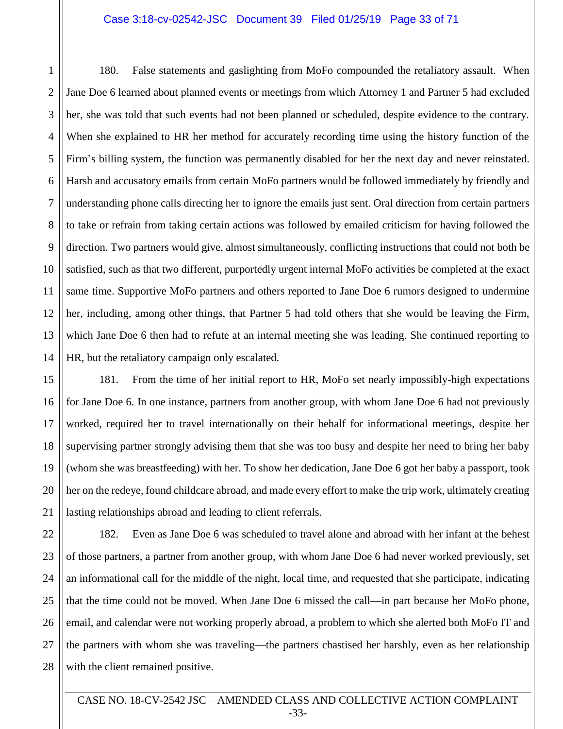#### Case 3:18-cv-02542-JSC Document 39 Filed 01/25/19 Page 33 of 71

180. False statements and gaslighting from MoFo compounded the retaliatory assault. When Jane Doe 6 learned about planned events or meetings from which Attorney 1 and Partner 5 had excluded her, she was told that such events had not been planned or scheduled, despite evidence to the contrary. When she explained to HR her method for accurately recording time using the history function of the Firm's billing system, the function was permanently disabled for her the next day and never reinstated. Harsh and accusatory emails from certain MoFo partners would be followed immediately by friendly and understanding phone calls directing her to ignore the emails just sent. Oral direction from certain partners to take or refrain from taking certain actions was followed by emailed criticism for having followed the direction. Two partners would give, almost simultaneously, conflicting instructions that could not both be satisfied, such as that two different, purportedly urgent internal MoFo activities be completed at the exact same time. Supportive MoFo partners and others reported to Jane Doe 6 rumors designed to undermine her, including, among other things, that Partner 5 had told others that she would be leaving the Firm, which Jane Doe 6 then had to refute at an internal meeting she was leading. She continued reporting to HR, but the retaliatory campaign only escalated.

181. From the time of her initial report to HR, MoFo set nearly impossibly-high expectations for Jane Doe 6. In one instance, partners from another group, with whom Jane Doe 6 had not previously worked, required her to travel internationally on their behalf for informational meetings, despite her supervising partner strongly advising them that she was too busy and despite her need to bring her baby (whom she was breastfeeding) with her. To show her dedication, Jane Doe 6 got her baby a passport, took her on the redeye, found childcare abroad, and made every effort to make the trip work, ultimately creating lasting relationships abroad and leading to client referrals.

182. Even as Jane Doe 6 was scheduled to travel alone and abroad with her infant at the behest of those partners, a partner from another group, with whom Jane Doe 6 had never worked previously, set an informational call for the middle of the night, local time, and requested that she participate, indicating that the time could not be moved. When Jane Doe 6 missed the call—in part because her MoFo phone, email, and calendar were not working properly abroad, a problem to which she alerted both MoFo IT and the partners with whom she was traveling—the partners chastised her harshly, even as her relationship with the client remained positive.

1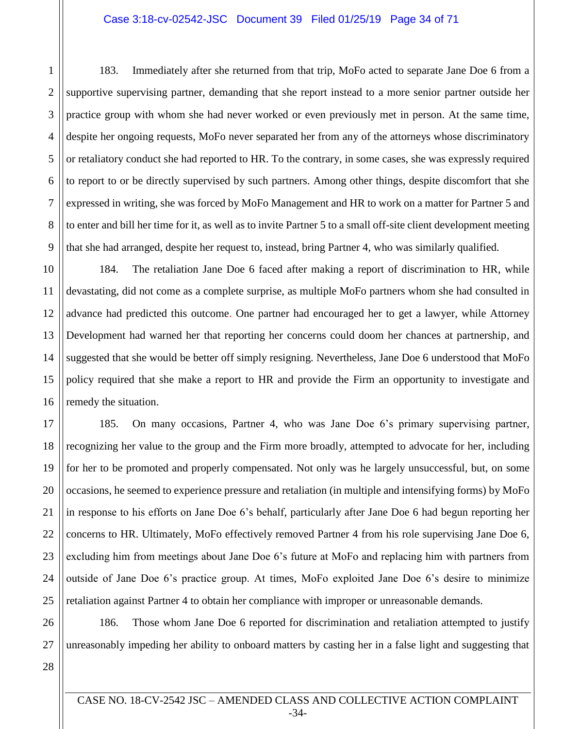## Case 3:18-cv-02542-JSC Document 39 Filed 01/25/19 Page 34 of 71

2 3 4 5 6 7 8 9 183. Immediately after she returned from that trip, MoFo acted to separate Jane Doe 6 from a supportive supervising partner, demanding that she report instead to a more senior partner outside her practice group with whom she had never worked or even previously met in person. At the same time, despite her ongoing requests, MoFo never separated her from any of the attorneys whose discriminatory or retaliatory conduct she had reported to HR. To the contrary, in some cases, she was expressly required to report to or be directly supervised by such partners. Among other things, despite discomfort that she expressed in writing, she was forced by MoFo Management and HR to work on a matter for Partner 5 and to enter and bill her time for it, as well as to invite Partner 5 to a small off-site client development meeting that she had arranged, despite her request to, instead, bring Partner 4, who was similarly qualified.

10 11 12 13 14 15 16 184. The retaliation Jane Doe 6 faced after making a report of discrimination to HR, while devastating, did not come as a complete surprise, as multiple MoFo partners whom she had consulted in advance had predicted this outcome. One partner had encouraged her to get a lawyer, while Attorney Development had warned her that reporting her concerns could doom her chances at partnership, and suggested that she would be better off simply resigning. Nevertheless, Jane Doe 6 understood that MoFo policy required that she make a report to HR and provide the Firm an opportunity to investigate and remedy the situation.

17 18 19 20 21 22 23 24 25 185. On many occasions, Partner 4, who was Jane Doe 6's primary supervising partner, recognizing her value to the group and the Firm more broadly, attempted to advocate for her, including for her to be promoted and properly compensated. Not only was he largely unsuccessful, but, on some occasions, he seemed to experience pressure and retaliation (in multiple and intensifying forms) by MoFo in response to his efforts on Jane Doe 6's behalf, particularly after Jane Doe 6 had begun reporting her concerns to HR. Ultimately, MoFo effectively removed Partner 4 from his role supervising Jane Doe 6, excluding him from meetings about Jane Doe 6's future at MoFo and replacing him with partners from outside of Jane Doe 6's practice group. At times, MoFo exploited Jane Doe 6's desire to minimize retaliation against Partner 4 to obtain her compliance with improper or unreasonable demands.

26 27 186. Those whom Jane Doe 6 reported for discrimination and retaliation attempted to justify unreasonably impeding her ability to onboard matters by casting her in a false light and suggesting that

28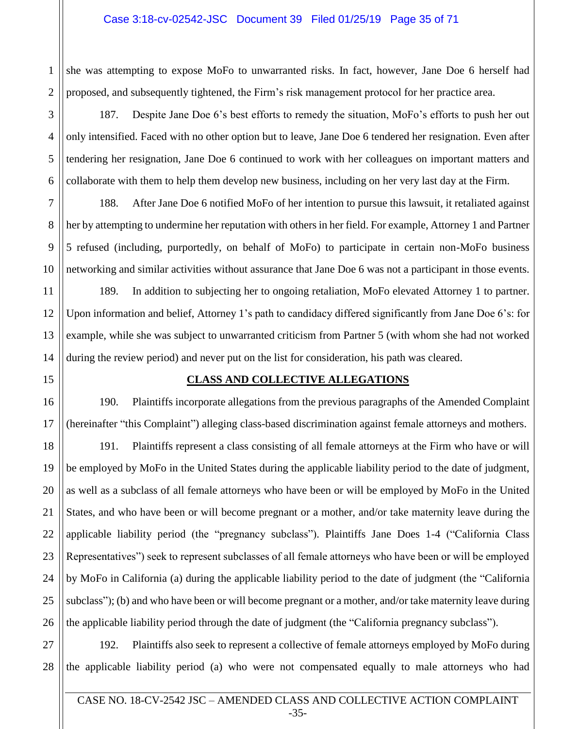## Case 3:18-cv-02542-JSC Document 39 Filed 01/25/19 Page 35 of 71

1 2 she was attempting to expose MoFo to unwarranted risks. In fact, however, Jane Doe 6 herself had proposed, and subsequently tightened, the Firm's risk management protocol for her practice area.

187. Despite Jane Doe 6's best efforts to remedy the situation, MoFo's efforts to push her out only intensified. Faced with no other option but to leave, Jane Doe 6 tendered her resignation. Even after tendering her resignation, Jane Doe 6 continued to work with her colleagues on important matters and collaborate with them to help them develop new business, including on her very last day at the Firm.

188. After Jane Doe 6 notified MoFo of her intention to pursue this lawsuit, it retaliated against her by attempting to undermine her reputation with others in her field. For example, Attorney 1 and Partner 5 refused (including, purportedly, on behalf of MoFo) to participate in certain non-MoFo business networking and similar activities without assurance that Jane Doe 6 was not a participant in those events.

189. In addition to subjecting her to ongoing retaliation, MoFo elevated Attorney 1 to partner. Upon information and belief, Attorney 1's path to candidacy differed significantly from Jane Doe 6's: for example, while she was subject to unwarranted criticism from Partner 5 (with whom she had not worked during the review period) and never put on the list for consideration, his path was cleared.

### **CLASS AND COLLECTIVE ALLEGATIONS**

190. Plaintiffs incorporate allegations from the previous paragraphs of the Amended Complaint (hereinafter "this Complaint") alleging class-based discrimination against female attorneys and mothers.

191. Plaintiffs represent a class consisting of all female attorneys at the Firm who have or will be employed by MoFo in the United States during the applicable liability period to the date of judgment, as well as a subclass of all female attorneys who have been or will be employed by MoFo in the United States, and who have been or will become pregnant or a mother, and/or take maternity leave during the applicable liability period (the "pregnancy subclass"). Plaintiffs Jane Does 1-4 ("California Class Representatives") seek to represent subclasses of all female attorneys who have been or will be employed by MoFo in California (a) during the applicable liability period to the date of judgment (the "California subclass"); (b) and who have been or will become pregnant or a mother, and/or take maternity leave during the applicable liability period through the date of judgment (the "California pregnancy subclass").

192. Plaintiffs also seek to represent a collective of female attorneys employed by MoFo during the applicable liability period (a) who were not compensated equally to male attorneys who had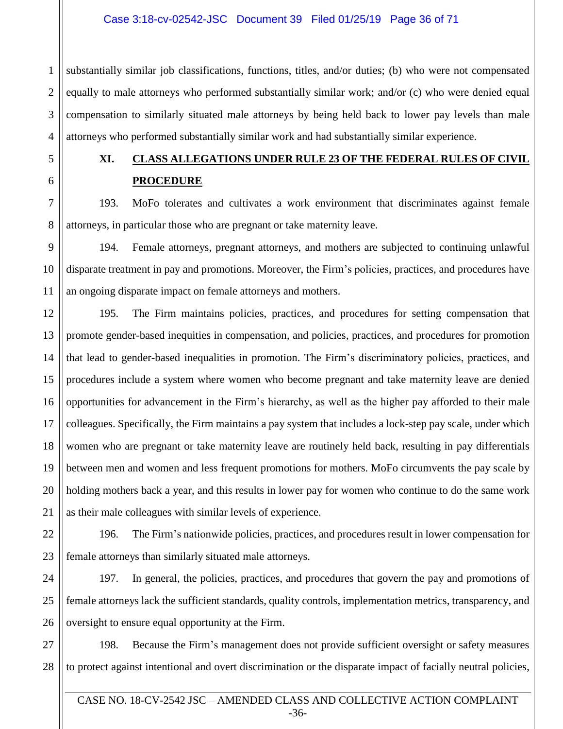## Case 3:18-cv-02542-JSC Document 39 Filed 01/25/19 Page 36 of 71

1 substantially similar job classifications, functions, titles, and/or duties; (b) who were not compensated equally to male attorneys who performed substantially similar work; and/or (c) who were denied equal compensation to similarly situated male attorneys by being held back to lower pay levels than male attorneys who performed substantially similar work and had substantially similar experience.

# **XI. CLASS ALLEGATIONS UNDER RULE 23 OF THE FEDERAL RULES OF CIVIL PROCEDURE**

193. MoFo tolerates and cultivates a work environment that discriminates against female attorneys, in particular those who are pregnant or take maternity leave.

194. Female attorneys, pregnant attorneys, and mothers are subjected to continuing unlawful disparate treatment in pay and promotions. Moreover, the Firm's policies, practices, and procedures have an ongoing disparate impact on female attorneys and mothers.

195. The Firm maintains policies, practices, and procedures for setting compensation that promote gender-based inequities in compensation, and policies, practices, and procedures for promotion that lead to gender-based inequalities in promotion. The Firm's discriminatory policies, practices, and procedures include a system where women who become pregnant and take maternity leave are denied opportunities for advancement in the Firm's hierarchy, as well as the higher pay afforded to their male colleagues. Specifically, the Firm maintains a pay system that includes a lock-step pay scale, under which women who are pregnant or take maternity leave are routinely held back, resulting in pay differentials between men and women and less frequent promotions for mothers. MoFo circumvents the pay scale by holding mothers back a year, and this results in lower pay for women who continue to do the same work as their male colleagues with similar levels of experience.

196. The Firm's nationwide policies, practices, and procedures result in lower compensation for female attorneys than similarly situated male attorneys.

197. In general, the policies, practices, and procedures that govern the pay and promotions of female attorneys lack the sufficient standards, quality controls, implementation metrics, transparency, and oversight to ensure equal opportunity at the Firm.

198. Because the Firm's management does not provide sufficient oversight or safety measures to protect against intentional and overt discrimination or the disparate impact of facially neutral policies,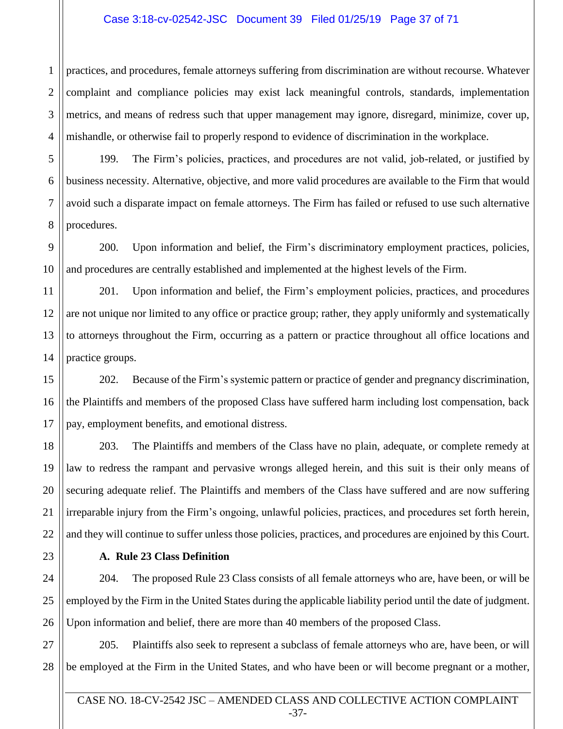## Case 3:18-cv-02542-JSC Document 39 Filed 01/25/19 Page 37 of 71

2 3 practices, and procedures, female attorneys suffering from discrimination are without recourse. Whatever complaint and compliance policies may exist lack meaningful controls, standards, implementation metrics, and means of redress such that upper management may ignore, disregard, minimize, cover up, mishandle, or otherwise fail to properly respond to evidence of discrimination in the workplace.

199. The Firm's policies, practices, and procedures are not valid, job-related, or justified by business necessity. Alternative, objective, and more valid procedures are available to the Firm that would avoid such a disparate impact on female attorneys. The Firm has failed or refused to use such alternative procedures.

200. Upon information and belief, the Firm's discriminatory employment practices, policies, and procedures are centrally established and implemented at the highest levels of the Firm.

201. Upon information and belief, the Firm's employment policies, practices, and procedures are not unique nor limited to any office or practice group; rather, they apply uniformly and systematically to attorneys throughout the Firm, occurring as a pattern or practice throughout all office locations and practice groups.

202. Because of the Firm's systemic pattern or practice of gender and pregnancy discrimination, the Plaintiffs and members of the proposed Class have suffered harm including lost compensation, back pay, employment benefits, and emotional distress.

203. The Plaintiffs and members of the Class have no plain, adequate, or complete remedy at law to redress the rampant and pervasive wrongs alleged herein, and this suit is their only means of securing adequate relief. The Plaintiffs and members of the Class have suffered and are now suffering irreparable injury from the Firm's ongoing, unlawful policies, practices, and procedures set forth herein, and they will continue to suffer unless those policies, practices, and procedures are enjoined by this Court.

## **A. Rule 23 Class Definition**

204. The proposed Rule 23 Class consists of all female attorneys who are, have been, or will be employed by the Firm in the United States during the applicable liability period until the date of judgment. Upon information and belief, there are more than 40 members of the proposed Class.

205. Plaintiffs also seek to represent a subclass of female attorneys who are, have been, or will be employed at the Firm in the United States, and who have been or will become pregnant or a mother,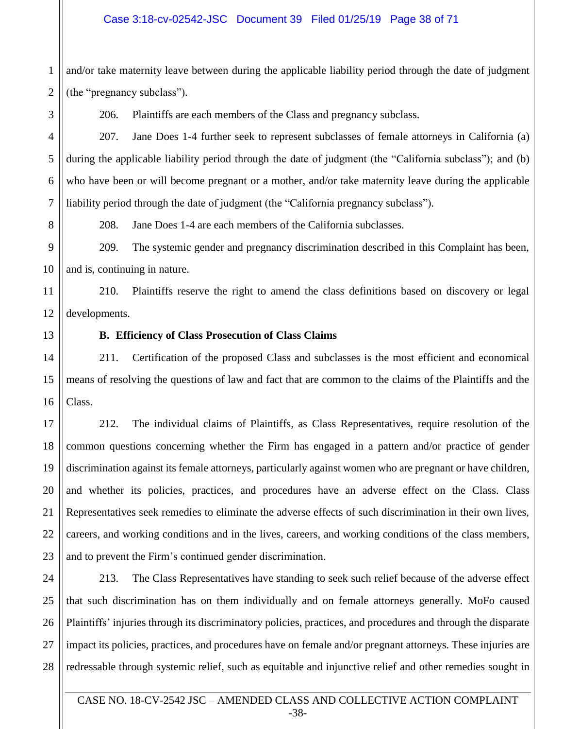## Case 3:18-cv-02542-JSC Document 39 Filed 01/25/19 Page 38 of 71

1 2 and/or take maternity leave between during the applicable liability period through the date of judgment (the "pregnancy subclass").

206. Plaintiffs are each members of the Class and pregnancy subclass.

207. Jane Does 1-4 further seek to represent subclasses of female attorneys in California (a) during the applicable liability period through the date of judgment (the "California subclass"); and (b) who have been or will become pregnant or a mother, and/or take maternity leave during the applicable liability period through the date of judgment (the "California pregnancy subclass").

208. Jane Does 1-4 are each members of the California subclasses.

9 10 209. The systemic gender and pregnancy discrimination described in this Complaint has been, and is, continuing in nature.

11 12 210. Plaintiffs reserve the right to amend the class definitions based on discovery or legal developments.

13

3

4

5

6

7

8

### **B. Efficiency of Class Prosecution of Class Claims**

14 15 16 211. Certification of the proposed Class and subclasses is the most efficient and economical means of resolving the questions of law and fact that are common to the claims of the Plaintiffs and the Class.

17 18 19 20 21 22 23 212. The individual claims of Plaintiffs, as Class Representatives, require resolution of the common questions concerning whether the Firm has engaged in a pattern and/or practice of gender discrimination against its female attorneys, particularly against women who are pregnant or have children, and whether its policies, practices, and procedures have an adverse effect on the Class. Class Representatives seek remedies to eliminate the adverse effects of such discrimination in their own lives, careers, and working conditions and in the lives, careers, and working conditions of the class members, and to prevent the Firm's continued gender discrimination.

24 25 26 27 28 213. The Class Representatives have standing to seek such relief because of the adverse effect that such discrimination has on them individually and on female attorneys generally. MoFo caused Plaintiffs' injuries through its discriminatory policies, practices, and procedures and through the disparate impact its policies, practices, and procedures have on female and/or pregnant attorneys. These injuries are redressable through systemic relief, such as equitable and injunctive relief and other remedies sought in

CASE NO. 18-CV-2542 JSC – AMENDED CLASS AND COLLECTIVE ACTION COMPLAINT -38-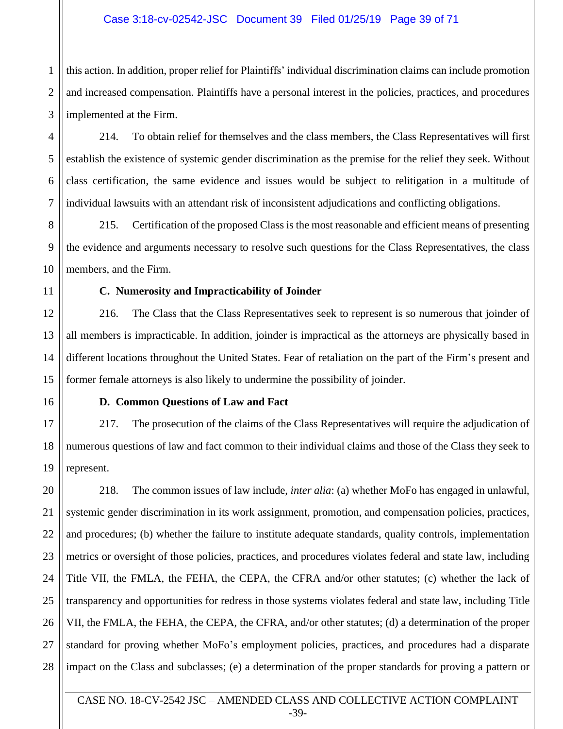## Case 3:18-cv-02542-JSC Document 39 Filed 01/25/19 Page 39 of 71

1 2 3 this action. In addition, proper relief for Plaintiffs' individual discrimination claims can include promotion and increased compensation. Plaintiffs have a personal interest in the policies, practices, and procedures implemented at the Firm.

214. To obtain relief for themselves and the class members, the Class Representatives will first establish the existence of systemic gender discrimination as the premise for the relief they seek. Without class certification, the same evidence and issues would be subject to relitigation in a multitude of individual lawsuits with an attendant risk of inconsistent adjudications and conflicting obligations.

215. Certification of the proposed Class is the most reasonable and efficient means of presenting the evidence and arguments necessary to resolve such questions for the Class Representatives, the class members, and the Firm.

#### **C. Numerosity and Impracticability of Joinder**

216. The Class that the Class Representatives seek to represent is so numerous that joinder of all members is impracticable. In addition, joinder is impractical as the attorneys are physically based in different locations throughout the United States. Fear of retaliation on the part of the Firm's present and former female attorneys is also likely to undermine the possibility of joinder.

4

5

6

7

8

9

10

11

12

13

14

15

16

17

18

19

#### **D. Common Questions of Law and Fact**

217. The prosecution of the claims of the Class Representatives will require the adjudication of numerous questions of law and fact common to their individual claims and those of the Class they seek to represent.

20 21 22 23 24 25 26 27 28 218. The common issues of law include, *inter alia*: (a) whether MoFo has engaged in unlawful, systemic gender discrimination in its work assignment, promotion, and compensation policies, practices, and procedures; (b) whether the failure to institute adequate standards, quality controls, implementation metrics or oversight of those policies, practices, and procedures violates federal and state law, including Title VII, the FMLA, the FEHA, the CEPA, the CFRA and/or other statutes; (c) whether the lack of transparency and opportunities for redress in those systems violates federal and state law, including Title VII, the FMLA, the FEHA, the CEPA, the CFRA, and/or other statutes; (d) a determination of the proper standard for proving whether MoFo's employment policies, practices, and procedures had a disparate impact on the Class and subclasses; (e) a determination of the proper standards for proving a pattern or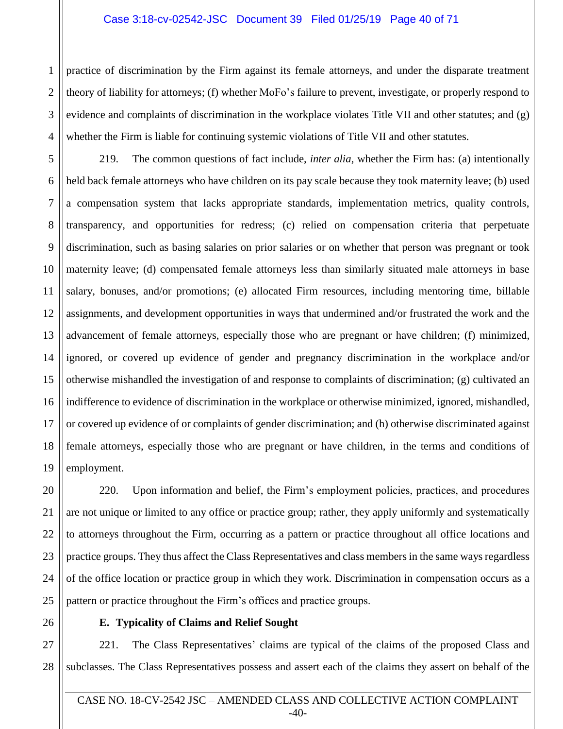#### Case 3:18-cv-02542-JSC Document 39 Filed 01/25/19 Page 40 of 71

4 practice of discrimination by the Firm against its female attorneys, and under the disparate treatment theory of liability for attorneys; (f) whether MoFo's failure to prevent, investigate, or properly respond to evidence and complaints of discrimination in the workplace violates Title VII and other statutes; and (g) whether the Firm is liable for continuing systemic violations of Title VII and other statutes.

5 6 7 8 9 10 11 12 13 14 15 16 17 18 19 219. The common questions of fact include, *inter alia*, whether the Firm has: (a) intentionally held back female attorneys who have children on its pay scale because they took maternity leave; (b) used a compensation system that lacks appropriate standards, implementation metrics, quality controls, transparency, and opportunities for redress; (c) relied on compensation criteria that perpetuate discrimination, such as basing salaries on prior salaries or on whether that person was pregnant or took maternity leave; (d) compensated female attorneys less than similarly situated male attorneys in base salary, bonuses, and/or promotions; (e) allocated Firm resources, including mentoring time, billable assignments, and development opportunities in ways that undermined and/or frustrated the work and the advancement of female attorneys, especially those who are pregnant or have children; (f) minimized, ignored, or covered up evidence of gender and pregnancy discrimination in the workplace and/or otherwise mishandled the investigation of and response to complaints of discrimination; (g) cultivated an indifference to evidence of discrimination in the workplace or otherwise minimized, ignored, mishandled, or covered up evidence of or complaints of gender discrimination; and (h) otherwise discriminated against female attorneys, especially those who are pregnant or have children, in the terms and conditions of employment.

20 21 22 23 24 25 220. Upon information and belief, the Firm's employment policies, practices, and procedures are not unique or limited to any office or practice group; rather, they apply uniformly and systematically to attorneys throughout the Firm, occurring as a pattern or practice throughout all office locations and practice groups. They thus affect the Class Representatives and class members in the same ways regardless of the office location or practice group in which they work. Discrimination in compensation occurs as a pattern or practice throughout the Firm's offices and practice groups.

26

1

2

3

## **E. Typicality of Claims and Relief Sought**

27 28 221. The Class Representatives' claims are typical of the claims of the proposed Class and subclasses. The Class Representatives possess and assert each of the claims they assert on behalf of the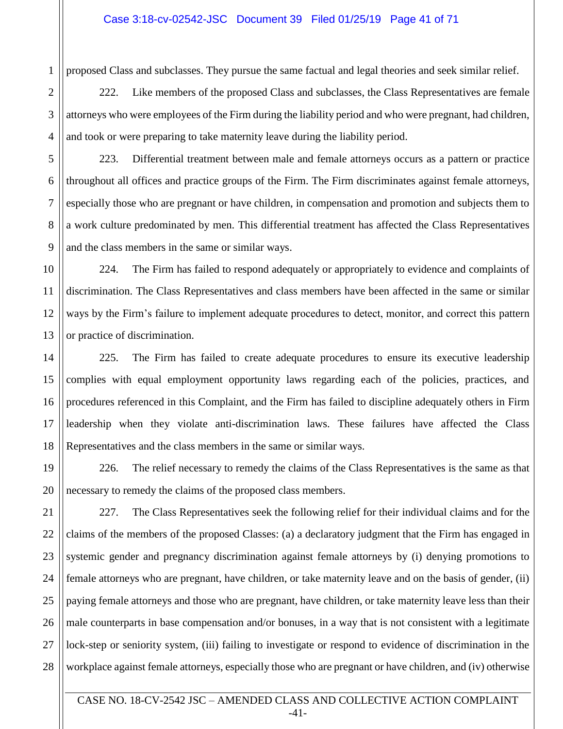proposed Class and subclasses. They pursue the same factual and legal theories and seek similar relief.

222. Like members of the proposed Class and subclasses, the Class Representatives are female attorneys who were employees of the Firm during the liability period and who were pregnant, had children, and took or were preparing to take maternity leave during the liability period.

5

1

2

3

4

6

7

8

9

10

11

12

13

14

15

17

18

19

20

223. Differential treatment between male and female attorneys occurs as a pattern or practice throughout all offices and practice groups of the Firm. The Firm discriminates against female attorneys, especially those who are pregnant or have children, in compensation and promotion and subjects them to a work culture predominated by men. This differential treatment has affected the Class Representatives and the class members in the same or similar ways.

224. The Firm has failed to respond adequately or appropriately to evidence and complaints of discrimination. The Class Representatives and class members have been affected in the same or similar ways by the Firm's failure to implement adequate procedures to detect, monitor, and correct this pattern or practice of discrimination.

16 225. The Firm has failed to create adequate procedures to ensure its executive leadership complies with equal employment opportunity laws regarding each of the policies, practices, and procedures referenced in this Complaint, and the Firm has failed to discipline adequately others in Firm leadership when they violate anti-discrimination laws. These failures have affected the Class Representatives and the class members in the same or similar ways.

226. The relief necessary to remedy the claims of the Class Representatives is the same as that necessary to remedy the claims of the proposed class members.

21 22 23 24 25 26 27 28 227. The Class Representatives seek the following relief for their individual claims and for the claims of the members of the proposed Classes: (a) a declaratory judgment that the Firm has engaged in systemic gender and pregnancy discrimination against female attorneys by (i) denying promotions to female attorneys who are pregnant, have children, or take maternity leave and on the basis of gender, (ii) paying female attorneys and those who are pregnant, have children, or take maternity leave less than their male counterparts in base compensation and/or bonuses, in a way that is not consistent with a legitimate lock-step or seniority system, (iii) failing to investigate or respond to evidence of discrimination in the workplace against female attorneys, especially those who are pregnant or have children, and (iv) otherwise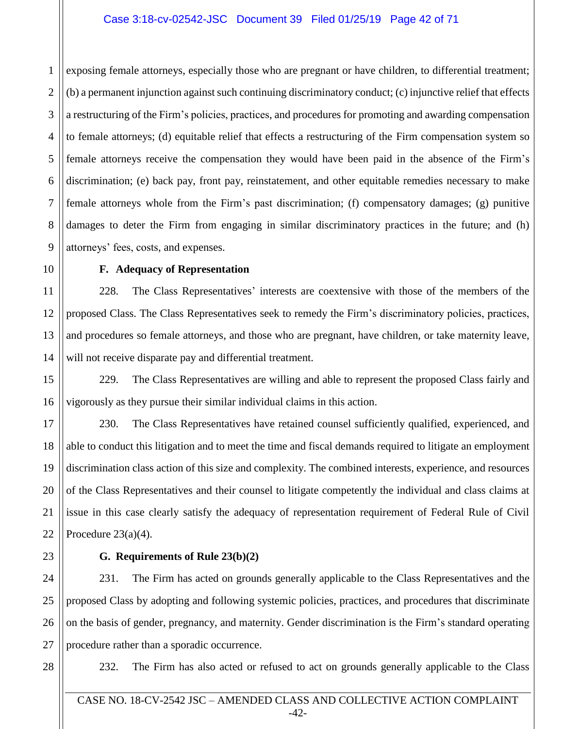## Case 3:18-cv-02542-JSC Document 39 Filed 01/25/19 Page 42 of 71

1 2 3 4 5 6 7 8 9 exposing female attorneys, especially those who are pregnant or have children, to differential treatment; (b) a permanent injunction against such continuing discriminatory conduct; (c) injunctive relief that effects a restructuring of the Firm's policies, practices, and procedures for promoting and awarding compensation to female attorneys; (d) equitable relief that effects a restructuring of the Firm compensation system so female attorneys receive the compensation they would have been paid in the absence of the Firm's discrimination; (e) back pay, front pay, reinstatement, and other equitable remedies necessary to make female attorneys whole from the Firm's past discrimination; (f) compensatory damages; (g) punitive damages to deter the Firm from engaging in similar discriminatory practices in the future; and (h) attorneys' fees, costs, and expenses.

10 11

12

13

14

15

16

## **F. Adequacy of Representation**

228. The Class Representatives' interests are coextensive with those of the members of the proposed Class. The Class Representatives seek to remedy the Firm's discriminatory policies, practices, and procedures so female attorneys, and those who are pregnant, have children, or take maternity leave, will not receive disparate pay and differential treatment.

229. The Class Representatives are willing and able to represent the proposed Class fairly and vigorously as they pursue their similar individual claims in this action.

17 18 19 20 21 22 230. The Class Representatives have retained counsel sufficiently qualified, experienced, and able to conduct this litigation and to meet the time and fiscal demands required to litigate an employment discrimination class action of this size and complexity. The combined interests, experience, and resources of the Class Representatives and their counsel to litigate competently the individual and class claims at issue in this case clearly satisfy the adequacy of representation requirement of Federal Rule of Civil Procedure  $23(a)(4)$ .

## **G. Requirements of Rule 23(b)(2)**

24 25 26 27 231. The Firm has acted on grounds generally applicable to the Class Representatives and the proposed Class by adopting and following systemic policies, practices, and procedures that discriminate on the basis of gender, pregnancy, and maternity. Gender discrimination is the Firm's standard operating procedure rather than a sporadic occurrence.

28

23

232. The Firm has also acted or refused to act on grounds generally applicable to the Class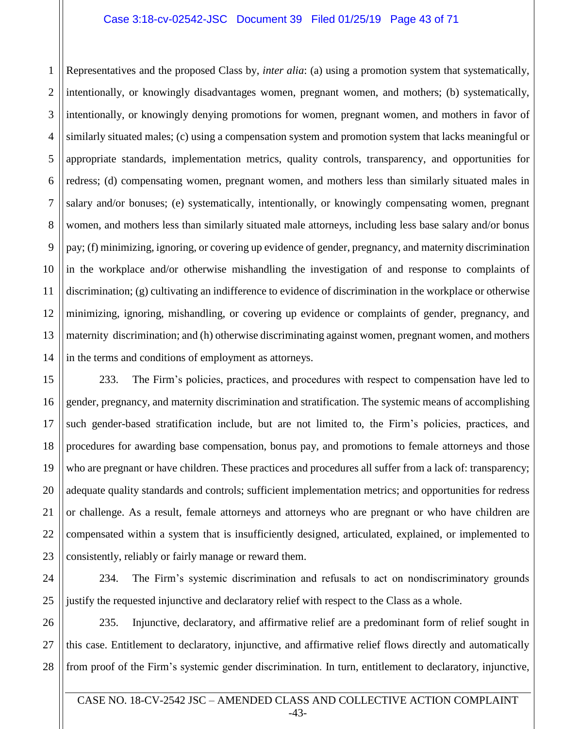## Case 3:18-cv-02542-JSC Document 39 Filed 01/25/19 Page 43 of 71

1 2 Representatives and the proposed Class by, *inter alia*: (a) using a promotion system that systematically, intentionally, or knowingly disadvantages women, pregnant women, and mothers; (b) systematically, intentionally, or knowingly denying promotions for women, pregnant women, and mothers in favor of similarly situated males; (c) using a compensation system and promotion system that lacks meaningful or appropriate standards, implementation metrics, quality controls, transparency, and opportunities for redress; (d) compensating women, pregnant women, and mothers less than similarly situated males in salary and/or bonuses; (e) systematically, intentionally, or knowingly compensating women, pregnant women, and mothers less than similarly situated male attorneys, including less base salary and/or bonus pay; (f) minimizing, ignoring, or covering up evidence of gender, pregnancy, and maternity discrimination in the workplace and/or otherwise mishandling the investigation of and response to complaints of discrimination; (g) cultivating an indifference to evidence of discrimination in the workplace or otherwise minimizing, ignoring, mishandling, or covering up evidence or complaints of gender, pregnancy, and maternity discrimination; and (h) otherwise discriminating against women, pregnant women, and mothers in the terms and conditions of employment as attorneys.

233. The Firm's policies, practices, and procedures with respect to compensation have led to gender, pregnancy, and maternity discrimination and stratification. The systemic means of accomplishing such gender-based stratification include, but are not limited to, the Firm's policies, practices, and procedures for awarding base compensation, bonus pay, and promotions to female attorneys and those who are pregnant or have children. These practices and procedures all suffer from a lack of: transparency; adequate quality standards and controls; sufficient implementation metrics; and opportunities for redress or challenge. As a result, female attorneys and attorneys who are pregnant or who have children are compensated within a system that is insufficiently designed, articulated, explained, or implemented to consistently, reliably or fairly manage or reward them.

234. The Firm's systemic discrimination and refusals to act on nondiscriminatory grounds justify the requested injunctive and declaratory relief with respect to the Class as a whole.

235. Injunctive, declaratory, and affirmative relief are a predominant form of relief sought in this case. Entitlement to declaratory, injunctive, and affirmative relief flows directly and automatically from proof of the Firm's systemic gender discrimination. In turn, entitlement to declaratory, injunctive,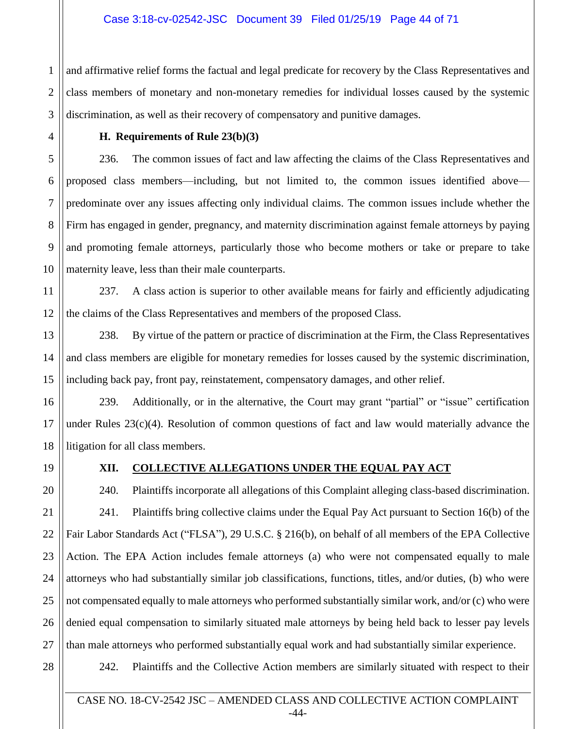## Case 3:18-cv-02542-JSC Document 39 Filed 01/25/19 Page 44 of 71

1 2 3 and affirmative relief forms the factual and legal predicate for recovery by the Class Representatives and class members of monetary and non-monetary remedies for individual losses caused by the systemic discrimination, as well as their recovery of compensatory and punitive damages.

## **H. Requirements of Rule 23(b)(3)**

236. The common issues of fact and law affecting the claims of the Class Representatives and proposed class members—including, but not limited to, the common issues identified above predominate over any issues affecting only individual claims. The common issues include whether the Firm has engaged in gender, pregnancy, and maternity discrimination against female attorneys by paying and promoting female attorneys, particularly those who become mothers or take or prepare to take maternity leave, less than their male counterparts.

11 12 237. A class action is superior to other available means for fairly and efficiently adjudicating the claims of the Class Representatives and members of the proposed Class.

238. By virtue of the pattern or practice of discrimination at the Firm, the Class Representatives and class members are eligible for monetary remedies for losses caused by the systemic discrimination, including back pay, front pay, reinstatement, compensatory damages, and other relief.

239. Additionally, or in the alternative, the Court may grant "partial" or "issue" certification under Rules 23(c)(4). Resolution of common questions of fact and law would materially advance the litigation for all class members.

4

5

6

7

8

9

10

13

14

15

16

17

18

19

20

21

22

23

24

25

26

27

## **XII. COLLECTIVE ALLEGATIONS UNDER THE EQUAL PAY ACT**

240. Plaintiffs incorporate all allegations of this Complaint alleging class-based discrimination. 241. Plaintiffs bring collective claims under the Equal Pay Act pursuant to Section 16(b) of the Fair Labor Standards Act ("FLSA"), 29 U.S.C. § 216(b), on behalf of all members of the EPA Collective Action. The EPA Action includes female attorneys (a) who were not compensated equally to male attorneys who had substantially similar job classifications, functions, titles, and/or duties, (b) who were not compensated equally to male attorneys who performed substantially similar work, and/or (c) who were denied equal compensation to similarly situated male attorneys by being held back to lesser pay levels than male attorneys who performed substantially equal work and had substantially similar experience.

28

242. Plaintiffs and the Collective Action members are similarly situated with respect to their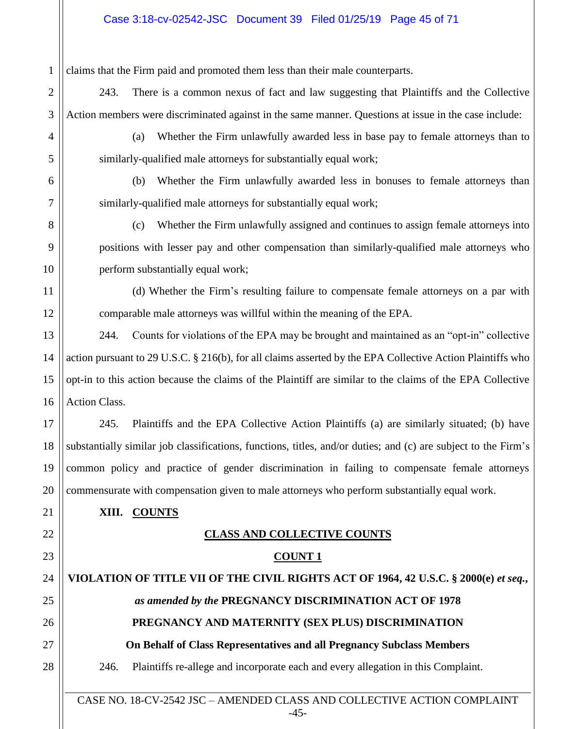# Case 3:18-cv-02542-JSC Document 39 Filed 01/25/19 Page 45 of 71

| 1              | claims that the Firm paid and promoted them less than their male counterparts.                                 |  |
|----------------|----------------------------------------------------------------------------------------------------------------|--|
| $\overline{2}$ | 243.<br>There is a common nexus of fact and law suggesting that Plaintiffs and the Collective                  |  |
| 3              | Action members were discriminated against in the same manner. Questions at issue in the case include:          |  |
| 4              | Whether the Firm unlawfully awarded less in base pay to female attorneys than to<br>(a)                        |  |
| 5              | similarly-qualified male attorneys for substantially equal work;                                               |  |
| 6              | Whether the Firm unlawfully awarded less in bonuses to female attorneys than<br>(b)                            |  |
| 7              | similarly-qualified male attorneys for substantially equal work;                                               |  |
| 8              | Whether the Firm unlawfully assigned and continues to assign female attorneys into<br>(c)                      |  |
| 9              | positions with lesser pay and other compensation than similarly-qualified male attorneys who                   |  |
| 10             | perform substantially equal work;                                                                              |  |
| 11             | (d) Whether the Firm's resulting failure to compensate female attorneys on a par with                          |  |
| 12             | comparable male attorneys was willful within the meaning of the EPA.                                           |  |
| 13             | Counts for violations of the EPA may be brought and maintained as an "opt-in" collective<br>244.               |  |
| 14             | action pursuant to 29 U.S.C. § 216(b), for all claims asserted by the EPA Collective Action Plaintiffs who     |  |
| 15             | opt-in to this action because the claims of the Plaintiff are similar to the claims of the EPA Collective      |  |
| 16             | Action Class.                                                                                                  |  |
| 17             | Plaintiffs and the EPA Collective Action Plaintiffs (a) are similarly situated; (b) have<br>245.               |  |
| 18             | substantially similar job classifications, functions, titles, and/or duties; and (c) are subject to the Firm's |  |
| 19             | common policy and practice of gender discrimination in failing to compensate female attorneys                  |  |
| 20             | commensurate with compensation given to male attorneys who perform substantially equal work.                   |  |
| 21             | XIII. COUNTS                                                                                                   |  |
| 22             | <b>CLASS AND COLLECTIVE COUNTS</b>                                                                             |  |
| 23             | <b>COUNT 1</b>                                                                                                 |  |
| 24             | VIOLATION OF TITLE VII OF THE CIVIL RIGHTS ACT OF 1964, 42 U.S.C. § 2000(e) et seq.,                           |  |
| 25             | as amended by the PREGNANCY DISCRIMINATION ACT OF 1978                                                         |  |
| 26             | PREGNANCY AND MATERNITY (SEX PLUS) DISCRIMINATION                                                              |  |
| 27             | On Behalf of Class Representatives and all Pregnancy Subclass Members                                          |  |
| 28             | Plaintiffs re-allege and incorporate each and every allegation in this Complaint.<br>246.                      |  |
|                | CASE NO. 18-CV-2542 JSC - AMENDED CLASS AND COLLECTIVE ACTION COMPLAINT                                        |  |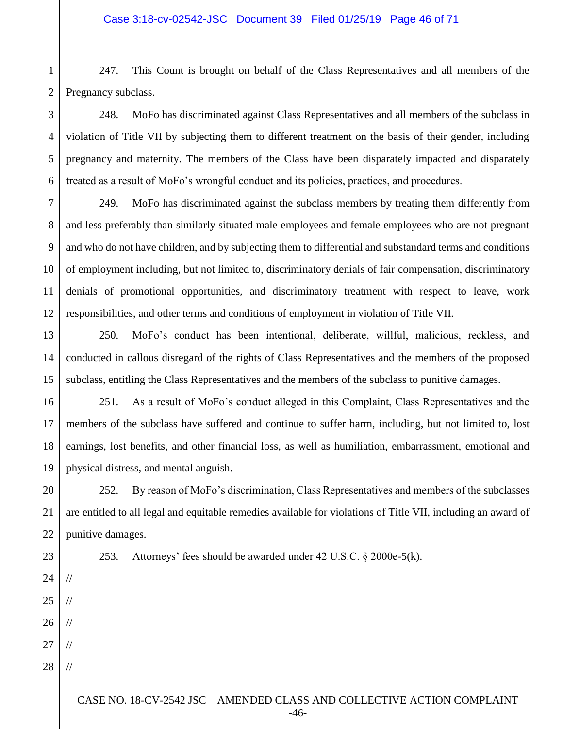247. This Count is brought on behalf of the Class Representatives and all members of the Pregnancy subclass.

248. MoFo has discriminated against Class Representatives and all members of the subclass in violation of Title VII by subjecting them to different treatment on the basis of their gender, including pregnancy and maternity. The members of the Class have been disparately impacted and disparately treated as a result of MoFo's wrongful conduct and its policies, practices, and procedures.

249. MoFo has discriminated against the subclass members by treating them differently from and less preferably than similarly situated male employees and female employees who are not pregnant and who do not have children, and by subjecting them to differential and substandard terms and conditions of employment including, but not limited to, discriminatory denials of fair compensation, discriminatory denials of promotional opportunities, and discriminatory treatment with respect to leave, work responsibilities, and other terms and conditions of employment in violation of Title VII.

250. MoFo's conduct has been intentional, deliberate, willful, malicious, reckless, and conducted in callous disregard of the rights of Class Representatives and the members of the proposed subclass, entitling the Class Representatives and the members of the subclass to punitive damages.

251. As a result of MoFo's conduct alleged in this Complaint, Class Representatives and the members of the subclass have suffered and continue to suffer harm, including, but not limited to, lost earnings, lost benefits, and other financial loss, as well as humiliation, embarrassment, emotional and physical distress, and mental anguish.

252. By reason of MoFo's discrimination, Class Representatives and members of the subclasses are entitled to all legal and equitable remedies available for violations of Title VII, including an award of punitive damages.

253. Attorneys' fees should be awarded under 42 U.S.C. § 2000e-5(k).

//

//

//

//

//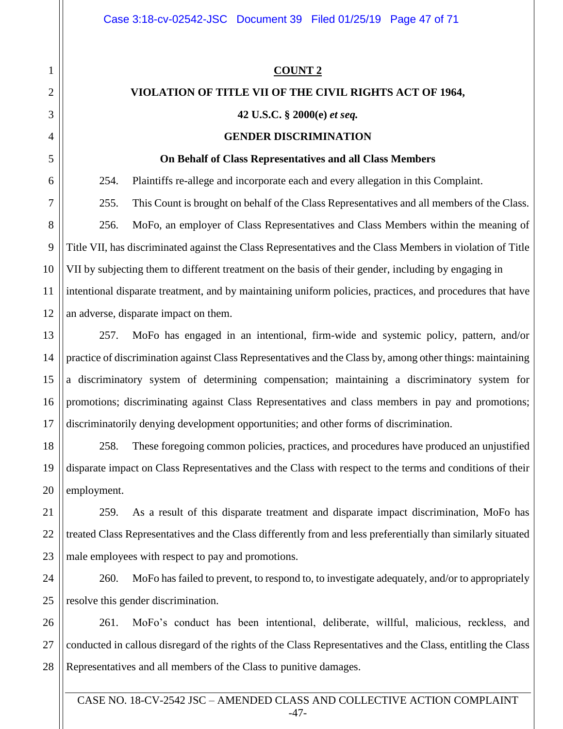#### **COUNT 2**

### **VIOLATION OF TITLE VII OF THE CIVIL RIGHTS ACT OF 1964,**

#### **42 U.S.C. § 2000(e)** *et seq.*

#### **GENDER DISCRIMINATION**

#### **On Behalf of Class Representatives and all Class Members**

254. Plaintiffs re-allege and incorporate each and every allegation in this Complaint.

255. This Count is brought on behalf of the Class Representatives and all members of the Class. 256. MoFo, an employer of Class Representatives and Class Members within the meaning of Title VII, has discriminated against the Class Representatives and the Class Members in violation of Title VII by subjecting them to different treatment on the basis of their gender, including by engaging in intentional disparate treatment, and by maintaining uniform policies, practices, and procedures that have an adverse, disparate impact on them.

257. MoFo has engaged in an intentional, firm-wide and systemic policy, pattern, and/or practice of discrimination against Class Representatives and the Class by, among other things: maintaining a discriminatory system of determining compensation; maintaining a discriminatory system for promotions; discriminating against Class Representatives and class members in pay and promotions; discriminatorily denying development opportunities; and other forms of discrimination.

258. These foregoing common policies, practices, and procedures have produced an unjustified disparate impact on Class Representatives and the Class with respect to the terms and conditions of their employment.

259. As a result of this disparate treatment and disparate impact discrimination, MoFo has treated Class Representatives and the Class differently from and less preferentially than similarly situated male employees with respect to pay and promotions.

260. MoFo has failed to prevent, to respond to, to investigate adequately, and/or to appropriately resolve this gender discrimination.

261. MoFo's conduct has been intentional, deliberate, willful, malicious, reckless, and conducted in callous disregard of the rights of the Class Representatives and the Class, entitling the Class Representatives and all members of the Class to punitive damages.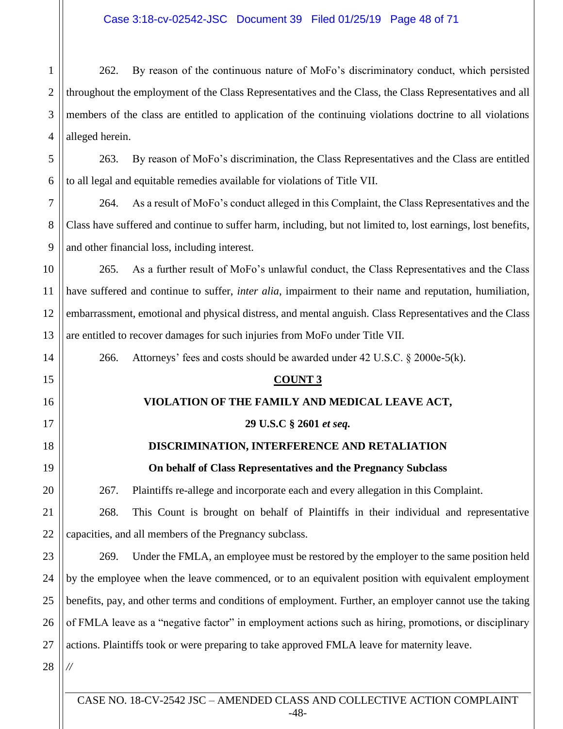1 2 3 4 262. By reason of the continuous nature of MoFo's discriminatory conduct, which persisted throughout the employment of the Class Representatives and the Class, the Class Representatives and all members of the class are entitled to application of the continuing violations doctrine to all violations alleged herein.

5 6 263. By reason of MoFo's discrimination, the Class Representatives and the Class are entitled to all legal and equitable remedies available for violations of Title VII.

264. As a result of MoFo's conduct alleged in this Complaint, the Class Representatives and the Class have suffered and continue to suffer harm, including, but not limited to, lost earnings, lost benefits, and other financial loss, including interest.

10 11 12 13 265. As a further result of MoFo's unlawful conduct, the Class Representatives and the Class have suffered and continue to suffer, *inter alia*, impairment to their name and reputation, humiliation, embarrassment, emotional and physical distress, and mental anguish. Class Representatives and the Class are entitled to recover damages for such injuries from MoFo under Title VII.

266. Attorneys' fees and costs should be awarded under 42 U.S.C. § 2000e-5(k).

### **COUNT 3**

## **VIOLATION OF THE FAMILY AND MEDICAL LEAVE ACT,**

## **29 U.S.C § 2601** *et seq.*

## **DISCRIMINATION, INTERFERENCE AND RETALIATION**

**On behalf of Class Representatives and the Pregnancy Subclass**

267. Plaintiffs re-allege and incorporate each and every allegation in this Complaint.

21 22 268. This Count is brought on behalf of Plaintiffs in their individual and representative capacities, and all members of the Pregnancy subclass.

23 24 25 26 27 269. Under the FMLA, an employee must be restored by the employer to the same position held by the employee when the leave commenced, or to an equivalent position with equivalent employment benefits, pay, and other terms and conditions of employment. Further, an employer cannot use the taking of FMLA leave as a "negative factor" in employment actions such as hiring, promotions, or disciplinary actions. Plaintiffs took or were preparing to take approved FMLA leave for maternity leave.

28

*//*

7

8

9

14

15

16

17

18

19

20

CASE NO. 18-CV-2542 JSC – AMENDED CLASS AND COLLECTIVE ACTION COMPLAINT -48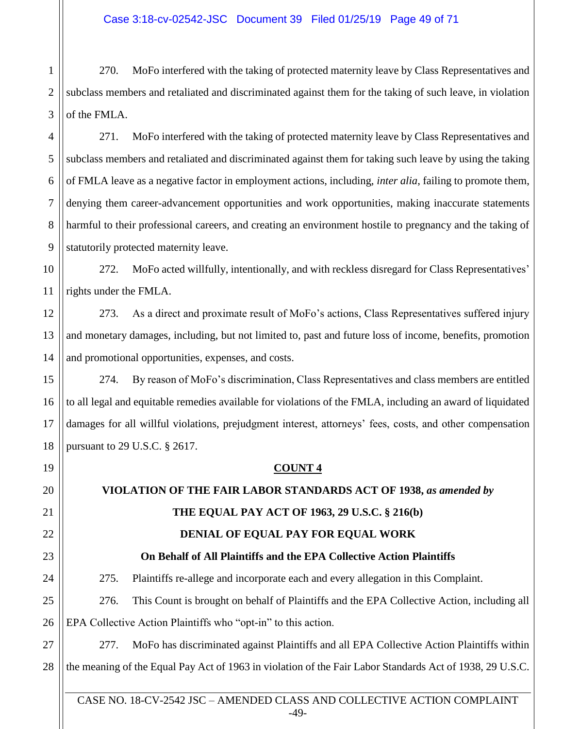1 2 3 270. MoFo interfered with the taking of protected maternity leave by Class Representatives and subclass members and retaliated and discriminated against them for the taking of such leave, in violation of the FMLA.

4

5

11

15

16

17

18

19

20

21

22

23

24

6 7 8 9 271. MoFo interfered with the taking of protected maternity leave by Class Representatives and subclass members and retaliated and discriminated against them for taking such leave by using the taking of FMLA leave as a negative factor in employment actions, including, *inter alia*, failing to promote them, denying them career-advancement opportunities and work opportunities, making inaccurate statements harmful to their professional careers, and creating an environment hostile to pregnancy and the taking of statutorily protected maternity leave.

10 272. MoFo acted willfully, intentionally, and with reckless disregard for Class Representatives' rights under the FMLA.

12 13 14 273. As a direct and proximate result of MoFo's actions, Class Representatives suffered injury and monetary damages, including, but not limited to, past and future loss of income, benefits, promotion and promotional opportunities, expenses, and costs.

274. By reason of MoFo's discrimination, Class Representatives and class members are entitled to all legal and equitable remedies available for violations of the FMLA, including an award of liquidated damages for all willful violations, prejudgment interest, attorneys' fees, costs, and other compensation pursuant to 29 U.S.C. § 2617.

## **COUNT 4**

# **VIOLATION OF THE FAIR LABOR STANDARDS ACT OF 1938,** *as amended by*

## **THE EQUAL PAY ACT OF 1963, 29 U.S.C. § 216(b)**

## **DENIAL OF EQUAL PAY FOR EQUAL WORK**

**On Behalf of All Plaintiffs and the EPA Collective Action Plaintiffs**

275. Plaintiffs re-allege and incorporate each and every allegation in this Complaint.

25 26 276. This Count is brought on behalf of Plaintiffs and the EPA Collective Action, including all EPA Collective Action Plaintiffs who "opt-in" to this action.

27 28 277. MoFo has discriminated against Plaintiffs and all EPA Collective Action Plaintiffs within the meaning of the Equal Pay Act of 1963 in violation of the Fair Labor Standards Act of 1938, 29 U.S.C.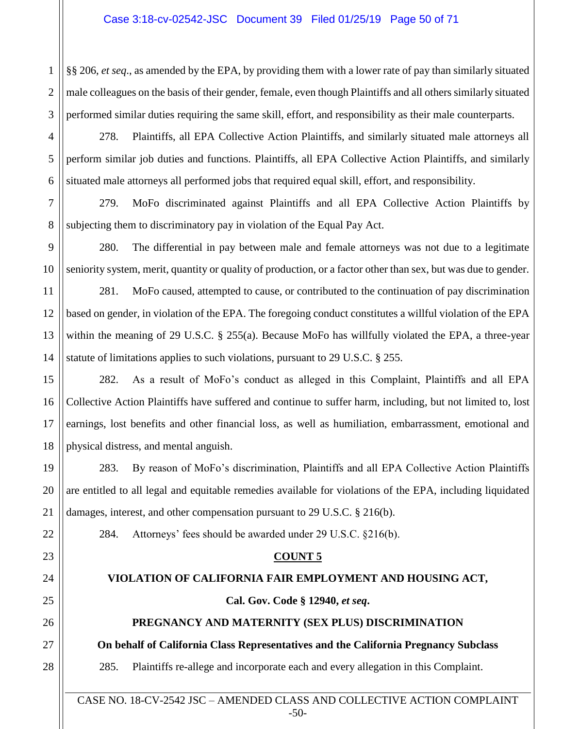§§ 206, *et seq*., as amended by the EPA, by providing them with a lower rate of pay than similarly situated male colleagues on the basis of their gender, female, even though Plaintiffs and all others similarly situated performed similar duties requiring the same skill, effort, and responsibility as their male counterparts.

278. Plaintiffs, all EPA Collective Action Plaintiffs, and similarly situated male attorneys all perform similar job duties and functions. Plaintiffs, all EPA Collective Action Plaintiffs, and similarly situated male attorneys all performed jobs that required equal skill, effort, and responsibility.

279. MoFo discriminated against Plaintiffs and all EPA Collective Action Plaintiffs by subjecting them to discriminatory pay in violation of the Equal Pay Act.

280. The differential in pay between male and female attorneys was not due to a legitimate seniority system, merit, quantity or quality of production, or a factor other than sex, but was due to gender.

281. MoFo caused, attempted to cause, or contributed to the continuation of pay discrimination based on gender, in violation of the EPA. The foregoing conduct constitutes a willful violation of the EPA within the meaning of 29 U.S.C. § 255(a). Because MoFo has willfully violated the EPA, a three-year statute of limitations applies to such violations, pursuant to 29 U.S.C. § 255.

282. As a result of MoFo's conduct as alleged in this Complaint, Plaintiffs and all EPA Collective Action Plaintiffs have suffered and continue to suffer harm, including, but not limited to, lost earnings, lost benefits and other financial loss, as well as humiliation, embarrassment, emotional and physical distress, and mental anguish.

283. By reason of MoFo's discrimination, Plaintiffs and all EPA Collective Action Plaintiffs are entitled to all legal and equitable remedies available for violations of the EPA, including liquidated damages, interest, and other compensation pursuant to 29 U.S.C. § 216(b).

284. Attorneys' fees should be awarded under 29 U.S.C. §216(b).

## **COUNT 5**

## **VIOLATION OF CALIFORNIA FAIR EMPLOYMENT AND HOUSING ACT,**

## **Cal. Gov. Code § 12940,** *et seq***.**

## **PREGNANCY AND MATERNITY (SEX PLUS) DISCRIMINATION**

**On behalf of California Class Representatives and the California Pregnancy Subclass** 

285. Plaintiffs re-allege and incorporate each and every allegation in this Complaint.

CASE NO. 18-CV-2542 JSC – AMENDED CLASS AND COLLECTIVE ACTION COMPLAINT -50-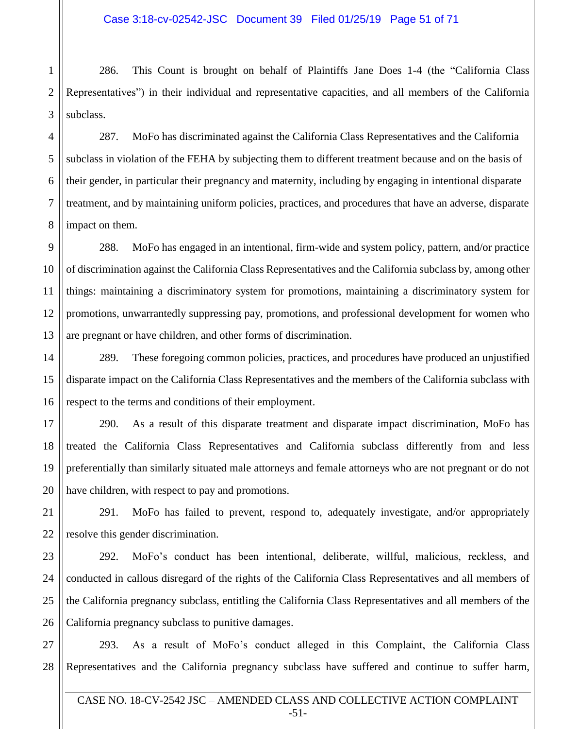1 2 286. This Count is brought on behalf of Plaintiffs Jane Does 1-4 (the "California Class Representatives") in their individual and representative capacities, and all members of the California subclass.

287. MoFo has discriminated against the California Class Representatives and the California subclass in violation of the FEHA by subjecting them to different treatment because and on the basis of their gender, in particular their pregnancy and maternity, including by engaging in intentional disparate treatment, and by maintaining uniform policies, practices, and procedures that have an adverse, disparate impact on them.

288. MoFo has engaged in an intentional, firm-wide and system policy, pattern, and/or practice of discrimination against the California Class Representatives and the California subclass by, among other things: maintaining a discriminatory system for promotions, maintaining a discriminatory system for promotions, unwarrantedly suppressing pay, promotions, and professional development for women who are pregnant or have children, and other forms of discrimination.

289. These foregoing common policies, practices, and procedures have produced an unjustified disparate impact on the California Class Representatives and the members of the California subclass with respect to the terms and conditions of their employment.

290. As a result of this disparate treatment and disparate impact discrimination, MoFo has treated the California Class Representatives and California subclass differently from and less preferentially than similarly situated male attorneys and female attorneys who are not pregnant or do not have children, with respect to pay and promotions.

291. MoFo has failed to prevent, respond to, adequately investigate, and/or appropriately resolve this gender discrimination.

292. MoFo's conduct has been intentional, deliberate, willful, malicious, reckless, and conducted in callous disregard of the rights of the California Class Representatives and all members of the California pregnancy subclass, entitling the California Class Representatives and all members of the California pregnancy subclass to punitive damages.

293. As a result of MoFo's conduct alleged in this Complaint, the California Class Representatives and the California pregnancy subclass have suffered and continue to suffer harm,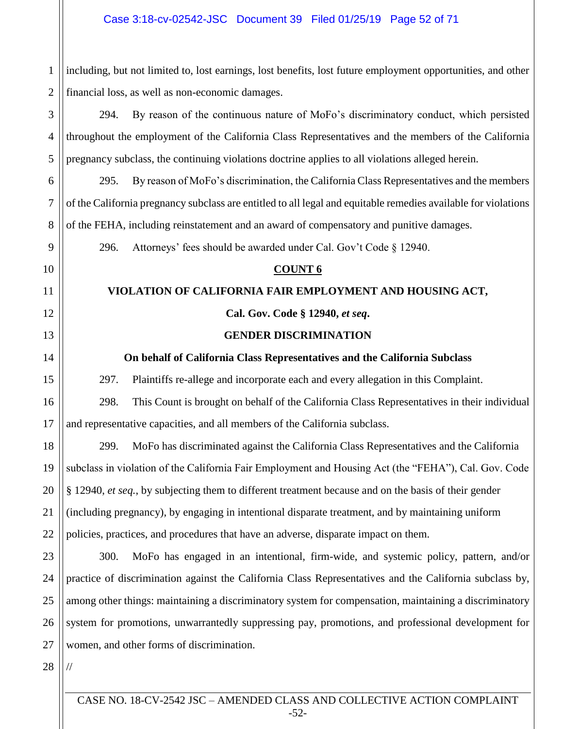1 2 including, but not limited to, lost earnings, lost benefits, lost future employment opportunities, and other financial loss, as well as non-economic damages.

3 4 5 294. By reason of the continuous nature of MoFo's discriminatory conduct, which persisted throughout the employment of the California Class Representatives and the members of the California pregnancy subclass, the continuing violations doctrine applies to all violations alleged herein.

6 7 8 295. By reason of MoFo's discrimination, the California Class Representatives and the members of the California pregnancy subclass are entitled to all legal and equitable remedies available for violations of the FEHA, including reinstatement and an award of compensatory and punitive damages.

296. Attorneys' fees should be awarded under Cal. Gov't Code § 12940.

## **COUNT 6**

## **VIOLATION OF CALIFORNIA FAIR EMPLOYMENT AND HOUSING ACT,**

## **Cal. Gov. Code § 12940,** *et seq***.**

## **GENDER DISCRIMINATION**

## **On behalf of California Class Representatives and the California Subclass**

297. Plaintiffs re-allege and incorporate each and every allegation in this Complaint.

298. This Count is brought on behalf of the California Class Representatives in their individual and representative capacities, and all members of the California subclass.

299. MoFo has discriminated against the California Class Representatives and the California subclass in violation of the California Fair Employment and Housing Act (the "FEHA"), Cal. Gov. Code § 12940, *et seq.*, by subjecting them to different treatment because and on the basis of their gender (including pregnancy), by engaging in intentional disparate treatment, and by maintaining uniform policies, practices, and procedures that have an adverse, disparate impact on them.

23 24 25 26 27 300. MoFo has engaged in an intentional, firm-wide, and systemic policy, pattern, and/or practice of discrimination against the California Class Representatives and the California subclass by, among other things: maintaining a discriminatory system for compensation, maintaining a discriminatory system for promotions, unwarrantedly suppressing pay, promotions, and professional development for women, and other forms of discrimination.

28

//

9

10

11

12

13

14

15

16

17

18

19

20

21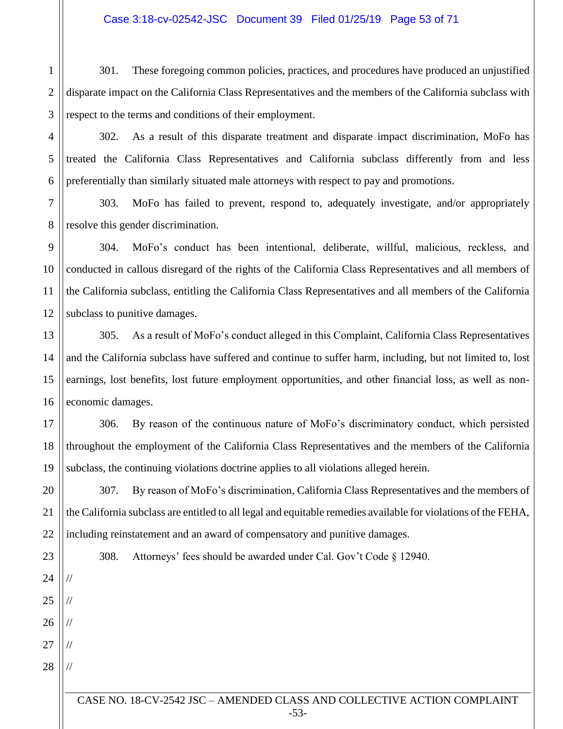1 2 3 301. These foregoing common policies, practices, and procedures have produced an unjustified disparate impact on the California Class Representatives and the members of the California subclass with respect to the terms and conditions of their employment.

302. As a result of this disparate treatment and disparate impact discrimination, MoFo has treated the California Class Representatives and California subclass differently from and less preferentially than similarly situated male attorneys with respect to pay and promotions.

4

5

6

9

10

11

12

20

21

22

23

24

//

//

//

//

//

25

26

27

28

7 8 303. MoFo has failed to prevent, respond to, adequately investigate, and/or appropriately resolve this gender discrimination.

304. MoFo's conduct has been intentional, deliberate, willful, malicious, reckless, and conducted in callous disregard of the rights of the California Class Representatives and all members of the California subclass, entitling the California Class Representatives and all members of the California subclass to punitive damages.

13 14 15 16 305. As a result of MoFo's conduct alleged in this Complaint, California Class Representatives and the California subclass have suffered and continue to suffer harm, including, but not limited to, lost earnings, lost benefits, lost future employment opportunities, and other financial loss, as well as noneconomic damages.

17 18 19 306. By reason of the continuous nature of MoFo's discriminatory conduct, which persisted throughout the employment of the California Class Representatives and the members of the California subclass, the continuing violations doctrine applies to all violations alleged herein.

307. By reason of MoFo's discrimination, California Class Representatives and the members of the California subclass are entitled to all legal and equitable remedies available for violations of the FEHA, including reinstatement and an award of compensatory and punitive damages.

308. Attorneys' fees should be awarded under Cal. Gov't Code § 12940.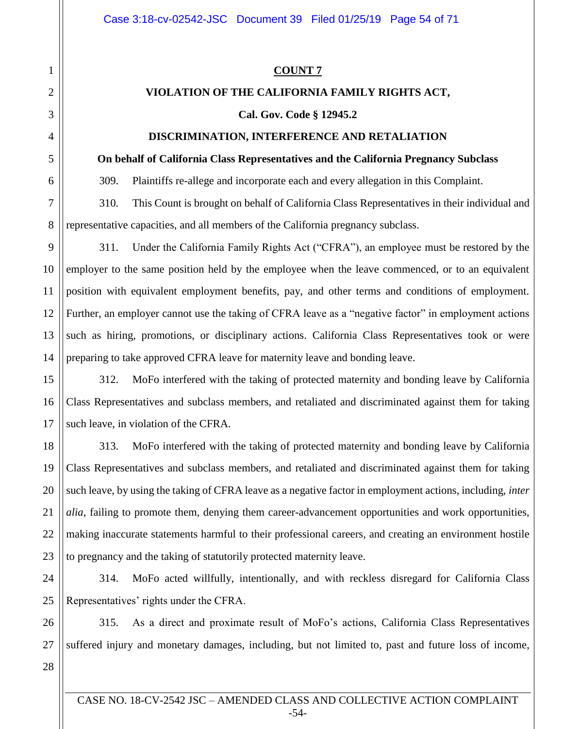#### **COUNT 7**

## **VIOLATION OF THE CALIFORNIA FAMILY RIGHTS ACT,**

## **Cal. Gov. Code § 12945.2**

## **DISCRIMINATION, INTERFERENCE AND RETALIATION**

#### **On behalf of California Class Representatives and the California Pregnancy Subclass**

309. Plaintiffs re-allege and incorporate each and every allegation in this Complaint.

310. This Count is brought on behalf of California Class Representatives in their individual and representative capacities, and all members of the California pregnancy subclass.

311. Under the California Family Rights Act ("CFRA"), an employee must be restored by the employer to the same position held by the employee when the leave commenced, or to an equivalent position with equivalent employment benefits, pay, and other terms and conditions of employment. Further, an employer cannot use the taking of CFRA leave as a "negative factor" in employment actions such as hiring, promotions, or disciplinary actions. California Class Representatives took or were preparing to take approved CFRA leave for maternity leave and bonding leave.

312. MoFo interfered with the taking of protected maternity and bonding leave by California Class Representatives and subclass members, and retaliated and discriminated against them for taking such leave, in violation of the CFRA.

313. MoFo interfered with the taking of protected maternity and bonding leave by California Class Representatives and subclass members, and retaliated and discriminated against them for taking such leave, by using the taking of CFRA leave as a negative factor in employment actions, including, *inter alia*, failing to promote them, denying them career-advancement opportunities and work opportunities, making inaccurate statements harmful to their professional careers, and creating an environment hostile to pregnancy and the taking of statutorily protected maternity leave.

314. MoFo acted willfully, intentionally, and with reckless disregard for California Class Representatives' rights under the CFRA.

315. As a direct and proximate result of MoFo's actions, California Class Representatives suffered injury and monetary damages, including, but not limited to, past and future loss of income,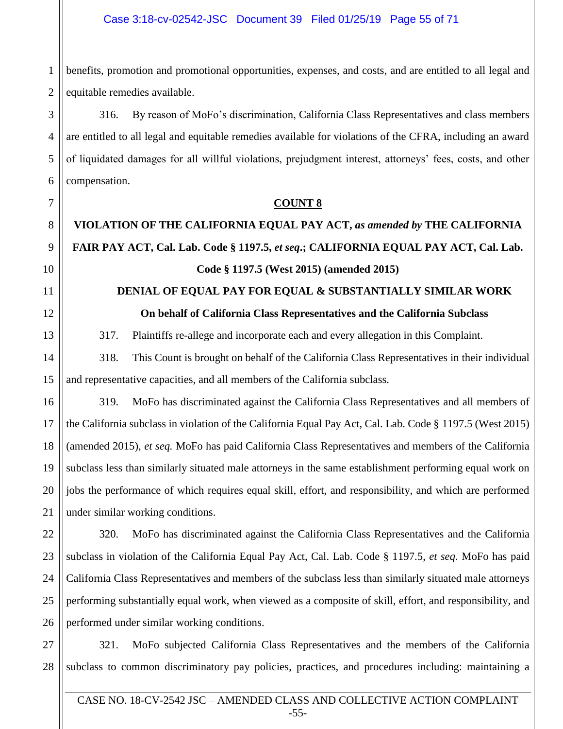benefits, promotion and promotional opportunities, expenses, and costs, and are entitled to all legal and equitable remedies available.

316. By reason of MoFo's discrimination, California Class Representatives and class members are entitled to all legal and equitable remedies available for violations of the CFRA, including an award of liquidated damages for all willful violations, prejudgment interest, attorneys' fees, costs, and other compensation.

## **COUNT 8**

# **VIOLATION OF THE CALIFORNIA EQUAL PAY ACT,** *as amended by* **THE CALIFORNIA FAIR PAY ACT, Cal. Lab. Code § 1197.5,** *et seq***.; CALIFORNIA EQUAL PAY ACT, Cal. Lab. Code § 1197.5 (West 2015) (amended 2015)**

# **DENIAL OF EQUAL PAY FOR EQUAL & SUBSTANTIALLY SIMILAR WORK On behalf of California Class Representatives and the California Subclass**

317. Plaintiffs re-allege and incorporate each and every allegation in this Complaint.

318. This Count is brought on behalf of the California Class Representatives in their individual and representative capacities, and all members of the California subclass.

319. MoFo has discriminated against the California Class Representatives and all members of the California subclass in violation of the California Equal Pay Act, Cal. Lab. Code § 1197.5 (West 2015) (amended 2015), *et seq.* MoFo has paid California Class Representatives and members of the California subclass less than similarly situated male attorneys in the same establishment performing equal work on jobs the performance of which requires equal skill, effort, and responsibility, and which are performed under similar working conditions.

320. MoFo has discriminated against the California Class Representatives and the California subclass in violation of the California Equal Pay Act, Cal. Lab. Code § 1197.5, *et seq.* MoFo has paid California Class Representatives and members of the subclass less than similarly situated male attorneys performing substantially equal work, when viewed as a composite of skill, effort, and responsibility, and performed under similar working conditions.

321. MoFo subjected California Class Representatives and the members of the California subclass to common discriminatory pay policies, practices, and procedures including: maintaining a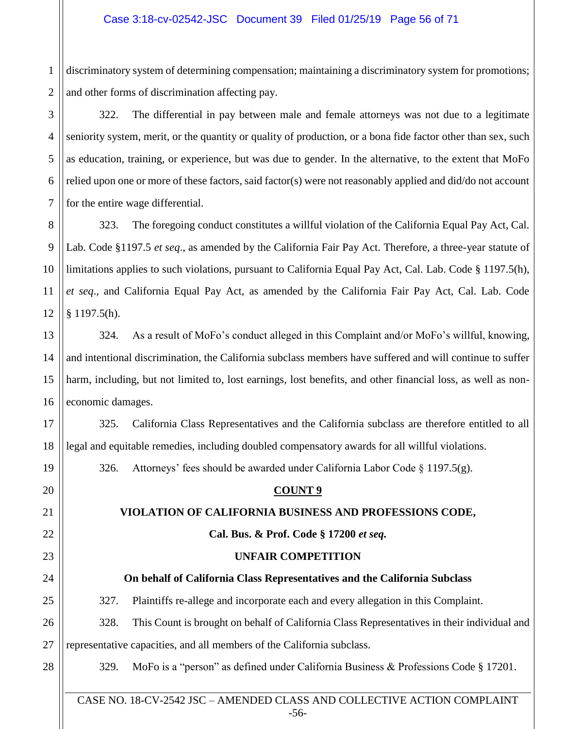1 2 discriminatory system of determining compensation; maintaining a discriminatory system for promotions; and other forms of discrimination affecting pay.

3

4

5

6

7

19

20

21

22

23

24

25

28

322. The differential in pay between male and female attorneys was not due to a legitimate seniority system, merit, or the quantity or quality of production, or a bona fide factor other than sex, such as education, training, or experience, but was due to gender. In the alternative, to the extent that MoFo relied upon one or more of these factors, said factor(s) were not reasonably applied and did/do not account for the entire wage differential.

8 9 10 11 12 323. The foregoing conduct constitutes a willful violation of the California Equal Pay Act, Cal. Lab. Code §1197.5 *et seq*., as amended by the California Fair Pay Act. Therefore, a three-year statute of limitations applies to such violations, pursuant to California Equal Pay Act, Cal. Lab. Code § 1197.5(h), *et seq*., and California Equal Pay Act, as amended by the California Fair Pay Act, Cal. Lab. Code § 1197.5(h).

13 14 15 16 324. As a result of MoFo's conduct alleged in this Complaint and/or MoFo's willful, knowing, and intentional discrimination, the California subclass members have suffered and will continue to suffer harm, including, but not limited to, lost earnings, lost benefits, and other financial loss, as well as noneconomic damages.

17 18 325. California Class Representatives and the California subclass are therefore entitled to all legal and equitable remedies, including doubled compensatory awards for all willful violations.

326. Attorneys' fees should be awarded under California Labor Code  $\S$  1197.5(g).

## **COUNT 9**

## **VIOLATION OF CALIFORNIA BUSINESS AND PROFESSIONS CODE,**

## **Cal. Bus. & Prof. Code § 17200** *et seq.*

## **UNFAIR COMPETITION**

## **On behalf of California Class Representatives and the California Subclass**

327. Plaintiffs re-allege and incorporate each and every allegation in this Complaint.

#### 26 27 328. This Count is brought on behalf of California Class Representatives in their individual and representative capacities, and all members of the California subclass.

329. MoFo is a "person" as defined under California Business & Professions Code § 17201.

CASE NO. 18-CV-2542 JSC – AMENDED CLASS AND COLLECTIVE ACTION COMPLAINT -56-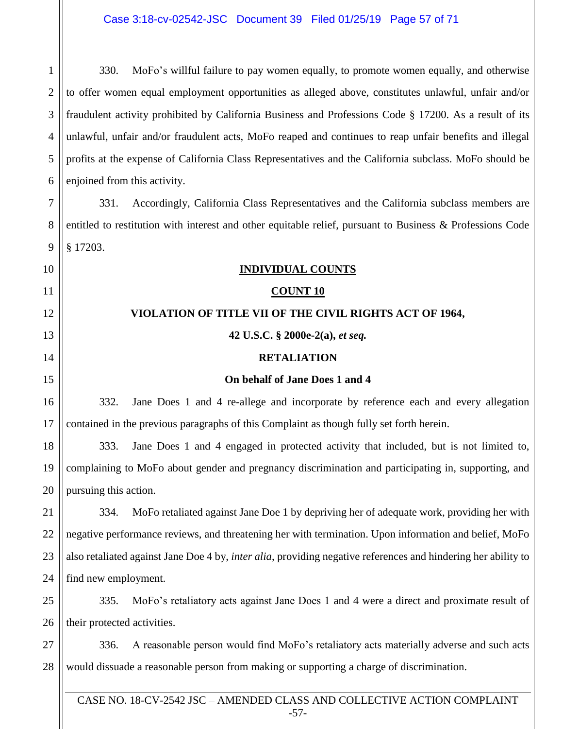1 2 3 4 5 6 330. MoFo's willful failure to pay women equally, to promote women equally, and otherwise to offer women equal employment opportunities as alleged above, constitutes unlawful, unfair and/or fraudulent activity prohibited by California Business and Professions Code § 17200. As a result of its unlawful, unfair and/or fraudulent acts, MoFo reaped and continues to reap unfair benefits and illegal profits at the expense of California Class Representatives and the California subclass. MoFo should be enjoined from this activity.

7 8 9 331. Accordingly, California Class Representatives and the California subclass members are entitled to restitution with interest and other equitable relief, pursuant to Business & Professions Code § 17203.

**INDIVIDUAL COUNTS**

10

19

20

11 12 13 14 15 16 17 18 **COUNT 10 VIOLATION OF TITLE VII OF THE CIVIL RIGHTS ACT OF 1964, 42 U.S.C. § 2000e-2(a),** *et seq.* **RETALIATION On behalf of Jane Does 1 and 4** 332. Jane Does 1 and 4 re-allege and incorporate by reference each and every allegation contained in the previous paragraphs of this Complaint as though fully set forth herein.

333. Jane Does 1 and 4 engaged in protected activity that included, but is not limited to, complaining to MoFo about gender and pregnancy discrimination and participating in, supporting, and pursuing this action.

21 22 23 24 334. MoFo retaliated against Jane Doe 1 by depriving her of adequate work, providing her with negative performance reviews, and threatening her with termination. Upon information and belief, MoFo also retaliated against Jane Doe 4 by, *inter alia*, providing negative references and hindering her ability to find new employment.

25 26 335. MoFo's retaliatory acts against Jane Does 1 and 4 were a direct and proximate result of their protected activities.

27 28 336. A reasonable person would find MoFo's retaliatory acts materially adverse and such acts would dissuade a reasonable person from making or supporting a charge of discrimination.

CASE NO. 18-CV-2542 JSC – AMENDED CLASS AND COLLECTIVE ACTION COMPLAINT -57-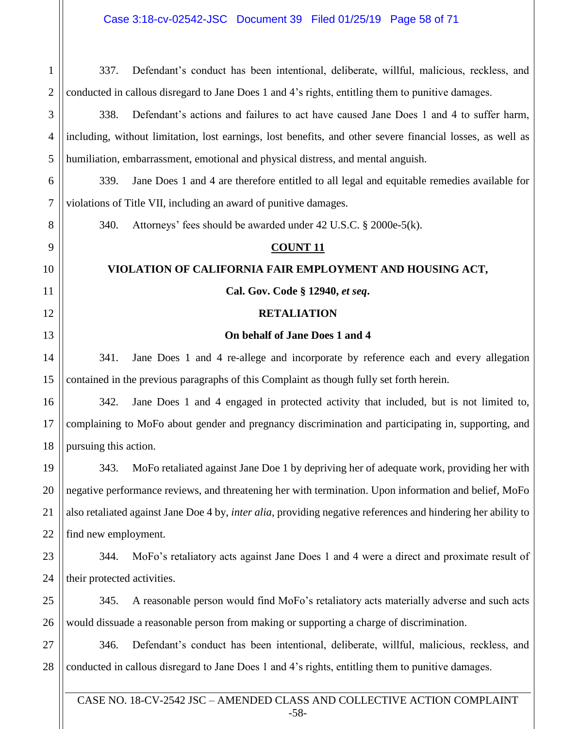CASE NO. 18-CV-2542 JSC – AMENDED CLASS AND COLLECTIVE ACTION COMPLAINT 1 2 3 4 5 6 7 8 9 10 11 12 13 14 15 16 17 18 19 20 21 22 23 24 25 26 27 28 337. Defendant's conduct has been intentional, deliberate, willful, malicious, reckless, and conducted in callous disregard to Jane Does 1 and 4's rights, entitling them to punitive damages. 338. Defendant's actions and failures to act have caused Jane Does 1 and 4 to suffer harm, including, without limitation, lost earnings, lost benefits, and other severe financial losses, as well as humiliation, embarrassment, emotional and physical distress, and mental anguish. 339. Jane Does 1 and 4 are therefore entitled to all legal and equitable remedies available for violations of Title VII, including an award of punitive damages. 340. Attorneys' fees should be awarded under 42 U.S.C. § 2000e-5(k). **COUNT 11 VIOLATION OF CALIFORNIA FAIR EMPLOYMENT AND HOUSING ACT, Cal. Gov. Code § 12940,** *et seq***. RETALIATION On behalf of Jane Does 1 and 4** 341. Jane Does 1 and 4 re-allege and incorporate by reference each and every allegation contained in the previous paragraphs of this Complaint as though fully set forth herein. 342. Jane Does 1 and 4 engaged in protected activity that included, but is not limited to, complaining to MoFo about gender and pregnancy discrimination and participating in, supporting, and pursuing this action. 343. MoFo retaliated against Jane Doe 1 by depriving her of adequate work, providing her with negative performance reviews, and threatening her with termination. Upon information and belief, MoFo also retaliated against Jane Doe 4 by, *inter alia*, providing negative references and hindering her ability to find new employment. 344. MoFo's retaliatory acts against Jane Does 1 and 4 were a direct and proximate result of their protected activities. 345. A reasonable person would find MoFo's retaliatory acts materially adverse and such acts would dissuade a reasonable person from making or supporting a charge of discrimination. 346. Defendant's conduct has been intentional, deliberate, willful, malicious, reckless, and conducted in callous disregard to Jane Does 1 and 4's rights, entitling them to punitive damages.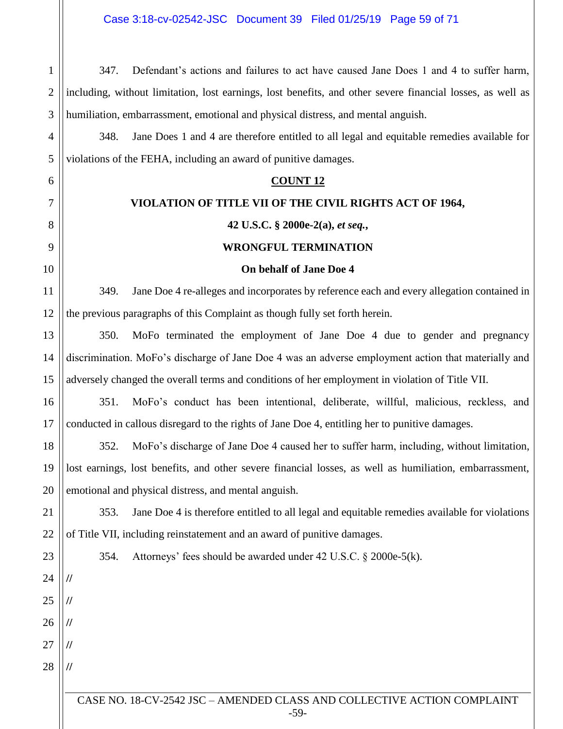**//**

**//**

**//**

**//**

**//**

347. Defendant's actions and failures to act have caused Jane Does 1 and 4 to suffer harm, including, without limitation, lost earnings, lost benefits, and other severe financial losses, as well as humiliation, embarrassment, emotional and physical distress, and mental anguish.

348. Jane Does 1 and 4 are therefore entitled to all legal and equitable remedies available for violations of the FEHA, including an award of punitive damages.

## **COUNT 12**

## **VIOLATION OF TITLE VII OF THE CIVIL RIGHTS ACT OF 1964,**

## **42 U.S.C. § 2000e-2(a),** *et seq.***,**

## **WRONGFUL TERMINATION**

## **On behalf of Jane Doe 4**

349. Jane Doe 4 re-alleges and incorporates by reference each and every allegation contained in the previous paragraphs of this Complaint as though fully set forth herein.

350. MoFo terminated the employment of Jane Doe 4 due to gender and pregnancy discrimination. MoFo's discharge of Jane Doe 4 was an adverse employment action that materially and adversely changed the overall terms and conditions of her employment in violation of Title VII.

351. MoFo's conduct has been intentional, deliberate, willful, malicious, reckless, and conducted in callous disregard to the rights of Jane Doe 4, entitling her to punitive damages.

352. MoFo's discharge of Jane Doe 4 caused her to suffer harm, including, without limitation, lost earnings, lost benefits, and other severe financial losses, as well as humiliation, embarrassment, emotional and physical distress, and mental anguish.

353. Jane Doe 4 is therefore entitled to all legal and equitable remedies available for violations of Title VII, including reinstatement and an award of punitive damages.

354. Attorneys' fees should be awarded under 42 U.S.C. § 2000e-5(k).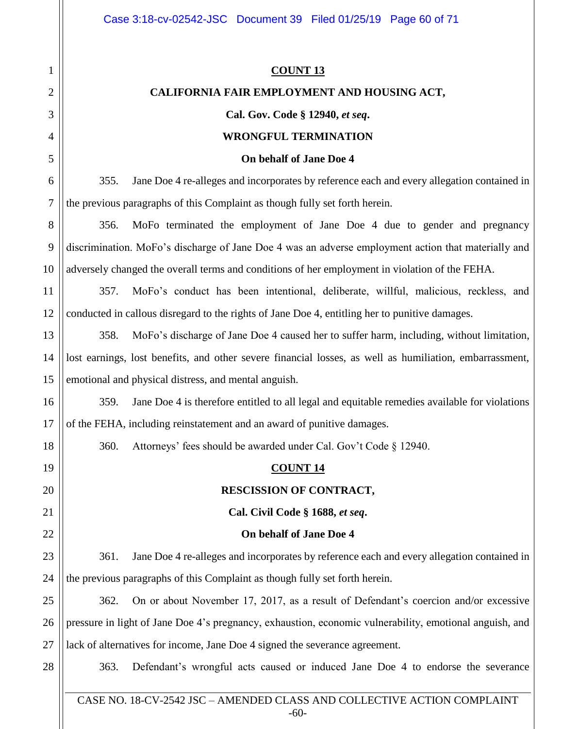| 1  | <b>COUNT 13</b>                                                                                         |  |  |
|----|---------------------------------------------------------------------------------------------------------|--|--|
| 2  | CALIFORNIA FAIR EMPLOYMENT AND HOUSING ACT,                                                             |  |  |
| 3  | Cal. Gov. Code § 12940, et seq.                                                                         |  |  |
| 4  | <b>WRONGFUL TERMINATION</b>                                                                             |  |  |
| 5  | On behalf of Jane Doe 4                                                                                 |  |  |
| 6  | Jane Doe 4 re-alleges and incorporates by reference each and every allegation contained in<br>355.      |  |  |
| 7  | the previous paragraphs of this Complaint as though fully set forth herein.                             |  |  |
| 8  | MoFo terminated the employment of Jane Doe 4 due to gender and pregnancy<br>356.                        |  |  |
| 9  | discrimination. MoFo's discharge of Jane Doe 4 was an adverse employment action that materially and     |  |  |
| 10 | adversely changed the overall terms and conditions of her employment in violation of the FEHA.          |  |  |
| 11 | 357.<br>MoFo's conduct has been intentional, deliberate, willful, malicious, reckless, and              |  |  |
| 12 | conducted in callous disregard to the rights of Jane Doe 4, entitling her to punitive damages.          |  |  |
| 13 | 358.<br>MoFo's discharge of Jane Doe 4 caused her to suffer harm, including, without limitation,        |  |  |
| 14 | lost earnings, lost benefits, and other severe financial losses, as well as humiliation, embarrassment, |  |  |
| 15 | emotional and physical distress, and mental anguish.                                                    |  |  |
| 16 | 359.<br>Jane Doe 4 is therefore entitled to all legal and equitable remedies available for violations   |  |  |
| 17 | of the FEHA, including reinstatement and an award of punitive damages.                                  |  |  |
| 18 | Attorneys' fees should be awarded under Cal. Gov't Code § 12940.<br>360.                                |  |  |
| 19 | <b>COUNT 14</b>                                                                                         |  |  |
| 20 | RESCISSION OF CONTRACT,                                                                                 |  |  |
| 21 | Cal. Civil Code § 1688, et seq.                                                                         |  |  |
| 22 | On behalf of Jane Doe 4                                                                                 |  |  |
| 23 | 361.<br>Jane Doe 4 re-alleges and incorporates by reference each and every allegation contained in      |  |  |
| 24 | the previous paragraphs of this Complaint as though fully set forth herein.                             |  |  |
| 25 | On or about November 17, 2017, as a result of Defendant's coercion and/or excessive<br>362.             |  |  |
| 26 | pressure in light of Jane Doe 4's pregnancy, exhaustion, economic vulnerability, emotional anguish, and |  |  |
| 27 | lack of alternatives for income, Jane Doe 4 signed the severance agreement.                             |  |  |
| 28 | Defendant's wrongful acts caused or induced Jane Doe 4 to endorse the severance<br>363.                 |  |  |
|    |                                                                                                         |  |  |

CASE NO. 18-CV-2542 JSC – AMENDED CLASS AND COLLECTIVE ACTION COMPLAINT -60-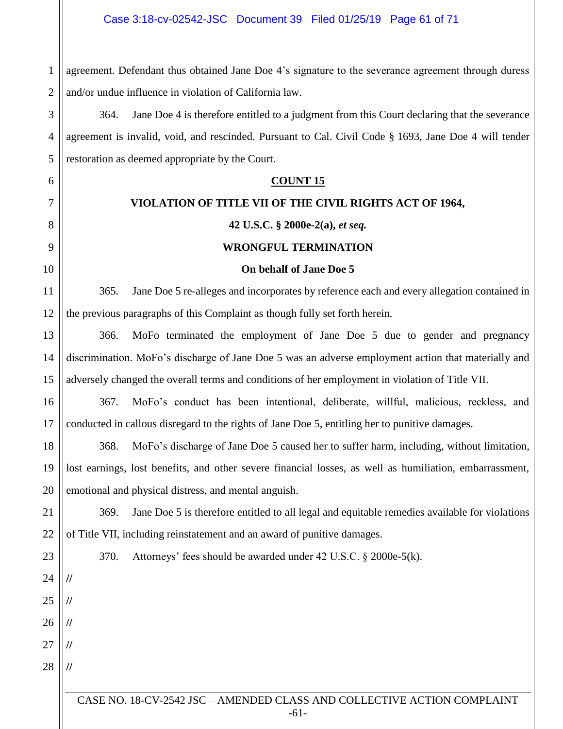1 2 agreement. Defendant thus obtained Jane Doe 4's signature to the severance agreement through duress and/or undue influence in violation of California law.

3 4 5 364. Jane Doe 4 is therefore entitled to a judgment from this Court declaring that the severance agreement is invalid, void, and rescinded. Pursuant to Cal. Civil Code § 1693, Jane Doe 4 will tender restoration as deemed appropriate by the Court.

## **COUNT 15**

## **VIOLATION OF TITLE VII OF THE CIVIL RIGHTS ACT OF 1964,**

6

7

8

9

10

11

23

24

**//**

**//**

**//**

**//**

**//**

25

26

27

28

## **42 U.S.C. § 2000e-2(a),** *et seq.*

## **WRONGFUL TERMINATION**

## **On behalf of Jane Doe 5**

12 365. Jane Doe 5 re-alleges and incorporates by reference each and every allegation contained in the previous paragraphs of this Complaint as though fully set forth herein.

13 14 15 366. MoFo terminated the employment of Jane Doe 5 due to gender and pregnancy discrimination. MoFo's discharge of Jane Doe 5 was an adverse employment action that materially and adversely changed the overall terms and conditions of her employment in violation of Title VII.

16 17 367. MoFo's conduct has been intentional, deliberate, willful, malicious, reckless, and conducted in callous disregard to the rights of Jane Doe 5, entitling her to punitive damages.

18 19 20 368. MoFo's discharge of Jane Doe 5 caused her to suffer harm, including, without limitation, lost earnings, lost benefits, and other severe financial losses, as well as humiliation, embarrassment, emotional and physical distress, and mental anguish.

21 22 369. Jane Doe 5 is therefore entitled to all legal and equitable remedies available for violations of Title VII, including reinstatement and an award of punitive damages.

370. Attorneys' fees should be awarded under 42 U.S.C. § 2000e-5(k).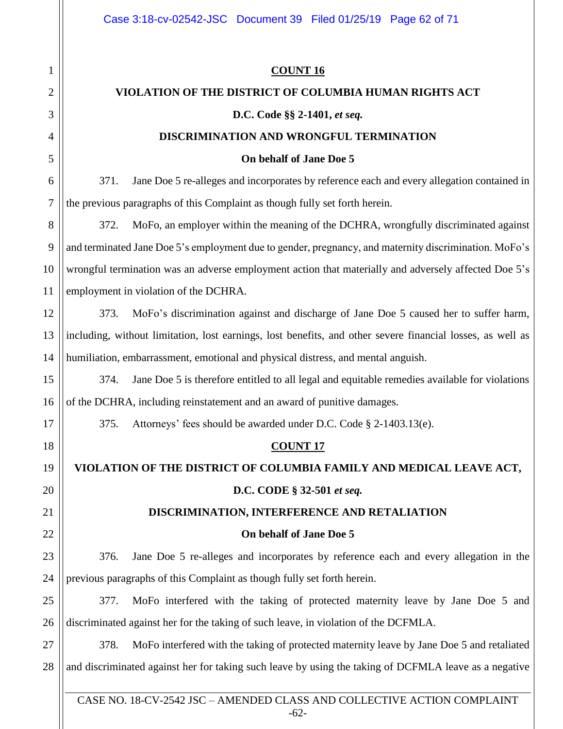1

2

3

4

5

6

7

8

9

10

11

12

13

14

15

16

17

18

19

20

21

22

#### **COUNT 16**

#### **VIOLATION OF THE DISTRICT OF COLUMBIA HUMAN RIGHTS ACT**

#### **D.C. Code §§ 2-1401,** *et seq.*

#### **DISCRIMINATION AND WRONGFUL TERMINATION**

#### **On behalf of Jane Doe 5**

371. Jane Doe 5 re-alleges and incorporates by reference each and every allegation contained in the previous paragraphs of this Complaint as though fully set forth herein.

372. MoFo, an employer within the meaning of the DCHRA, wrongfully discriminated against and terminated Jane Doe 5's employment due to gender, pregnancy, and maternity discrimination. MoFo's wrongful termination was an adverse employment action that materially and adversely affected Doe 5's employment in violation of the DCHRA.

373. MoFo's discrimination against and discharge of Jane Doe 5 caused her to suffer harm, including, without limitation, lost earnings, lost benefits, and other severe financial losses, as well as humiliation, embarrassment, emotional and physical distress, and mental anguish.

374. Jane Doe 5 is therefore entitled to all legal and equitable remedies available for violations of the DCHRA, including reinstatement and an award of punitive damages.

375. Attorneys' fees should be awarded under D.C. Code § 2-1403.13(e).

### **COUNT 17**

# **VIOLATION OF THE DISTRICT OF COLUMBIA FAMILY AND MEDICAL LEAVE ACT,**

## **D.C. CODE § 32-501** *et seq.*

## **DISCRIMINATION, INTERFERENCE AND RETALIATION**

#### **On behalf of Jane Doe 5**

23 24 376. Jane Doe 5 re-alleges and incorporates by reference each and every allegation in the previous paragraphs of this Complaint as though fully set forth herein.

25 26 377. MoFo interfered with the taking of protected maternity leave by Jane Doe 5 and discriminated against her for the taking of such leave, in violation of the DCFMLA.

27 28 378. MoFo interfered with the taking of protected maternity leave by Jane Doe 5 and retaliated and discriminated against her for taking such leave by using the taking of DCFMLA leave as a negative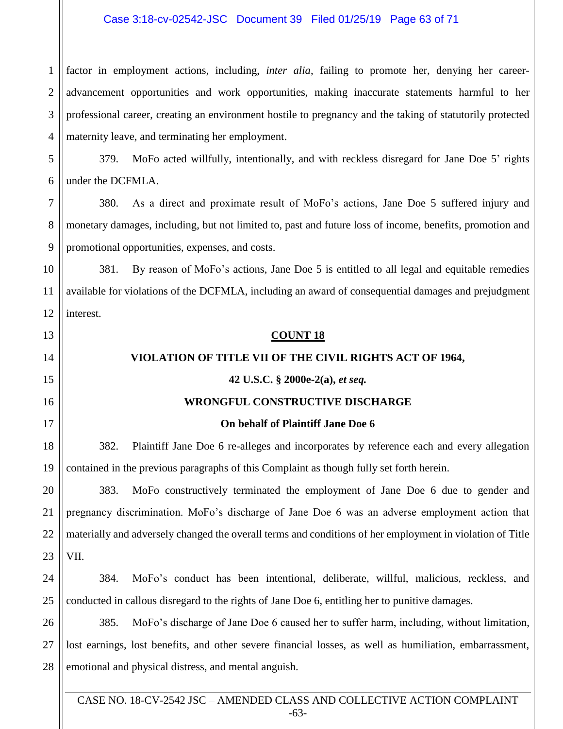## Case 3:18-cv-02542-JSC Document 39 Filed 01/25/19 Page 63 of 71

1

13

14

15

16

17

18

19

20

21

22

23

2 3 4 factor in employment actions, including, *inter alia*, failing to promote her, denying her careeradvancement opportunities and work opportunities, making inaccurate statements harmful to her professional career, creating an environment hostile to pregnancy and the taking of statutorily protected maternity leave, and terminating her employment.

5 6 379. MoFo acted willfully, intentionally, and with reckless disregard for Jane Doe 5' rights under the DCFMLA.

7 8 9 380. As a direct and proximate result of MoFo's actions, Jane Doe 5 suffered injury and monetary damages, including, but not limited to, past and future loss of income, benefits, promotion and promotional opportunities, expenses, and costs.

10 11 12 381. By reason of MoFo's actions, Jane Doe 5 is entitled to all legal and equitable remedies available for violations of the DCFMLA, including an award of consequential damages and prejudgment interest.

#### **COUNT 18**

## **VIOLATION OF TITLE VII OF THE CIVIL RIGHTS ACT OF 1964,**

### **42 U.S.C. § 2000e-2(a),** *et seq.*

### **WRONGFUL CONSTRUCTIVE DISCHARGE**

### **On behalf of Plaintiff Jane Doe 6**

382. Plaintiff Jane Doe 6 re-alleges and incorporates by reference each and every allegation contained in the previous paragraphs of this Complaint as though fully set forth herein.

383. MoFo constructively terminated the employment of Jane Doe 6 due to gender and pregnancy discrimination. MoFo's discharge of Jane Doe 6 was an adverse employment action that materially and adversely changed the overall terms and conditions of her employment in violation of Title VII.

24 25 384. MoFo's conduct has been intentional, deliberate, willful, malicious, reckless, and conducted in callous disregard to the rights of Jane Doe 6, entitling her to punitive damages.

26 27 28 385. MoFo's discharge of Jane Doe 6 caused her to suffer harm, including, without limitation, lost earnings, lost benefits, and other severe financial losses, as well as humiliation, embarrassment, emotional and physical distress, and mental anguish.

CASE NO. 18-CV-2542 JSC – AMENDED CLASS AND COLLECTIVE ACTION COMPLAINT -63-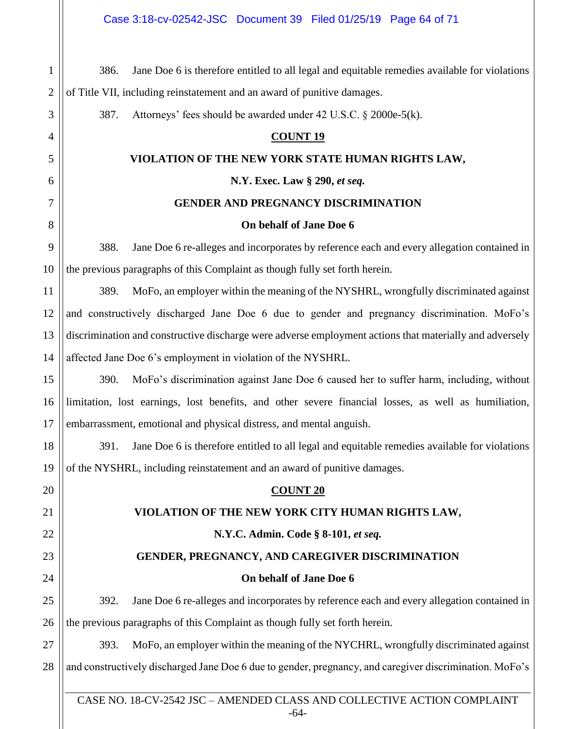| $\mathbf{1}$   | Jane Doe 6 is therefore entitled to all legal and equitable remedies available for violations<br>386.   |  |  |  |
|----------------|---------------------------------------------------------------------------------------------------------|--|--|--|
| $\mathbf{2}$   | of Title VII, including reinstatement and an award of punitive damages.                                 |  |  |  |
| 3              | 387.<br>Attorneys' fees should be awarded under 42 U.S.C. § 2000e-5(k).                                 |  |  |  |
| $\overline{4}$ | <b>COUNT 19</b>                                                                                         |  |  |  |
| 5              | VIOLATION OF THE NEW YORK STATE HUMAN RIGHTS LAW,                                                       |  |  |  |
| 6              | N.Y. Exec. Law § 290, et seq.                                                                           |  |  |  |
| 7              | <b>GENDER AND PREGNANCY DISCRIMINATION</b>                                                              |  |  |  |
| 8              | On behalf of Jane Doe 6                                                                                 |  |  |  |
| 9              | Jane Doe 6 re-alleges and incorporates by reference each and every allegation contained in<br>388.      |  |  |  |
| 10             | the previous paragraphs of this Complaint as though fully set forth herein.                             |  |  |  |
| 11             | MoFo, an employer within the meaning of the NYSHRL, wrongfully discriminated against<br>389.            |  |  |  |
| 12             | and constructively discharged Jane Doe 6 due to gender and pregnancy discrimination. MoFo's             |  |  |  |
| 13             | discrimination and constructive discharge were adverse employment actions that materially and adversely |  |  |  |
| 14             | affected Jane Doe 6's employment in violation of the NYSHRL.                                            |  |  |  |
| 15             | MoFo's discrimination against Jane Doe 6 caused her to suffer harm, including, without<br>390.          |  |  |  |
| 16             | limitation, lost earnings, lost benefits, and other severe financial losses, as well as humiliation,    |  |  |  |
| 17             | embarrassment, emotional and physical distress, and mental anguish.                                     |  |  |  |
| 18             | Jane Doe 6 is therefore entitled to all legal and equitable remedies available for violations<br>391.   |  |  |  |
| 19             | of the NYSHRL, including reinstatement and an award of punitive damages.                                |  |  |  |
| 20             | <b>COUNT 20</b>                                                                                         |  |  |  |
| 21             | VIOLATION OF THE NEW YORK CITY HUMAN RIGHTS LAW,                                                        |  |  |  |
| 22             | N.Y.C. Admin. Code § 8-101, et seq.                                                                     |  |  |  |
| 23             | GENDER, PREGNANCY, AND CAREGIVER DISCRIMINATION                                                         |  |  |  |
| 24             | On behalf of Jane Doe 6                                                                                 |  |  |  |
| 25             | Jane Doe 6 re-alleges and incorporates by reference each and every allegation contained in<br>392.      |  |  |  |
| 26             | the previous paragraphs of this Complaint as though fully set forth herein.                             |  |  |  |
| 27             | MoFo, an employer within the meaning of the NYCHRL, wrongfully discriminated against<br>393.            |  |  |  |
| 28             | and constructively discharged Jane Doe 6 due to gender, pregnancy, and caregiver discrimination. MoFo's |  |  |  |
|                |                                                                                                         |  |  |  |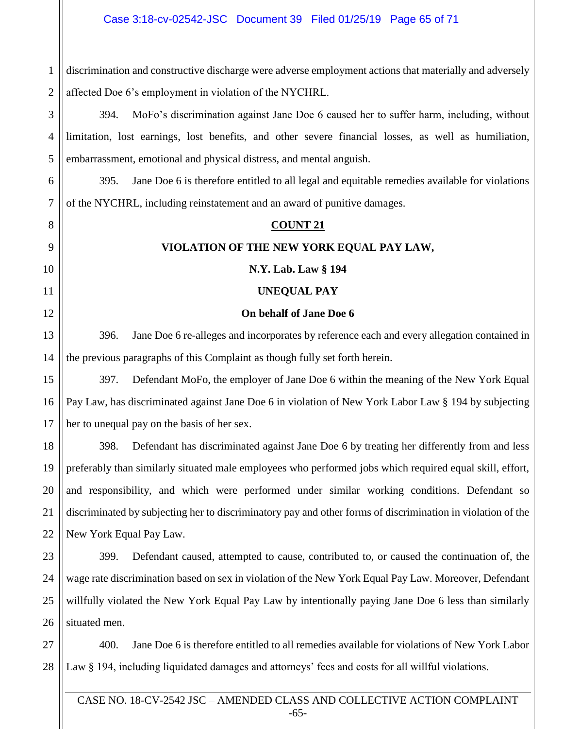1 discrimination and constructive discharge were adverse employment actions that materially and adversely affected Doe 6's employment in violation of the NYCHRL.

394. MoFo's discrimination against Jane Doe 6 caused her to suffer harm, including, without limitation, lost earnings, lost benefits, and other severe financial losses, as well as humiliation, embarrassment, emotional and physical distress, and mental anguish.

395. Jane Doe 6 is therefore entitled to all legal and equitable remedies available for violations of the NYCHRL, including reinstatement and an award of punitive damages.

#### **COUNT 21**

### **VIOLATION OF THE NEW YORK EQUAL PAY LAW,**

#### **N.Y. Lab. Law § 194**

#### **UNEQUAL PAY**

#### **On behalf of Jane Doe 6**

396. Jane Doe 6 re-alleges and incorporates by reference each and every allegation contained in the previous paragraphs of this Complaint as though fully set forth herein.

397. Defendant MoFo, the employer of Jane Doe 6 within the meaning of the New York Equal Pay Law, has discriminated against Jane Doe 6 in violation of New York Labor Law § 194 by subjecting her to unequal pay on the basis of her sex.

398. Defendant has discriminated against Jane Doe 6 by treating her differently from and less preferably than similarly situated male employees who performed jobs which required equal skill, effort, and responsibility, and which were performed under similar working conditions. Defendant so discriminated by subjecting her to discriminatory pay and other forms of discrimination in violation of the New York Equal Pay Law.

399. Defendant caused, attempted to cause, contributed to, or caused the continuation of, the wage rate discrimination based on sex in violation of the New York Equal Pay Law. Moreover, Defendant willfully violated the New York Equal Pay Law by intentionally paying Jane Doe 6 less than similarly situated men.

400. Jane Doe 6 is therefore entitled to all remedies available for violations of New York Labor Law § 194, including liquidated damages and attorneys' fees and costs for all willful violations.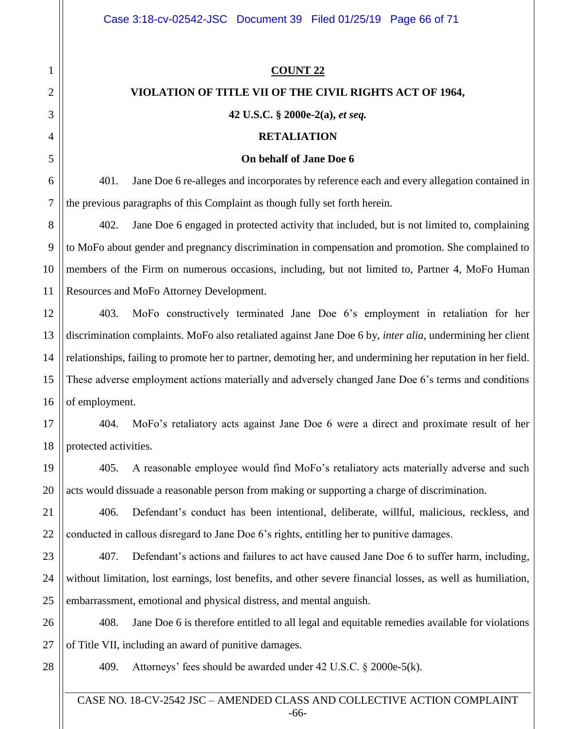#### **COUNT 22**

#### **VIOLATION OF TITLE VII OF THE CIVIL RIGHTS ACT OF 1964,**

#### **42 U.S.C. § 2000e-2(a),** *et seq.*

#### **RETALIATION**

#### **On behalf of Jane Doe 6**

401. Jane Doe 6 re-alleges and incorporates by reference each and every allegation contained in the previous paragraphs of this Complaint as though fully set forth herein.

402. Jane Doe 6 engaged in protected activity that included, but is not limited to, complaining to MoFo about gender and pregnancy discrimination in compensation and promotion. She complained to members of the Firm on numerous occasions, including, but not limited to, Partner 4, MoFo Human Resources and MoFo Attorney Development.

12 13 14 15 16 403. MoFo constructively terminated Jane Doe 6's employment in retaliation for her discrimination complaints. MoFo also retaliated against Jane Doe 6 by, *inter alia*, undermining her client relationships, failing to promote her to partner, demoting her, and undermining her reputation in her field. These adverse employment actions materially and adversely changed Jane Doe 6's terms and conditions of employment.

17 18 404. MoFo's retaliatory acts against Jane Doe 6 were a direct and proximate result of her protected activities.

405. A reasonable employee would find MoFo's retaliatory acts materially adverse and such acts would dissuade a reasonable person from making or supporting a charge of discrimination.

406. Defendant's conduct has been intentional, deliberate, willful, malicious, reckless, and conducted in callous disregard to Jane Doe 6's rights, entitling her to punitive damages.

23 24 25 407. Defendant's actions and failures to act have caused Jane Doe 6 to suffer harm, including, without limitation, lost earnings, lost benefits, and other severe financial losses, as well as humiliation, embarrassment, emotional and physical distress, and mental anguish.

26 27 408. Jane Doe 6 is therefore entitled to all legal and equitable remedies available for violations of Title VII, including an award of punitive damages.

28

1

2

3

4

5

6

7

8

9

10

11

19

20

21

22

409. Attorneys' fees should be awarded under 42 U.S.C. § 2000e-5(k).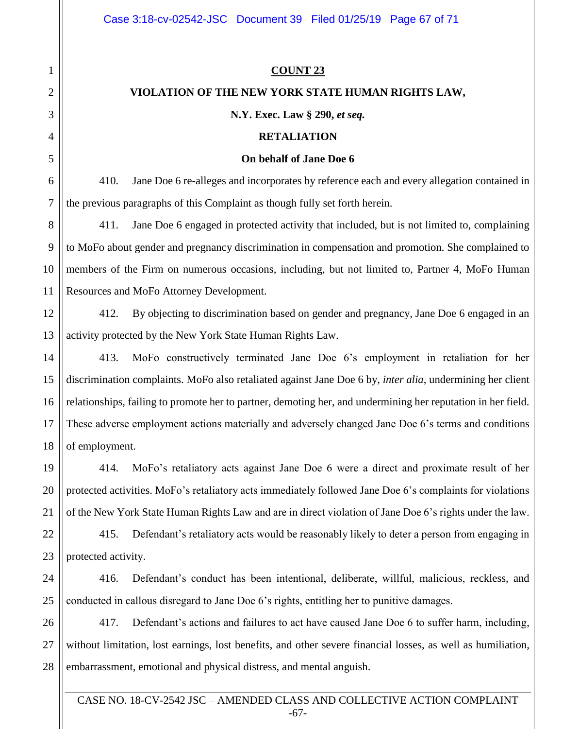## **COUNT 23**

## **VIOLATION OF THE NEW YORK STATE HUMAN RIGHTS LAW,**

## **N.Y. Exec. Law § 290,** *et seq.*

## **RETALIATION**

#### **On behalf of Jane Doe 6**

410. Jane Doe 6 re-alleges and incorporates by reference each and every allegation contained in the previous paragraphs of this Complaint as though fully set forth herein.

411. Jane Doe 6 engaged in protected activity that included, but is not limited to, complaining to MoFo about gender and pregnancy discrimination in compensation and promotion. She complained to members of the Firm on numerous occasions, including, but not limited to, Partner 4, MoFo Human Resources and MoFo Attorney Development.

412. By objecting to discrimination based on gender and pregnancy, Jane Doe 6 engaged in an activity protected by the New York State Human Rights Law.

413. MoFo constructively terminated Jane Doe 6's employment in retaliation for her discrimination complaints. MoFo also retaliated against Jane Doe 6 by, *inter alia*, undermining her client relationships, failing to promote her to partner, demoting her, and undermining her reputation in her field. These adverse employment actions materially and adversely changed Jane Doe 6's terms and conditions of employment.

414. MoFo's retaliatory acts against Jane Doe 6 were a direct and proximate result of her protected activities. MoFo's retaliatory acts immediately followed Jane Doe 6's complaints for violations of the New York State Human Rights Law and are in direct violation of Jane Doe 6's rights under the law.

415. Defendant's retaliatory acts would be reasonably likely to deter a person from engaging in protected activity.

416. Defendant's conduct has been intentional, deliberate, willful, malicious, reckless, and conducted in callous disregard to Jane Doe 6's rights, entitling her to punitive damages.

417. Defendant's actions and failures to act have caused Jane Doe 6 to suffer harm, including, without limitation, lost earnings, lost benefits, and other severe financial losses, as well as humiliation, embarrassment, emotional and physical distress, and mental anguish.

CASE NO. 18-CV-2542 JSC – AMENDED CLASS AND COLLECTIVE ACTION COMPLAINT -67-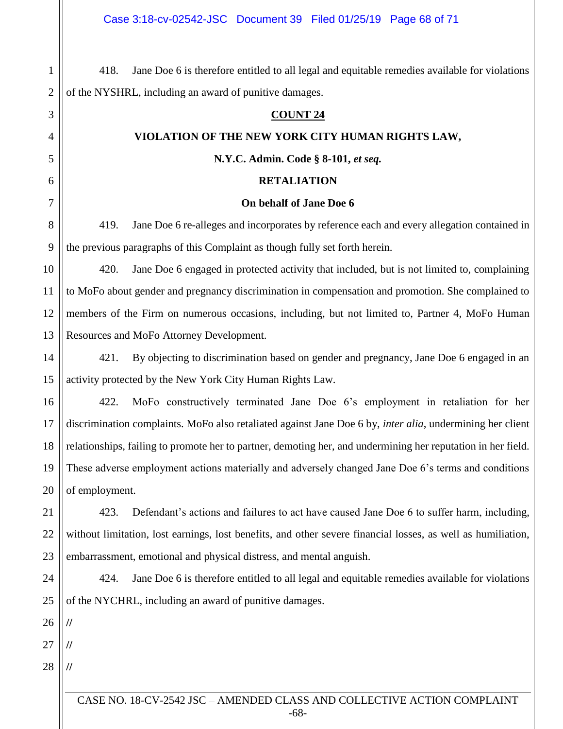418. Jane Doe 6 is therefore entitled to all legal and equitable remedies available for violations of the NYSHRL, including an award of punitive damages.

#### **COUNT 24**

#### **VIOLATION OF THE NEW YORK CITY HUMAN RIGHTS LAW,**

**N.Y.C. Admin. Code § 8-101,** *et seq.*

#### **RETALIATION**

#### **On behalf of Jane Doe 6**

419. Jane Doe 6 re-alleges and incorporates by reference each and every allegation contained in the previous paragraphs of this Complaint as though fully set forth herein.

10 11 12 13 420. Jane Doe 6 engaged in protected activity that included, but is not limited to, complaining to MoFo about gender and pregnancy discrimination in compensation and promotion. She complained to members of the Firm on numerous occasions, including, but not limited to, Partner 4, MoFo Human Resources and MoFo Attorney Development.

14 15 421. By objecting to discrimination based on gender and pregnancy, Jane Doe 6 engaged in an activity protected by the New York City Human Rights Law.

16 17 18 19 20 422. MoFo constructively terminated Jane Doe 6's employment in retaliation for her discrimination complaints. MoFo also retaliated against Jane Doe 6 by, *inter alia*, undermining her client relationships, failing to promote her to partner, demoting her, and undermining her reputation in her field. These adverse employment actions materially and adversely changed Jane Doe 6's terms and conditions of employment.

21 22 23 423. Defendant's actions and failures to act have caused Jane Doe 6 to suffer harm, including, without limitation, lost earnings, lost benefits, and other severe financial losses, as well as humiliation, embarrassment, emotional and physical distress, and mental anguish.

24 25 424. Jane Doe 6 is therefore entitled to all legal and equitable remedies available for violations of the NYCHRL, including an award of punitive damages.

26

**//**

**//**

**//**

1

2

3

4

5

6

7

8

9

27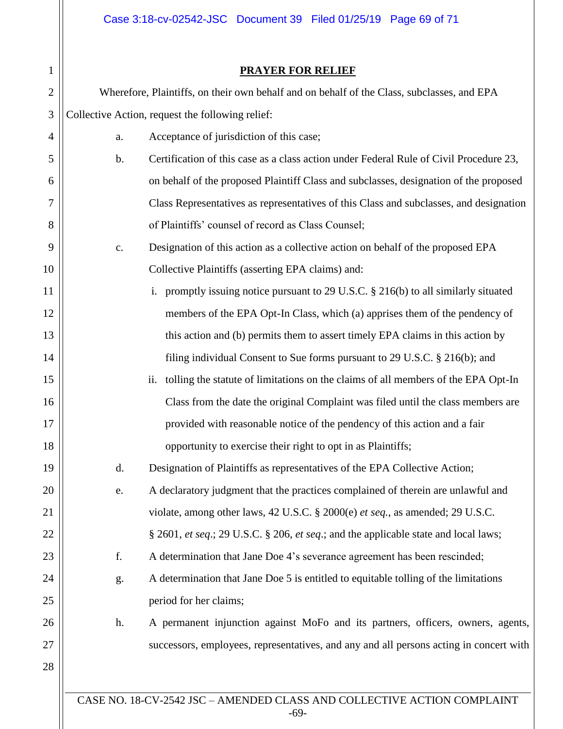Case 3:18-cv-02542-JSC Document 39 Filed 01/25/19 Page 69 of 71

## **PRAYER FOR RELIEF**

| $\mathbf{1}$   | <b>PRAYER FOR RELIEF</b>                                                                   |                                                                                                    |  |
|----------------|--------------------------------------------------------------------------------------------|----------------------------------------------------------------------------------------------------|--|
| $\overline{2}$ | Wherefore, Plaintiffs, on their own behalf and on behalf of the Class, subclasses, and EPA |                                                                                                    |  |
| 3              | Collective Action, request the following relief:                                           |                                                                                                    |  |
| 4              | a.                                                                                         | Acceptance of jurisdiction of this case;                                                           |  |
| 5              | $\mathbf b$ .                                                                              | Certification of this case as a class action under Federal Rule of Civil Procedure 23,             |  |
| 6              |                                                                                            | on behalf of the proposed Plaintiff Class and subclasses, designation of the proposed              |  |
| 7              |                                                                                            | Class Representatives as representatives of this Class and subclasses, and designation             |  |
| 8              |                                                                                            | of Plaintiffs' counsel of record as Class Counsel;                                                 |  |
| 9              | c.                                                                                         | Designation of this action as a collective action on behalf of the proposed EPA                    |  |
| 10             |                                                                                            | Collective Plaintiffs (asserting EPA claims) and:                                                  |  |
| 11             |                                                                                            | promptly issuing notice pursuant to 29 U.S.C. § 216(b) to all similarly situated<br>$\mathbf{1}$ . |  |
| 12             |                                                                                            | members of the EPA Opt-In Class, which (a) apprises them of the pendency of                        |  |
| 13             |                                                                                            | this action and (b) permits them to assert timely EPA claims in this action by                     |  |
| 14             |                                                                                            | filing individual Consent to Sue forms pursuant to 29 U.S.C. § 216(b); and                         |  |
| 15             |                                                                                            | tolling the statute of limitations on the claims of all members of the EPA Opt-In<br>ii.           |  |
| 16             |                                                                                            | Class from the date the original Complaint was filed until the class members are                   |  |
| 17             |                                                                                            | provided with reasonable notice of the pendency of this action and a fair                          |  |
| 18             |                                                                                            | opportunity to exercise their right to opt in as Plaintiffs;                                       |  |
| 19             | d.                                                                                         | Designation of Plaintiffs as representatives of the EPA Collective Action;                         |  |
| 20             | e.                                                                                         | A declaratory judgment that the practices complained of therein are unlawful and                   |  |
| 21             |                                                                                            | violate, among other laws, 42 U.S.C. § 2000(e) et seq., as amended; 29 U.S.C.                      |  |
| 22             |                                                                                            | § 2601, et seq.; 29 U.S.C. § 206, et seq.; and the applicable state and local laws;                |  |
| 23             | f.                                                                                         | A determination that Jane Doe 4's severance agreement has been rescinded;                          |  |
| 24             | g.                                                                                         | A determination that Jane Doe 5 is entitled to equitable tolling of the limitations                |  |
| 25             |                                                                                            | period for her claims;                                                                             |  |
| 26             | h.                                                                                         | A permanent injunction against MoFo and its partners, officers, owners, agents,                    |  |
| 27             |                                                                                            | successors, employees, representatives, and any and all persons acting in concert with             |  |
| 28             |                                                                                            |                                                                                                    |  |
|                |                                                                                            |                                                                                                    |  |

CASE NO. 18-CV-2542 JSC – AMENDED CLASS AND COLLECTIVE ACTION COMPLAINT -69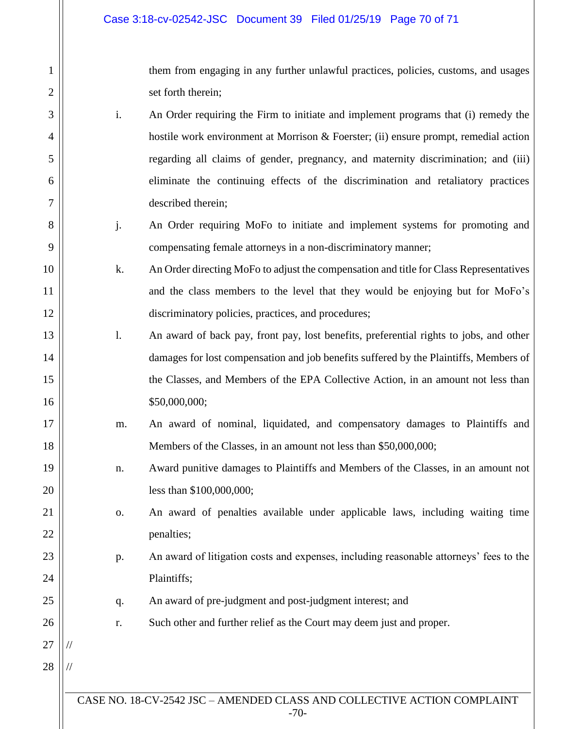1

2

3

4

5

6

7

8

9

10

11

12

13

14

15

16

17

18

19

20

21

22

23

24

25

26

27

//

//

28

them from engaging in any further unlawful practices, policies, customs, and usages set forth therein;

- i. An Order requiring the Firm to initiate and implement programs that (i) remedy the hostile work environment at Morrison & Foerster; (ii) ensure prompt, remedial action regarding all claims of gender, pregnancy, and maternity discrimination; and (iii) eliminate the continuing effects of the discrimination and retaliatory practices described therein;
- j. An Order requiring MoFo to initiate and implement systems for promoting and compensating female attorneys in a non-discriminatory manner;
- k. An Order directing MoFo to adjust the compensation and title for Class Representatives and the class members to the level that they would be enjoying but for MoFo's discriminatory policies, practices, and procedures;
- l. An award of back pay, front pay, lost benefits, preferential rights to jobs, and other damages for lost compensation and job benefits suffered by the Plaintiffs, Members of the Classes, and Members of the EPA Collective Action, in an amount not less than \$50,000,000;
- m. An award of nominal, liquidated, and compensatory damages to Plaintiffs and Members of the Classes, in an amount not less than \$50,000,000;
	- n. Award punitive damages to Plaintiffs and Members of the Classes, in an amount not less than \$100,000,000;
	- o. An award of penalties available under applicable laws, including waiting time penalties;
	- p. An award of litigation costs and expenses, including reasonable attorneys' fees to the Plaintiffs;
		- q. An award of pre-judgment and post-judgment interest; and
			- r. Such other and further relief as the Court may deem just and proper.
- CASE NO. 18-CV-2542 JSC AMENDED CLASS AND COLLECTIVE ACTION COMPLAINT -70-